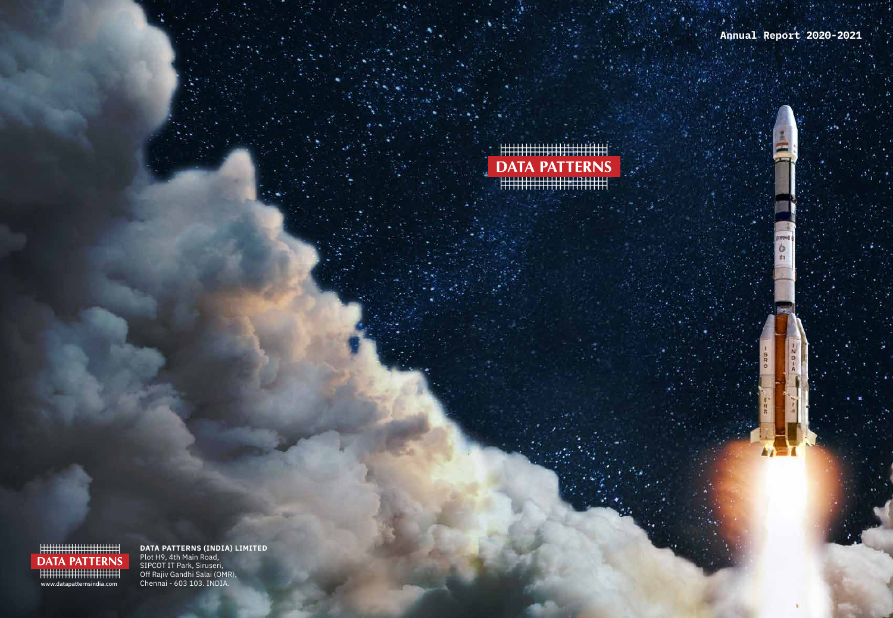# **Annual Report 2020-2021**



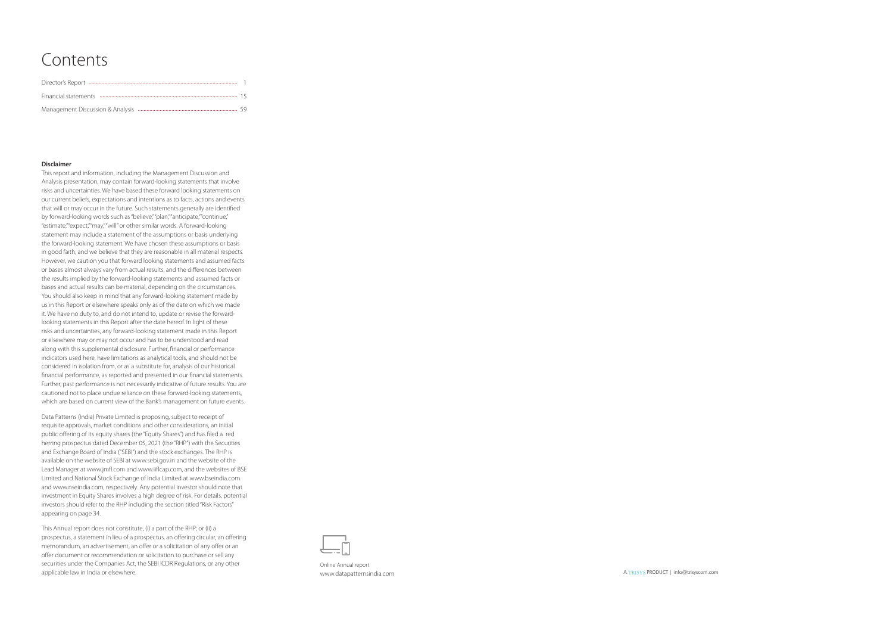### **Disclaimer**

This report and information, including the Management Discussion and Analysis presentation, may contain forward-looking statements that involve risks and uncertainties. We have based these forward looking statements on our current beliefs, expectations and intentions as to facts, actions and events that will or may occur in the future. Such statements generally are identified by forward-looking words such as "believe," "plan," "anticipate," "continue," "estimate," "expect," "may," "will" or other similar words. A forward-looking statement may include a statement of the assumptions or basis underlying the forward-looking statement. We have chosen these assumptions or basis in good faith, and we believe that they are reasonable in all material respects. However, we caution you that forward looking statements and assumed facts or bases almost always vary from actual results, and the differences between the results implied by the forward-looking statements and assumed facts or bases and actual results can be material, depending on the circumstances. You should also keep in mind that any forward-looking statement made by us in this Report or elsewhere speaks only as of the date on which we made it. We have no duty to, and do not intend to, update or revise the forwardlooking statements in this Report after the date hereof. In light of these risks and uncertainties, any forward-looking statement made in this Report or elsewhere may or may not occur and has to be understood and read along with this supplemental disclosure. Further, financial or performance indicators used here, have limitations as analytical tools, and should not be considered in isolation from, or as a substitute for, analysis of our historical financial performance, as reported and presented in our financial statements. Further, past performance is not necessarily indicative of future results. You are cautioned not to place undue reliance on these forward-looking statements, which are based on current view of the Bank's management on future events.

Data Patterns (India) Private Limited is proposing, subject to receipt of requisite approvals, market conditions and other considerations, an initial public offering of its equity shares (the "Equity Shares") and has filed a red herring prospectus dated December 05, 2021 (the "RHP") with the Securities and Exchange Board of India ("SEBI") and the stock exchanges. The RHP is available on the website of SEBI at www.sebi.gov.in and the website of the Lead Manager at www.jmfl.com and www.iiflcap.com, and the websites of BSE Limited and National Stock Exchange of India Limited at www.bseindia.com and www.nseindia.com, respectively. Any potential investor should note that investment in Equity Shares involves a high degree of risk. For details, potential investors should refer to the RHP including the section titled "Risk Factors" appearing on page 34.

This Annual report does not constitute, (i) a part of the RHP; or (ii) a prospectus, a statement in lieu of a prospectus, an offering circular, an offering memorandum, an advertisement, an offer or a solicitation of any offer or an offer document or recommendation or solicitation to purchase or sell any securities under the Companies Act, the SEBI ICDR Regulations, or any other applicable law in India or elsewhere.



Online Annual report www.datapatternsindia.com

# Contents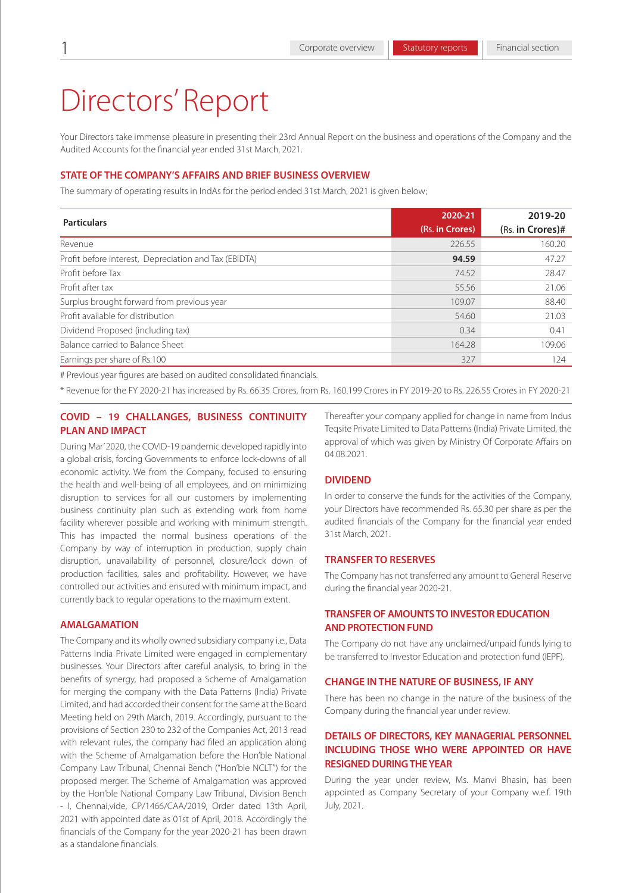# Directors' Report

Your Directors take immense pleasure in presenting their 23rd Annual Report on the business and operations of the Company and the Audited Accounts for the financial year ended 31st March, 2021.

# **STATE OF THE COMPANY'S AFFAIRS AND BRIEF BUSINESS OVERVIEW**

The summary of operating results in IndAs for the period ended 31st March, 2021 is given below;

| <b>Particulars</b>                                    | 2020-21<br>(Rs. in Crores) | 2019-20<br>(Rs. in Crores)# |
|-------------------------------------------------------|----------------------------|-----------------------------|
| Revenue                                               | 226.55                     | 160.20                      |
| Profit before interest, Depreciation and Tax (EBIDTA) | 94.59                      | 47.27                       |
| Profit before Tax                                     | 74.52                      | 28.47                       |
| Profit after tax                                      | 55.56                      | 21.06                       |
| Surplus brought forward from previous year            | 109.07                     | 88.40                       |
| Profit available for distribution                     | 54.60                      | 21.03                       |
| Dividend Proposed (including tax)                     | 0.34                       | 0.41                        |
| Balance carried to Balance Sheet                      | 164.28                     | 109.06                      |
| Earnings per share of Rs.100                          | 327                        | 124                         |

# Previous year figures are based on audited consolidated financials.

\* Revenue for the FY 2020-21 has increased by Rs. 66.35 Crores, from Rs. 160.199 Crores in FY 2019-20 to Rs. 226.55 Crores in FY 2020-21

# **COVID – 19 CHALLANGES, BUSINESS CONTINUITY PLAN AND IMPACT**

During Mar' 2020, the COVID-19 pandemic developed rapidly into a global crisis, forcing Governments to enforce lock-downs of all economic activity. We from the Company, focused to ensuring the health and well-being of all employees, and on minimizing disruption to services for all our customers by implementing business continuity plan such as extending work from home facility wherever possible and working with minimum strength. This has impacted the normal business operations of the Company by way of interruption in production, supply chain disruption, unavailability of personnel, closure/lock down of production facilities, sales and profitability. However, we have controlled our activities and ensured with minimum impact, and currently back to regular operations to the maximum extent.

### **AMALGAMATION**

The Company and its wholly owned subsidiary company i.e., Data Patterns India Private Limited were engaged in complementary businesses. Your Directors after careful analysis, to bring in the benefits of synergy, had proposed a Scheme of Amalgamation for merging the company with the Data Patterns (India) Private Limited, and had accorded their consent for the same at the Board Meeting held on 29th March, 2019. Accordingly, pursuant to the provisions of Section 230 to 232 of the Companies Act, 2013 read with relevant rules, the company had filed an application along with the Scheme of Amalgamation before the Hon'ble National Company Law Tribunal, Chennai Bench ("Hon'ble NCLT") for the proposed merger. The Scheme of Amalgamation was approved by the Hon'ble National Company Law Tribunal, Division Bench - I, Chennai,vide, CP/1466/CAA/2019, Order dated 13th April, 2021 with appointed date as 01st of April, 2018. Accordingly the financials of the Company for the year 2020-21 has been drawn as a standalone financials.

Thereafter your company applied for change in name from Indus Teqsite Private Limited to Data Patterns (India) Private Limited, the approval of which was given by Ministry Of Corporate Affairs on 04.08.2021.

# **DIVIDEND**

In order to conserve the funds for the activities of the Company, your Directors have recommended Rs. 65.30 per share as per the audited financials of the Company for the financial year ended 31st March, 2021.

### **TRANSFER TO RESERVES**

The Company has not transferred any amount to General Reserve during the financial year 2020-21.

# **TRANSFER OF AMOUNTS TO INVESTOR EDUCATION AND PROTECTION FUND**

The Company do not have any unclaimed/unpaid funds lying to be transferred to Investor Education and protection fund (IEPF).

# **CHANGE IN THE NATURE OF BUSINESS, IF ANY**

There has been no change in the nature of the business of the Company during the financial year under review.

# **DETAILS OF DIRECTORS, KEY MANAGERIAL PERSONNEL INCLUDING THOSE WHO WERE APPOINTED OR HAVE RESIGNED DURING THE YEAR**

During the year under review, Ms. Manvi Bhasin, has been appointed as Company Secretary of your Company w.e.f. 19th July, 2021.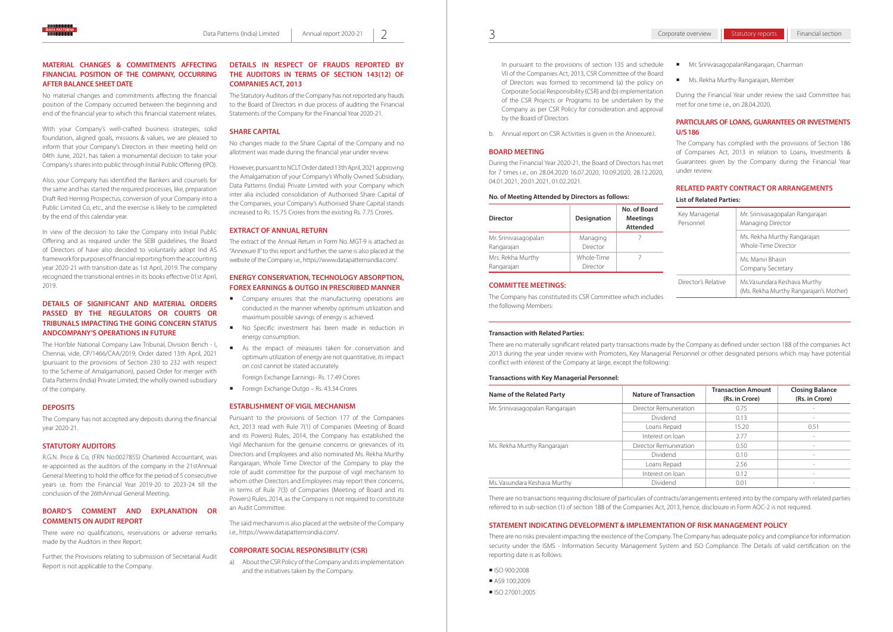In pursuant to the provisions of section 135 and schedule VII of the Companies Act, 2013, CSR Committee of the Board of Directors was formed to recommend (a) the policy on Corporate Social Responsibility (CSR) and (b) implementation of the CSR Projects or Programs to be undertaken by the Company as per CSR Policy for consideration and approval by the Board of Directors

b. Annual report on CSR Activities is given in the Annexure.I.

# **BOARD MEETING**

During the Financial Year 2020-21, the Board of Directors has met for 7 times i.e., on 28.04.2020 16.07.2020, 10.09.2020, 28.12.2020, 04.01.2021, 20.01.2021, 01.02.2021.

# **No. of Meeting Attended by Directors as follows:**

| <b>Director</b>                    | <b>Designation</b>     | No. of Board<br><b>Meetings</b><br><b>Attended</b> |
|------------------------------------|------------------------|----------------------------------------------------|
| Mr. Srinivasagopalan<br>Rangarajan | Managing<br>Director   |                                                    |
| Mrs. Rekha Murthy<br>Rangarajan    | Whole-Time<br>Director |                                                    |

# **COMMITTEE MEETINGS:**

The Company has constituted its CSR Committee which includes the following Members:

During the Financial Year under review the said Committee has met for one time i.e., on 28.04.2020.

# **PARTICULARS OF LOANS, GUARANTEES OR INVESTMENTS U/S 186**

The Company has complied with the provisions of Section 186 of Companies Act, 2013 in relation to Loans, Investments & Guarantees given by the Company during the Financial Year under review.

# **RELATED PARTY CONTRACT OR ARRANGEMENTS**

### **List of Related Parties:**

| Key Managerial<br>Personnel | Mr. Srinivasagopalan Rangarajan<br>Managing Director                   |  |  |  |
|-----------------------------|------------------------------------------------------------------------|--|--|--|
|                             | Ms. Rekha Murthy Rangarajan<br>Whole-Time Director                     |  |  |  |
|                             | Ms. Manyi Bhasin<br>Company Secretary                                  |  |  |  |
| Director's Relative         | Ms. Vasundara Keshava Murthy<br>(Ms. Rekha Murthy Rangarajan's Mother) |  |  |  |

# **Transaction with Related Parties:**

There are no materially significant related party transactions made by the Company as defined under section 188 of the companies Act 2013 during the year under review with Promoters, Key Managerial Personnel or other designated persons which may have potential conflict with interest of the Company at large, except the following:

With your Company's well-crafted business strategies, solid foundation, aligned goals, missions & values, we are pleased to inform that your Company's Directors in their meeting held on 04th June, 2021, has taken a monumental decision to take your Company's shares into public through Initial Public Offering (IPO).

# **Transactions with Key Managerial Personnel:**

| Name of the Related Party       | <b>Nature of Transaction</b> | <b>Transaction Amount</b><br>(Rs. in Crore) | <b>Closing Balance</b><br>(Rs. in Crore) |
|---------------------------------|------------------------------|---------------------------------------------|------------------------------------------|
| Mr. Srinivasagopalan Rangarajan | Director Remuneration        | 0.75                                        |                                          |
|                                 | <b>Dividend</b>              | 0.13                                        |                                          |
|                                 | Loans Repaid                 | 15.20                                       | 0.51                                     |
|                                 | Interest on loan             | 2.77                                        |                                          |
| Ms. Rekha Murthy Rangarajan     | Director Remuneration        | 0.50                                        | $\overline{\phantom{a}}$                 |
|                                 | <b>Dividend</b>              | 0.10                                        |                                          |
|                                 | Loans Repaid                 | 2.56                                        | -                                        |
|                                 | Interest on loan             | 0.12                                        | $\overline{\phantom{0}}$                 |
| Ms. Vasundara Keshava Murthy    | <b>Dividend</b>              | 0.01                                        | $\overline{\phantom{0}}$                 |

There are no transactions requiring disclosure of particulars of contracts/arrangements entered into by the company with related parties referred to in sub-section (1) of section 188 of the Companies Act, 2013, hence, disclosure in Form AOC-2 is not required.

# **STATEMENT INDICATING DEVELOPMENT & IMPLEMENTATION OF RISK MANAGEMENT POLICY**

There are no risks prevalent impacting the existence of the Company. The Company has adequate policy and compliance for information security under the ISMS - Information Security Management System and ISO Compliance. The Details of valid certification on the reporting date is as follows:

- $\blacksquare$  ISO 900:2008
- $A59100:2009$
- $\blacksquare$  ISO 27001:2005
- Mr. SrinivasagopalanRangarajan, Chairman
- Ms. Rekha Murthy Rangarajan, Member

# **MATERIAL CHANGES & COMMITMENTS AFFECTING FINANCIAL POSITION OF THE COMPANY, OCCURRING AFTER BALANCE SHEET DATE**

No material changes and commitments affecting the financial position of the Company occurred between the beginning and end of the financial year to which this financial statement relates.

- **•** Company ensures that the manufacturing operations are conducted in the manner whereby optimum utilization and maximum possible savings of energy is achieved.
- ¡ No Specific investment has been made in reduction in energy consumption.
- ¡ As the impact of measures taken for conservation and optimum utilization of energy are not quantitative, its impact on cost cannot be stated accurately.

Also, your Company has identified the Bankers and counsels for the same and has started the required processes, like, preparation Draft Red Herring Prospectus, conversion of your Company into a Public Limited Co, etc., and the exercise is likely to be completed by the end of this calendar year.

In view of the decision to take the Company into Initial Public Offering and as required under the SEBI guidelines, the Board of Directors of have also decided to voluntarily adopt Ind AS framework for purposes of financial reporting from the accounting year 2020-21 with transition date as 1st April, 2019. The company recognized the transitional entries in its books effective 01st April, 2019.

# **DETAILS OF SIGNIFICANT AND MATERIAL ORDERS PASSED BY THE REGULATORS OR COURTS OR TRIBUNALS IMPACTING THE GOING CONCERN STATUS ANDCOMPANY'S OPERATIONS IN FUTURE**

The Hon'ble National Company Law Tribunal, Division Bench - I, Chennai, vide, CP/1466/CAA/2019, Order dated 13th April, 2021 (pursuant to the provisions of Section 230 to 232 with respect to the Scheme of Amalgamation), passed Order for merger with Data Patterns (India) Private Limited, the wholly owned subsidiary of the company.

# **DEPOSITS**

The Company has not accepted any deposits during the financial year 2020-21.

# **STATUTORY AUDITORS**

R.G.N. Price & Co, (FRN No:002785S) Chartered Accountant, was re-appointed as the auditors of the company in the 21stAnnual General Meeting to hold the office for the period of 5 consecutive years i.e. from the Financial Year 2019-20 to 2023-24 till the conclusion of the 26thAnnual General Meeting.

# **BOARD'S COMMENT AND EXPLANATION OR COMMENTS ON AUDIT REPORT**

There were no qualifications, reservations or adverse remarks made by the Auditors in their Report.

Further, the Provisions relating to submission of Secretarial Audit Report is not applicable to the Company.

# **DETAILS IN RESPECT OF FRAUDS REPORTED BY THE AUDITORS IN TERMS OF SECTION 143(12) OF COMPANIES ACT, 2013**

The Statutory Auditors of the Company has not reported any frauds to the Board of Directors in due process of auditing the Financial Statements of the Company for the Financial Year 2020-21.

# **SHARE CAPITAL**

No changes made to the Share Capital of the Company and no allotment was made during the financial year under review.

However, pursuant to NCLT Order dated 13th April, 2021 approving the Amalgamation of your Company's Wholly Owned Subsidiary, Data Patterns (India) Private Limited with your Company which inter alia included consolidation of Authorised Share Capital of the Companies, your Company's Authorised Share Capital stands increased to Rs. 15.75 Crores from the existing Rs. 7.75 Crores.

# **EXTRACT OF ANNUAL RETURN**

The extract of the Annual Return in Form No. MGT-9 is attached as "Annexure II" to this report and further, the same is also placed at the website of the Company i.e., https://www.datapatternsindia.com/.

# **ENERGY CONSERVATION, TECHNOLOGY ABSORPTION, FOREX EARNINGS & OUTGO IN PRESCRIBED MANNER**

Foreign Exchange Earnings- Rs. 17.49 Crores

■ Foreign Exchange Outgo – Rs. 43.34 Crores

# **ESTABLISHMENT OF VIGIL MECHANISM**

Pursuant to the provisions of Section 177 of the Companies Act, 2013 read with Rule 7(1) of Companies (Meeting of Board and its Powers) Rules, 2014, the Company has established the Vigil Mechanism for the genuine concerns or grievances of its Directors and Employees and also nominated Ms. Rekha Murthy Rangarajan, Whole Time Director of the Company to play the role of audit committee for the purpose of vigil mechanism to whom other Directors and Employees may report their concerns, in terms of Rule 7(3) of Companies (Meeting of Board and its Powers) Rules, 2014, as the Company is not required to constitute an Audit Committee.

The said mechanism is also placed at the website of the Company i.e., https://www.datapatternsindia.com/.

# **CORPORATE SOCIAL RESPONSIBILITY (CSR)**

a) About the CSR Policy of the Company and its implementation and the initiatives taken by the Company.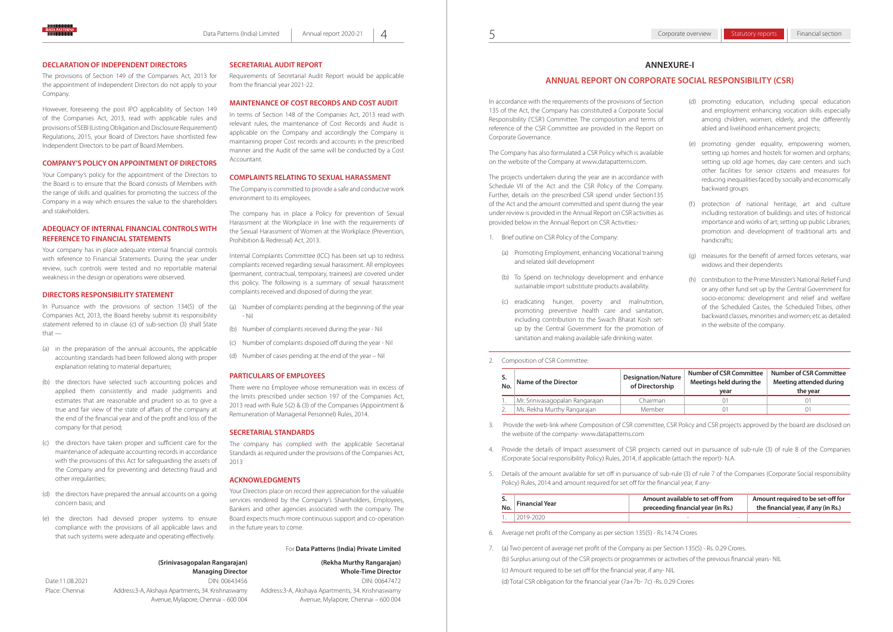# **ANNEXURE-I**

# **ANNUAL REPORT ON CORPORATE SOCIAL RESPONSIBILITY (CSR)**

In accordance with the requirements of the provisions of Section 135 of the Act, the Company has constituted a Corporate Social Responsibility ('CSR') Committee. The composition and terms of reference of the CSR Committee are provided in the Report on Corporate Governance.

The Company has also formulated a CSR Policy which is available on the website of the Company at www.datapatterns.com.

The projects undertaken during the year are in accordance with Schedule VII of the Act and the CSR Policy of the Company. Further, details on the prescribed CSR spend under Section135 of the Act and the amount committed and spent during the year under review is provided in the Annual Report on CSR activities as provided below in the Annual Report on CSR Activities:-

- 1. Brief outline on CSR Policy of the Company:
	- (a) Promoting Employment, enhancing Vocational training and related skill development
	- (b) To Spend on technology development and enhance sustainable import substitute products availability.
	- (c) eradicating hunger, poverty and malnutrition, promoting preventive health care and sanitation, including contribution to the Swach Bharat Kosh setup by the Central Government for the promotion of sanitation and making available safe drinking water.
- (d) promoting education, including special education and employment enhancing vocation skills especially among children, women, elderly, and the differently abled and livelihood enhancement projects;
- (e) promoting gender equality, empowering women, setting up homes and hostels for women and orphans; setting up old age homes, day care centers and such other facilities for senior citizens and measures for reducing inequalities faced by socially and economically backward groups
- (f) protection of national heritage, art and culture including restoration of buildings and sites of historical importance and works of art; setting up public Libraries; promotion and development of traditional arts and handicrafts;
- (g) measures for the benefit of armed forces veterans, war widows and their dependents
- (h) contribution to the Prime Minister's National Relief Fund or any other fund set up by the Central Government for socio-economic development and relief and welfare of the Scheduled Castes, the Scheduled Tribes, other backward classes, minorities and women; etc as detailed in the website of the company.

# 2. Composition of CSR Committee:

| No. | Name of the Director            | <b>Designation/Nature</b><br>of Directorship | <b>Number of CSR Committee</b><br>Meetings held during the<br>vear | <b>Number of CSR Committee</b><br>Meeting attended during<br>the vear |  |
|-----|---------------------------------|----------------------------------------------|--------------------------------------------------------------------|-----------------------------------------------------------------------|--|
|     | Mr. Srinivasagopalan Rangarajan | Chairman                                     | 01                                                                 |                                                                       |  |
|     | Ms. Rekha Murthy Rangarajan     | Member                                       | Λ1                                                                 |                                                                       |  |

3. Provide the web-link where Composition of CSR committee, CSR Policy and CSR projects approved by the board are disclosed on

4. Provide the details of Impact assessment of CSR projects carried out in pursuance of sub-rule (3) of rule 8 of the Companies

- the website of the company- www.datapatterns.com
- (Corporate Social responsibility Policy) Rules, 2014, if applicable (attach the report)- N.A.
- 5. Details of the amount available for set off in pursuance of sub-rule (3) of rule 7 of the Companies (Corporate Social responsibility Policy) Rules, 2014 and amount required for set off for the financial year, if any-

| э.  | <b>Financial Year</b> | Amount available to set-off from   | Amount required to be set-off for   |  |  |
|-----|-----------------------|------------------------------------|-------------------------------------|--|--|
| No. |                       | preceeding financial year (in Rs.) | the financial year, if any (in Rs.) |  |  |
|     | 2019-2020             |                                    |                                     |  |  |

- 6. Average net profit of the Company as per section 135(5) Rs.14.74 Crores
- 7. (a) Two percent of average net profit of the Company as per Section 135(5) Rs. 0.29 Crores. (b) Surplus arising out of the CSR projects or programmes or activities of the previous financial years- NIL (c) Amount required to be set off for the financial year, if any- NIL (d) Total CSR obligation for the financial year (7a+7b- 7c) -Rs. 0.29 Crores

# **DECLARATION OF INDEPENDENT DIRECTORS**

The provisions of Section 149 of the Companies Act, 2013 for the appointment of Independent Directors do not apply to your Company.

However, foreseeing the post IPO applicability of Section 149 of the Companies Act, 2013, read with applicable rules and provisions of SEBI (Listing Obligation and Disclosure Requirement) Regulations, 2015, your Board of Directors have shortlisted few Independent Directors to be part of Board Members.

# **COMPANY'S POLICY ON APPOINTMENT OF DIRECTORS**

Your Company's policy for the appointment of the Directors to the Board is to ensure that the Board consists of Members with the range of skills and qualities for promoting the success of the Company in a way which ensures the value to the shareholders and stakeholders.

# **ADEQUACY OF INTERNAL FINANCIAL CONTROLS WITH REFERENCE TO FINANCIAL STATEMENTS**

Your company has in place adequate internal financial controls with reference to Financial Statements. During the year under review, such controls were tested and no reportable material weakness in the design or operations were observed.

# **DIRECTORS RESPONSIBILITY STATEMENT**

In Pursuance with the provisions of section 134(5) of the Companies Act, 2013, the Board hereby submit its responsibility statement referred to in clause (c) of sub-section (3) shall State that —

- (a) in the preparation of the annual accounts, the applicable accounting standards had been followed along with proper explanation relating to material departures;
- (b) the directors have selected such accounting policies and applied them consistently and made judgments and estimates that are reasonable and prudent so as to give a true and fair view of the state of affairs of the company at the end of the financial year and of the profit and loss of the company for that period;
- (c) the directors have taken proper and sufficient care for the maintenance of adequate accounting records in accordance with the provisions of this Act for safeguarding the assets of the Company and for preventing and detecting fraud and other irregularities;
- (d) the directors have prepared the annual accounts on a going concern basis; and
- (e) the directors had devised proper systems to ensure compliance with the provisions of all applicable laws and that such systems were adequate and operating effectively.

# **SECRETARIAL AUDIT REPORT**

Requirements of Secretarial Audit Report would be applicable from the financial year 2021-22.

# **MAINTENANCE OF COST RECORDS AND COST AUDIT**

In terms of Section 148 of the Companies Act, 2013 read with relevant rules, the maintenance of Cost Records and Audit is applicable on the Company and accordingly the Company is maintaining proper Cost records and accounts in the prescribed manner and the Audit of the same will be conducted by a Cost Accountant.

# **COMPLAINTS RELATING TO SEXUAL HARASSMENT**

The Company is committed to provide a safe and conducive work environment to its employees.

The company has in place a Policy for prevention of Sexual Harassment at the Workplace in line with the requirements of the Sexual Harassment of Women at the Workplace (Prevention, Prohibition & Redressal) Act, 2013.

Internal Complaints Committee (ICC) has been set up to redress complaints received regarding sexual harassment. All employees (permanent, contractual, temporary, trainees) are covered under this policy. The following is a summary of sexual harassment complaints received and disposed of during the year:

- (a) Number of complaints pending at the beginning of the year - Nil
- (b) Number of complaints received during the year Nil
- (c) Number of complaints disposed off during the year Nil
- (d) Number of cases pending at the end of the year Nil

# **PARTICULARS OF EMPLOYEES**

There were no Employee whose remuneration was in excess of the limits prescribed under section 197 of the Companies Act, 2013 read with Rule 5(2) & (3) of the Companies (Appointment & Remuneration of Managerial Personnel) Rules, 2014.

# **SECRETARIAL STANDARDS**

The company has complied with the applicable Secretarial Standards as required under the provisions of the Companies Act, 2013

### **ACKNOWLEDGMENTS**

Your Directors place on record their appreciation for the valuable services rendered by the Company's Shareholders, Employees, Bankers and other agencies associated with the company. The Board expects much more continuous support and co-operation in the future years to come.

### For **Data Patterns (India) Private Limited**

**(Srinivasagopalan Rangarajan) (Rekha Murthy Rangarajan) Managing Director Whole-Time Director**

Place: Chennai Address:3-A, Akshaya Apartments, 34. Krishnaswamy Avenue, Mylapore, Chennai – 600 004

Date:11.08.2021 DIN: 00643456 DIN: 00647472 Address:3-A, Akshaya Apartments, 34. Krishnaswamy Avenue, Mylapore, Chennai – 600 004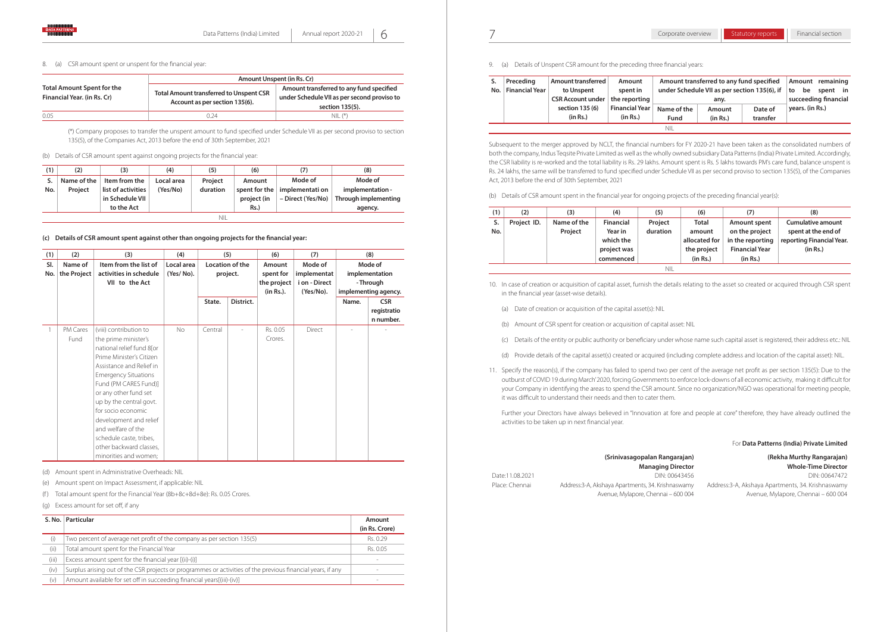9. (a) Details of Unspent CSR amount for the preceding three financial years:

| Preceding<br>No. l<br><b>Financial Year</b> |  | Amount transferred<br>to Unspent<br><b>CSR Account under</b> | Amount<br>spent in<br>the reporting | Amount transferred to any fund specified<br>under Schedule VII as per section 135(6), if | Amount remaining<br>to be<br>spent in<br>succeeding financial |                     |                 |  |  |
|---------------------------------------------|--|--------------------------------------------------------------|-------------------------------------|------------------------------------------------------------------------------------------|---------------------------------------------------------------|---------------------|-----------------|--|--|
|                                             |  | section 135 (6)<br>(in Rs.)                                  | <b>Financial Year</b><br>(in Rs.)   | Name of the<br><b>Fund</b>                                                               | Amount<br>(in Rs.)                                            | Date of<br>transfer | years. (in Rs.) |  |  |
|                                             |  |                                                              |                                     | NII                                                                                      |                                                               |                     |                 |  |  |

Subsequent to the merger approved by NCLT, the financial numbers for FY 2020-21 have been taken as the consolidated numbers of both the company, Indus Teqsite Private Limited as well as the wholly owned subsidiary Data Patterns (India) Private Limited. Accordingly, the CSR liability is re-worked and the total liability is Rs. 29 lakhs. Amount spent is Rs. 5 lakhs towards PM's care fund, balance unspent is Rs. 24 lakhs, the same will be transferred to fund specified under Schedule VII as per second proviso to section 135(5), of the Companies Act, 2013 before the end of 30th September, 2021

(b) Details of CSR amount spent in the financial year for ongoing projects of the preceding financial year(s):

| (1)       | (2)         | (3)                    | (4)                                                                  | (5)                 | (6)                                                                | (7)                                                                                     | (8)                                                                                      |  |  |
|-----------|-------------|------------------------|----------------------------------------------------------------------|---------------------|--------------------------------------------------------------------|-----------------------------------------------------------------------------------------|------------------------------------------------------------------------------------------|--|--|
| S.<br>No. | Project ID. | Name of the<br>Project | <b>Financial</b><br>Year in<br>which the<br>project was<br>commenced | Project<br>duration | <b>Total</b><br>amount<br>allocated for<br>the project<br>(in Rs.) | Amount spent<br>on the project<br>in the reporting<br><b>Financial Year</b><br>(in Rs.) | <b>Cumulative amount</b><br>spent at the end of<br>reporting Financial Year.<br>(in Rs.) |  |  |
|           | NIL         |                        |                                                                      |                     |                                                                    |                                                                                         |                                                                                          |  |  |

- 10. In case of creation or acquisition of capital asset, furnish the details relating to the asset so created or acquired through CSR spent in the financial year (asset-wise details).
	- (a) Date of creation or acquisition of the capital asset(s): NIL
	- (b) Amount of CSR spent for creation or acquisition of capital asset: NIL
	- (c) Details of the entity or public authority or beneficiary under whose name such capital asset is registered, their address etc.: NIL
	- (d) Provide details of the capital asset(s) created or acquired (including complete address and location of the capital asset): NIL.
- 11. Specify the reason(s), if the company has failed to spend two per cent of the average net profit as per section 135(5): Due to the it was difficult to understand their needs and then to cater them.

outburst of COVID 19 during March' 2020, forcing Governments to enforce lock-downs of all economic activity, making it difficult for your Company in identifying the areas to spend the CSR amount. Since no organization/NGO was operational for meeting people,

 Further your Directors have always believed in "Innovation at fore and people at core" therefore, they have already outlined the activities to be taken up in next financial year.

### For **Data Patterns (India) Private Limited**

**(Srinivasagopalan Rangarajan) (Rekha Murthy Rangarajan)** Place: Chennai Address:3-A, Akshaya Apartments, 34. Krishnaswamy Avenue, Mylapore, Chennai – 600 004

**Managing Director Whole-Time Director** Date:11.08.2021 DIN: 00643456 DIN: 00647472 Address:3-A, Akshaya Apartments, 34. Krishnaswamy Avenue, Mylapore, Chennai – 600 004

|                                                                  | Amount Unspent (in Rs. Cr)                                                       |                                                                                                            |  |  |  |
|------------------------------------------------------------------|----------------------------------------------------------------------------------|------------------------------------------------------------------------------------------------------------|--|--|--|
| <b>Total Amount Spent for the</b><br>Financial Year. (in Rs. Cr) | <b>Total Amount transferred to Unspent CSR</b><br>Account as per section 135(6). | Amount transferred to any fund specified<br>under Schedule VII as per second proviso to<br>section 135(5). |  |  |  |
| 0.05                                                             | ู่ 124                                                                           | $NIL$ $(*)$                                                                                                |  |  |  |

(\*) Company proposes to transfer the unspent amount to fund specified under Schedule VII as per second proviso to section 135(5), of the Companies Act, 2013 before the end of 30th September, 2021

(b) Details of CSR amount spent against ongoing projects for the financial year:

| (1) | (2)         | (3)                | (4)        | (5)      | (6)           | (7)               | (8)                  |  |  |
|-----|-------------|--------------------|------------|----------|---------------|-------------------|----------------------|--|--|
|     | Name of the | Item from the      | Local area | Project  | Amount        | Mode of           | Mode of              |  |  |
| No. | Project     | list of activities | (Yes/No)   | duration | spent for the | implementati on   | implementation -     |  |  |
|     |             | in Schedule VII    |            |          | project (in   | – Direct (Yes/No) | Through implementing |  |  |
|     |             | to the Act         |            |          | Rs.)          |                   | agency.              |  |  |
|     | NIL         |                    |            |          |               |                   |                      |  |  |

# **(c) Details of CSR amount spent against other than ongoing projects for the financial year:**

| (1)        | (2)                    | (3)                                                                                                                                                                                                                                                                                                                                                                                                  | (4)                     |         | (5)       | (6)                         | (7)           |       | (8)                                    |                                                 |                                                      |  |                                                                |
|------------|------------------------|------------------------------------------------------------------------------------------------------------------------------------------------------------------------------------------------------------------------------------------------------------------------------------------------------------------------------------------------------------------------------------------------------|-------------------------|---------|-----------|-----------------------------|---------------|-------|----------------------------------------|-------------------------------------------------|------------------------------------------------------|--|----------------------------------------------------------------|
| SI.<br>No. | Name of<br>the Project | Item from the list of<br>activities in schedule<br>VII to the Act                                                                                                                                                                                                                                                                                                                                    | Local area<br>(Yes/No). |         |           | Location of the<br>project. |               |       |                                        | Amount<br>spent for<br>the project<br>(in Rs.). | Mode of<br>implementat<br>i on - Direct<br>(Yes/No). |  | Mode of<br>implementation<br>- Through<br>implementing agency. |
|            |                        |                                                                                                                                                                                                                                                                                                                                                                                                      |                         | State.  | District. |                             |               | Name. | <b>CSR</b><br>registratio<br>n number. |                                                 |                                                      |  |                                                                |
|            | PM Cares<br>Fund       | (viii) contribution to<br>the prime minister's<br>national relief fund 8 or<br>Prime Minister's Citizen<br>Assistance and Relief in<br><b>Emergency Situations</b><br>Fund (PM CARES Fund)]<br>or any other fund set<br>up by the central govt.<br>for socio economic<br>development and relief<br>and welfare of the<br>schedule caste, tribes,<br>other backward classes,<br>minorities and women; | <b>No</b>               | Central |           | Rs. 0.05<br>Crores.         | <b>Direct</b> |       |                                        |                                                 |                                                      |  |                                                                |

(d) Amount spent in Administrative Overheads: NIL

(e) Amount spent on Impact Assessment, if applicable: NIL

(f) Total amount spent for the Financial Year (8b+8c+8d+8e): Rs. 0.05 Crores.

(g) Excess amount for set off, if any

|       | S. No.   Particular                                                                                         | Amount<br>(in Rs. Crore) |
|-------|-------------------------------------------------------------------------------------------------------------|--------------------------|
| (i)   | Two percent of average net profit of the company as per section 135(5)                                      | Rs. 0.29                 |
| (i)   | Total amount spent for the Financial Year                                                                   | Rs. 0.05                 |
| (iii) | Excess amount spent for the financial year [(ii)-(i)]                                                       | $\overline{\phantom{a}}$ |
| (iv)  | Surplus arising out of the CSR projects or programmes or activities of the previous financial years, if any |                          |
| (v)   | Amount available for set off in succeeding financial years[(iii)-(iv)]                                      | $\overline{\phantom{0}}$ |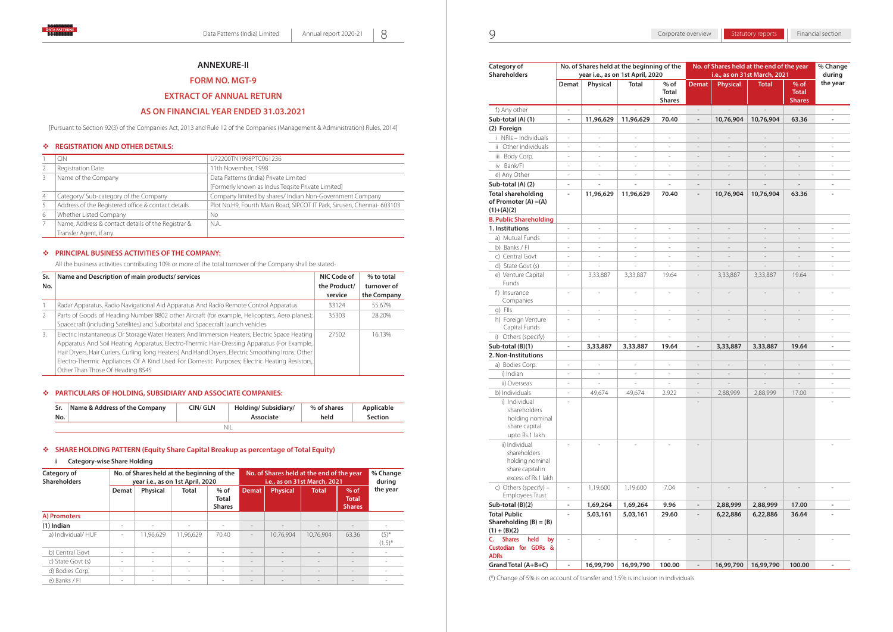| Category of<br><b>Shareholders</b>                                                           |                          |                          | No. of Shares held at the beginning of the<br>year i.e., as on 1st April, 2020 |                                         | No. of Shares held at the end of the year<br>i.e., as on 31st March, 2021 |                              |                |                                         | % Change<br>during       |
|----------------------------------------------------------------------------------------------|--------------------------|--------------------------|--------------------------------------------------------------------------------|-----------------------------------------|---------------------------------------------------------------------------|------------------------------|----------------|-----------------------------------------|--------------------------|
|                                                                                              | Demat                    | Physical                 | <b>Total</b>                                                                   | $%$ of<br><b>Total</b><br><b>Shares</b> | <b>Demat</b>                                                              | <b>Physical</b>              | <b>Total</b>   | $%$ of<br><b>Total</b><br><b>Shares</b> | the year                 |
| f) Any other                                                                                 | $\bar{a}$                | $\overline{a}$           | $\overline{a}$                                                                 | $\bar{\phantom{a}}$                     | $\overline{\phantom{a}}$                                                  |                              |                | $\overline{\phantom{a}}$                | $\bar{\phantom{a}}$      |
| Sub-total (A) (1)                                                                            | $\overline{\phantom{a}}$ | 11,96,629                | 11,96,629                                                                      | 70.40                                   | $\overline{\phantom{m}}$                                                  | 10,76,904                    | 10,76,904      | 63.36                                   | $\overline{\phantom{a}}$ |
| (2) Foreign                                                                                  |                          |                          |                                                                                |                                         |                                                                           |                              |                |                                         |                          |
| i NRIs - Individuals                                                                         | $\overline{a}$           | $\overline{\phantom{a}}$ | $\overline{a}$                                                                 | $\bar{a}$                               | $\overline{a}$                                                            | $\overline{a}$               | $\overline{a}$ | $\overline{a}$                          | $\overline{a}$           |
| ii Other Individuals                                                                         | $\overline{a}$           | $\overline{a}$           | $\overline{a}$                                                                 | L,                                      |                                                                           |                              |                | $\overline{a}$                          | $\overline{a}$           |
| iii Body Corp.                                                                               | $\overline{a}$           | L,                       | $\overline{a}$                                                                 | $\overline{a}$                          |                                                                           |                              | $\overline{a}$ | $\overline{a}$                          | ÷,                       |
| iv Bank/FI                                                                                   | $\bar{a}$                | $\overline{\phantom{a}}$ | $\bar{\phantom{a}}$                                                            | $\bar{a}$                               | $\qquad \qquad -$                                                         | $\overline{a}$               | $\overline{a}$ | $\qquad \qquad -$                       | $\overline{a}$           |
| e) Any Other                                                                                 | $\qquad \qquad -$        | ÷,                       | $\qquad \qquad -$                                                              | $\bar{\phantom{a}}$                     | $\qquad \qquad -$                                                         | $\overline{a}$               | $\overline{a}$ | $\qquad \qquad -$                       | $\frac{1}{2}$            |
| Sub-total (A) (2)                                                                            | $\overline{\phantom{0}}$ | $\overline{\phantom{a}}$ | $\qquad \qquad \blacksquare$                                                   | $\overline{\phantom{a}}$                | $\overline{\phantom{a}}$                                                  | $\qquad \qquad \blacksquare$ | $\overline{a}$ | $\qquad \qquad \blacksquare$            | $\overline{\phantom{a}}$ |
| <b>Total shareholding</b><br>of Promoter $(A) = (A)$<br>$(1)+(A)(2)$                         | $\overline{\phantom{0}}$ | 11,96,629                | 11,96,629                                                                      | 70.40                                   | $\overline{\phantom{0}}$                                                  | 10,76,904                    | 10,76,904      | 63.36                                   | $\overline{\phantom{a}}$ |
| <b>B. Public Shareholding</b>                                                                |                          |                          |                                                                                |                                         |                                                                           |                              |                |                                         |                          |
| 1. Institutions                                                                              | $\overline{a}$           | $\overline{a}$           | $\overline{a}$                                                                 | $\overline{a}$                          |                                                                           |                              | $\overline{a}$ | $\overline{a}$                          | $\overline{a}$           |
| a) Mutual Funds                                                                              | $\overline{a}$           | ÷,                       | $\bar{\phantom{a}}$                                                            | $\frac{1}{2}$                           | $\overline{a}$                                                            | $\overline{a}$               | L,             | $\overline{a}$                          | $\overline{a}$           |
| b) Banks / Fl                                                                                | $\overline{\phantom{0}}$ | $\frac{1}{2}$            | $\qquad \qquad -$                                                              | $\qquad \qquad -$                       | $\qquad \qquad -$                                                         | $\overline{\phantom{m}}$     | $\overline{a}$ | $\qquad \qquad -$                       | $\overline{\phantom{m}}$ |
| c) Central Govt                                                                              | $\frac{1}{2}$            | ÷,                       | $\overline{\phantom{a}}$                                                       | $\overline{\phantom{a}}$                | $\overline{\phantom{m}}$                                                  | $\overline{a}$               | $\overline{a}$ | $\qquad \qquad -$                       | $\frac{1}{2}$            |
| d) State Govt (s)                                                                            | $\frac{1}{2}$            | ÷,                       | $\overline{\phantom{a}}$                                                       | $\overline{\phantom{a}}$                | $\overline{\phantom{m}}$                                                  | $\overline{a}$               | $\overline{a}$ | $\overline{a}$                          | $\overline{\phantom{a}}$ |
| e) Venture Capital<br>Funds                                                                  | $\frac{1}{2}$            | 3,33,887                 | 3,33,887                                                                       | 19.64                                   | $\overline{a}$                                                            | 3,33,887                     | 3,33,887       | 19.64                                   | $\overline{\phantom{a}}$ |
| f) Insurance<br>Companies                                                                    | $\overline{a}$           | ÷,                       | $\bar{\phantom{a}}$                                                            | $\bar{\phantom{a}}$                     |                                                                           |                              | $\overline{a}$ |                                         | $\overline{\phantom{a}}$ |
| g) Flls                                                                                      | $\overline{\phantom{0}}$ | ÷,                       | $\overline{\phantom{a}}$                                                       | $\overline{\phantom{a}}$                | $\qquad \qquad -$                                                         | $\overline{a}$               | $\overline{a}$ | $\overline{\phantom{m}}$                | ÷,                       |
| h) Foreign Venture<br>Capital Funds                                                          | $\overline{a}$           | $\overline{a}$           | $\overline{\phantom{0}}$                                                       | $\overline{a}$                          |                                                                           |                              |                |                                         | ÷,                       |
| i) Others (specify)                                                                          | $\frac{1}{2}$            | $\overline{a}$           | $\overline{\phantom{0}}$                                                       | $\bar{\phantom{a}}$                     | $\overline{a}$                                                            |                              | $\overline{a}$ |                                         | $\overline{\phantom{a}}$ |
| Sub-total (B)(1)                                                                             | $\overline{\phantom{0}}$ | 3,33,887                 | 3,33,887                                                                       | 19.64                                   | $\overline{\phantom{a}}$                                                  | 3,33,887                     | 3,33,887       | 19.64                                   | $\overline{\phantom{a}}$ |
| 2. Non-Institutions                                                                          |                          |                          |                                                                                |                                         |                                                                           |                              |                |                                         |                          |
| a) Bodies Corp.                                                                              | $\overline{\phantom{a}}$ | $\bar{ }$                | $\overline{\phantom{0}}$                                                       | $\overline{\phantom{a}}$                | $\overline{a}$                                                            |                              | $\overline{a}$ | $\overline{\phantom{a}}$                | $\overline{\phantom{a}}$ |
| i) Indian                                                                                    | $\overline{\phantom{a}}$ | $\bar{\phantom{a}}$      | $\frac{1}{2}$                                                                  | $\overline{\phantom{a}}$                | $\overline{a}$                                                            |                              | $\overline{a}$ | $\overline{\phantom{a}}$                | $\overline{\phantom{a}}$ |
| ii) Overseas                                                                                 | $\overline{\phantom{a}}$ | $\bar{\phantom{a}}$      | $\overline{\phantom{a}}$                                                       | $\bar{\phantom{a}}$                     |                                                                           |                              |                | $\overline{a}$                          | $\overline{\phantom{a}}$ |
| b) Individuals                                                                               |                          | 49,674                   | 49,674                                                                         | 2.922                                   |                                                                           | 2,88,999                     | 2,88,999       | 17.00                                   |                          |
| i) Individual<br>shareholders<br>holding nominal<br>share capital<br>upto Rs.1 lakh          |                          |                          |                                                                                |                                         |                                                                           |                              |                |                                         |                          |
| ii) Individual<br>shareholders<br>holding nominal<br>share capital in<br>excess of Rs.1 lakh |                          |                          |                                                                                |                                         |                                                                           |                              |                |                                         |                          |
| c) Others (specify) -<br>Employees Trust                                                     |                          | 1,19,600                 | 1,19,600                                                                       | 7.04                                    |                                                                           |                              |                |                                         |                          |
| Sub-total (B)(2)                                                                             | $\overline{\phantom{0}}$ | 1,69,264                 | 1,69,264                                                                       | 9.96                                    | $\overline{\phantom{a}}$                                                  | 2,88,999                     | 2,88,999       | 17.00                                   | $\overline{\phantom{a}}$ |
| <b>Total Public</b>                                                                          | $\overline{\phantom{0}}$ | 5,03,161                 | 5,03,161                                                                       | 29.60                                   |                                                                           | 6,22,886                     | 6,22,886       | 36.64                                   |                          |
| Shareholding $(B) = (B)$<br>$(1) + (B)(2)$                                                   |                          |                          |                                                                                |                                         |                                                                           |                              |                |                                         |                          |
| held<br><b>Shares</b><br>C.<br>by<br>Custodian for GDRs &<br><b>ADRs</b>                     |                          |                          |                                                                                |                                         |                                                                           |                              |                |                                         |                          |
| Grand Total (A+B+C)                                                                          |                          | 16,99,790                | 16,99,790                                                                      | 100.00                                  |                                                                           | 16,99,790                    | 16,99,790      | 100.00                                  |                          |

(\*) Change of 5% is on account of transfer and 1.5% is inclusion in individuals

# **ANNEXURE-II**

# **FORM NO. MGT-9**

# **EXTRACT OF ANNUAL RETURN**

# **AS ON FINANCIAL YEAR ENDED 31.03.2021**

[Pursuant to Section 92(3) of the Companies Act, 2013 and Rule 12 of the Companies (Management & Administration) Rules, 2014]

# v **REGISTRATION AND OTHER DETAILS:**

|                          | CIN                                                | U72200TN1998PTC061236                                                  |
|--------------------------|----------------------------------------------------|------------------------------------------------------------------------|
| 2                        | <b>Registration Date</b>                           | 11th November, 1998                                                    |
| Name of the Company<br>3 |                                                    | Data Patterns (India) Private Limited                                  |
|                          |                                                    | [Formerly known as Indus Tegsite Private Limited]                      |
| $\overline{4}$           | Category/ Sub-category of the Company              | Company limited by shares/ Indian Non-Government Company               |
| 5                        | Address of the Registered office & contact details | Plot No.H9, Fourth Main Road, SIPCOT IT Park, Siruseri, Chennai-603103 |
| 6                        | Whether Listed Company                             | <b>No</b>                                                              |
|                          | Name, Address & contact details of the Registrar & | N.A.                                                                   |
|                          | Transfer Agent, if any                             |                                                                        |

# $\div$  **PRINCIPAL BUSINESS ACTIVITIES OF THE COMPANY:**

All the business activities contributing 10% or more of the total turnover of the Company shall be stated-

| Sr.<br>No.    | Name and Description of main products/services                                                                                                                                                                                                                                                                                                                                                                                        | NIC Code of<br>the Product/<br>service | % to total<br>turnover of<br>the Company |
|---------------|---------------------------------------------------------------------------------------------------------------------------------------------------------------------------------------------------------------------------------------------------------------------------------------------------------------------------------------------------------------------------------------------------------------------------------------|----------------------------------------|------------------------------------------|
|               | Radar Apparatus, Radio Navigational Aid Apparatus And Radio Remote Control Apparatus                                                                                                                                                                                                                                                                                                                                                  | 33124                                  | 55.67%                                   |
| $\mathcal{P}$ | Parts of Goods of Heading Number 8802 other Aircraft (for example, Helicopters, Aero planes);<br>Spacecraft (including Satellites) and Suborbital and Spacecraft launch vehicles                                                                                                                                                                                                                                                      | 35303                                  | 28.20%                                   |
| 3.            | Electric Instantaneous Or Storage Water Heaters And Immersion Heaters; Electric Space Heating<br>Apparatus And Soil Heating Apparatus; Electro-Thermic Hair-Dressing Apparatus (For Example,<br>Hair Dryers, Hair Curlers, Curling Tong Heaters) And Hand Dryers, Electric Smoothing Irons; Other<br>Electro-Thermic Appliances Of A Kind Used For Domestic Purposes; Electric Heating Resistors,<br>Other Than Those Of Heading 8545 | 27502                                  | 16.13%                                   |

# v **PARTICULARS OF HOLDING, SUBSIDIARY AND ASSOCIATE COMPANIES:**

| No. | Name & Address of the Company | CIN/ GLN | Holding/Subsidiary/<br>Associate | % of shares<br>held | Applicable<br><b>Section</b> |  |  |  |  |
|-----|-------------------------------|----------|----------------------------------|---------------------|------------------------------|--|--|--|--|
|     | NIL                           |          |                                  |                     |                              |  |  |  |  |

# v **SHARE HOLDING PATTERN (Equity Share Capital Breakup as percentage of Total Equity)**

# **i Category-wise Share Holding**

| Category of<br><b>Shareholders</b> |                          | No. of Shares held at the beginning of the<br>year i.e., as on 1st April, 2020 |                          |                                  |                          | No. of Shares held at the end of the year<br>i.e., as on 31st March, 2021 |                   |                                         |                        |  |
|------------------------------------|--------------------------|--------------------------------------------------------------------------------|--------------------------|----------------------------------|--------------------------|---------------------------------------------------------------------------|-------------------|-----------------------------------------|------------------------|--|
|                                    | Demat                    | Physical                                                                       | Total                    | $%$ of<br>Total<br><b>Shares</b> | <b>Demat</b>             | <b>Physical</b>                                                           | <b>Total</b>      | $%$ of<br><b>Total</b><br><b>Shares</b> | the year               |  |
| A) Promoters                       |                          |                                                                                |                          |                                  |                          |                                                                           |                   |                                         |                        |  |
| $(1)$ Indian                       | $\equiv$                 | $\overline{\phantom{a}}$                                                       | $\overline{\phantom{a}}$ |                                  |                          | $\overline{\phantom{a}}$                                                  |                   |                                         |                        |  |
| a) Individual/HUF                  | $\overline{\phantom{a}}$ | 11,96,629                                                                      | 11,96,629                | 70.40                            |                          | 10.76.904                                                                 | 10,76,904         | 63.36                                   | $(5)^{*}$<br>$(1.5)^*$ |  |
| b) Central Govt                    | $\qquad \qquad =$        |                                                                                |                          |                                  |                          |                                                                           |                   |                                         |                        |  |
| c) State Govt (s)                  | $\equiv$                 | $\overline{\phantom{a}}$                                                       | $\overline{\phantom{a}}$ | $\overline{\phantom{a}}$         | $\overline{\phantom{0}}$ | $\overline{\phantom{a}}$                                                  | $\qquad \qquad -$ |                                         |                        |  |
| d) Bodies Corp.                    | $\equiv$                 | $\overline{\phantom{a}}$                                                       | $\overline{\phantom{0}}$ |                                  | $\overline{\phantom{0}}$ |                                                                           |                   |                                         |                        |  |
| e) Banks / FI                      | $\overline{\phantom{0}}$ |                                                                                |                          |                                  |                          |                                                                           |                   |                                         |                        |  |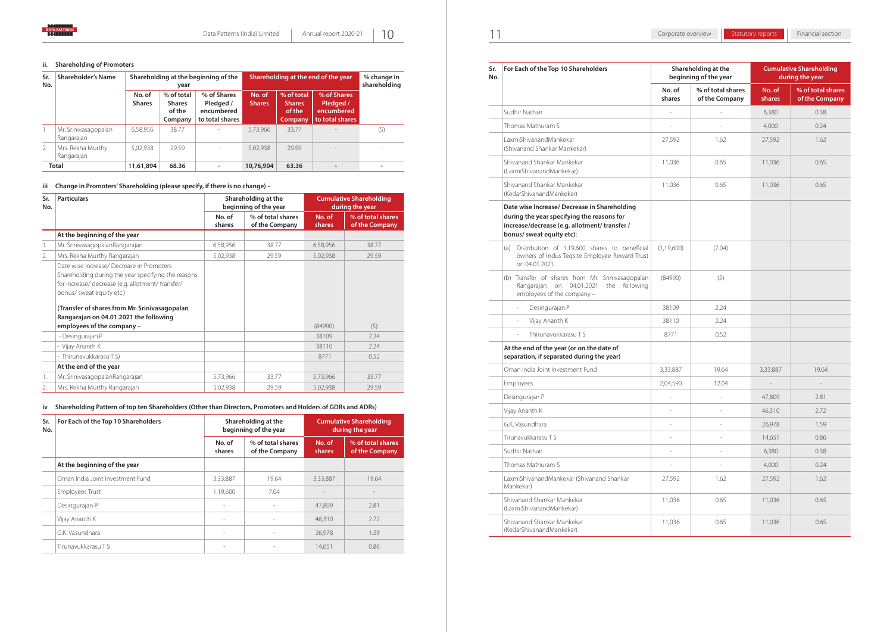

| Sr.<br>No. | For Each of the Top 10 Shareholders                                                                                                                                     |                          | Shareholding at the<br>beginning of the year | <b>Cumulative Shareholding</b><br>during the year |                                     |  |
|------------|-------------------------------------------------------------------------------------------------------------------------------------------------------------------------|--------------------------|----------------------------------------------|---------------------------------------------------|-------------------------------------|--|
|            |                                                                                                                                                                         | No. of<br>shares         | % of total shares<br>of the Company          | No. of<br>shares                                  | % of total shares<br>of the Company |  |
|            | Sudhir Nathan                                                                                                                                                           | $\overline{a}$           |                                              | 6,380                                             | 0.38                                |  |
|            | Thomas Mathuram S                                                                                                                                                       | $\overline{\phantom{a}}$ |                                              | 4,000                                             | 0.24                                |  |
|            | LaxmiShivanandMankekar<br>(Shivanand Shankar Mankekar)                                                                                                                  | 27,592                   | 1.62                                         | 27,592                                            | 1.62                                |  |
|            | Shivanand Shankar Mankekar<br>(LaxmiShivanandMankekar)                                                                                                                  | 11,036                   | 0.65                                         | 11,036                                            | 0.65                                |  |
|            | Shivanand Shankar Mankekar<br>(KedarShivanandMankekar)                                                                                                                  | 11,036                   | 0.65                                         | 11,036                                            | 0.65                                |  |
|            | Date wise Increase/ Decrease in Shareholding<br>during the year specifying the reasons for<br>increase/decrease (e.g. allotment/transfer /<br>bonus/ sweat equity etc): |                          |                                              |                                                   |                                     |  |
|            | Distribution of 1,19,600 shares to beneficial<br>(a)<br>owners of Indus Teqsite Employee Reward Trust<br>on 04.01.2021.                                                 | (1,19,600)               | (7.04)                                       |                                                   |                                     |  |
|            | (b) Transfer of shares from Mr. Srinivasagopalan<br>Rangarajan on 04.01.2021<br>following<br>the<br>employees of the company -                                          | (84990)                  | (5)                                          |                                                   |                                     |  |
|            | Desingurajan.P<br>$\overline{\phantom{a}}$                                                                                                                              | 38109                    | 2.24                                         |                                                   |                                     |  |
|            | Vijay Ananth K<br>$\bar{ }$                                                                                                                                             | 38110                    | 2.24                                         |                                                   |                                     |  |
|            | Thirunavukkarasu T S                                                                                                                                                    | 8771                     | 0.52                                         |                                                   |                                     |  |
|            | At the end of the year (or on the date of<br>separation, if separated during the year)                                                                                  |                          |                                              |                                                   |                                     |  |
|            | Oman India Joint Investment Fund                                                                                                                                        | 3,33,887                 | 19.64                                        | 3,33,887                                          | 19.64                               |  |
|            | Employees                                                                                                                                                               | 2,04,590                 | 12.04                                        |                                                   |                                     |  |
|            | Desingurajan P                                                                                                                                                          |                          |                                              | 47,809                                            | 2.81                                |  |
|            | Vijay Ananth K                                                                                                                                                          | ÷,                       |                                              | 46,310                                            | 2.72                                |  |
|            | G.K. Vasundhara                                                                                                                                                         |                          |                                              | 26,978                                            | 1.59                                |  |
|            | Tirunavukkarasu T S                                                                                                                                                     | $\overline{\phantom{a}}$ |                                              | 14,651                                            | 0.86                                |  |
|            | Sudhir Nathan                                                                                                                                                           |                          |                                              | 6,380                                             | 0.38                                |  |
|            | Thomas Mathuram S                                                                                                                                                       | $\frac{1}{2}$            |                                              | 4,000                                             | 0.24                                |  |
|            | LaxmiShivanandMankekar (Shivanand Shankar<br>Mankekar)                                                                                                                  | 27,592                   | 1.62                                         | 27,592                                            | 1.62                                |  |
|            | Shivanand Shankar Mankekar<br>(LaxmiShivanandMankekar)                                                                                                                  | 11,036                   | 0.65                                         | 11,036                                            | 0.65                                |  |
|            | Shivanand Shankar Mankekar<br>(KedarShivanandMankekar)                                                                                                                  | 11,036                   | 0.65                                         | 11,036                                            | 0.65                                |  |

| For Each of the Top 10 Shareholders                                                                                                                                     |                          | Shareholding at the<br>beginning of the year | <b>Cumulative Shareholding</b><br>during the year |                                     |  |
|-------------------------------------------------------------------------------------------------------------------------------------------------------------------------|--------------------------|----------------------------------------------|---------------------------------------------------|-------------------------------------|--|
|                                                                                                                                                                         | No. of<br>shares         | % of total shares<br>of the Company          | No. of<br>shares                                  | % of total shares<br>of the Company |  |
| Sudhir Nathan                                                                                                                                                           | $\bar{a}$                |                                              | 6,380                                             | 0.38                                |  |
| Thomas Mathuram S                                                                                                                                                       | $\overline{\phantom{a}}$ | $\overline{\phantom{0}}$                     | 4,000                                             | 0.24                                |  |
| LaxmiShivanandMankekar<br>(Shivanand Shankar Mankekar)                                                                                                                  | 27,592                   | 1.62                                         | 27,592                                            | 1.62                                |  |
| Shivanand Shankar Mankekar<br>(LaxmiShivanandMankekar)                                                                                                                  | 11,036                   | 0.65                                         | 11,036                                            | 0.65                                |  |
| Shivanand Shankar Mankekar<br>(KedarShivanandMankekar)                                                                                                                  | 11,036                   | 0.65                                         | 11,036                                            | 0.65                                |  |
| Date wise Increase/ Decrease in Shareholding<br>during the year specifying the reasons for<br>increase/decrease (e.g. allotment/transfer /<br>bonus/ sweat equity etc): |                          |                                              |                                                   |                                     |  |
| Distribution of 1,19,600 shares to beneficial<br>(a)<br>owners of Indus Teqsite Employee Reward Trust<br>on 04.01.2021.                                                 | (1, 19, 600)             | (7.04)                                       |                                                   |                                     |  |
| (b) Transfer of shares from Mr. Srinivasagopalan<br>Rangarajan<br>on 04.01.2021<br>the<br>following<br>employees of the company -                                       | (84990)                  | (5)                                          |                                                   |                                     |  |
| Desingurajan.P<br>$\overline{\phantom{0}}$                                                                                                                              | 38109                    | 2.24                                         |                                                   |                                     |  |
| Vijay Ananth K<br>$\frac{1}{2}$                                                                                                                                         | 38110                    | 2.24                                         |                                                   |                                     |  |
| Thirunavukkarasu T S<br>$\overline{\phantom{a}}$                                                                                                                        | 8771                     | 0.52                                         |                                                   |                                     |  |
| At the end of the year (or on the date of<br>separation, if separated during the year)                                                                                  |                          |                                              |                                                   |                                     |  |
| Oman India Joint Investment Fund                                                                                                                                        | 3,33,887                 | 19.64                                        | 3,33,887                                          | 19.64                               |  |
| Employees                                                                                                                                                               | 2,04,590                 | 12.04                                        |                                                   |                                     |  |
| Desingurajan P                                                                                                                                                          |                          |                                              | 47,809                                            | 2.81                                |  |
| Vijay Ananth K                                                                                                                                                          | ÷,                       | $\overline{a}$                               | 46,310                                            | 2.72                                |  |
| G.K. Vasundhara                                                                                                                                                         | $\overline{a}$           |                                              | 26,978                                            | 1.59                                |  |
| Tirunavukkarasu T S                                                                                                                                                     | $\overline{\phantom{a}}$ | $\overline{a}$                               | 14,651                                            | 0.86                                |  |
| Sudhir Nathan                                                                                                                                                           | ÷,                       |                                              | 6,380                                             | 0.38                                |  |
| Thomas Mathuram S                                                                                                                                                       | $\overline{\phantom{a}}$ | $\overline{\phantom{0}}$                     | 4,000                                             | 0.24                                |  |
| LaxmiShivanandMankekar (Shivanand Shankar<br>Mankekar)                                                                                                                  | 27,592                   | 1.62                                         | 27,592                                            | 1.62                                |  |
| Shivanand Shankar Mankekar<br>(LaxmiShivanandMankekar)                                                                                                                  | 11,036                   | 0.65                                         | 11,036                                            | 0.65                                |  |
| Shivanand Shankar Mankekar<br>(KedarShivanandMankekar)                                                                                                                  | 11,036                   | 0.65                                         | 11,036                                            | 0.65                                |  |

# **ii. Shareholding of Promoters**

| Sr.<br>No.    | <b>Shareholder's Name</b>          |                         | Shareholding at the beginning of the<br>Shareholding at the end of the year<br>year |                                                           |                         |                                           | % change in<br>shareholding                               |                          |
|---------------|------------------------------------|-------------------------|-------------------------------------------------------------------------------------|-----------------------------------------------------------|-------------------------|-------------------------------------------|-----------------------------------------------------------|--------------------------|
|               |                                    | No. of<br><b>Shares</b> | % of total<br><b>Shares</b><br>of the<br>Company                                    | % of Shares<br>Pledged /<br>encumbered<br>to total shares | No. of<br><b>Shares</b> | % of total<br>Shares<br>of the<br>Company | % of Shares<br>Pledged /<br>encumbered<br>to total shares |                          |
|               | Mr. Srinivasagopalan<br>Rangarajan | 6.58.956                | 38.77                                                                               | $\overline{\phantom{0}}$                                  | 5,73,966                | 33.77                                     |                                                           | (5)                      |
| $\mathcal{P}$ | Mrs. Rekha Murthy<br>Rangarajan    | 5,02,938                | 29.59                                                                               | $\overline{\phantom{0}}$                                  | 5,02,938                | 29.59                                     |                                                           |                          |
|               | Total                              | 11,61,894               | 68.36                                                                               |                                                           | 10,76,904               | 63.36                                     |                                                           | $\overline{\phantom{0}}$ |

# **iii Change in Promoters' Shareholding (please specify, if there is no change) –**

| Sr.<br>No. | <b>Particulars</b>                                                                                                                                                                                                                                                                                           |                  | Shareholding at the<br>beginning of the year | <b>Cumulative Shareholding</b><br>during the year |                                     |  |
|------------|--------------------------------------------------------------------------------------------------------------------------------------------------------------------------------------------------------------------------------------------------------------------------------------------------------------|------------------|----------------------------------------------|---------------------------------------------------|-------------------------------------|--|
|            |                                                                                                                                                                                                                                                                                                              | No. of<br>shares | % of total shares<br>of the Company          | No. of<br>shares                                  | % of total shares<br>of the Company |  |
|            | At the beginning of the year                                                                                                                                                                                                                                                                                 |                  |                                              |                                                   |                                     |  |
| 1.         | Mr. SrinivasagopalanRangarajan                                                                                                                                                                                                                                                                               | 6,58,956         | 38.77                                        | 6,58,956                                          | 38.77                               |  |
| 2.         | Mrs. Rekha Murthy Rangarajan                                                                                                                                                                                                                                                                                 | 5,02,938         | 29.59                                        | 5,02,938                                          | 29.59                               |  |
|            | Date wise Increase/ Decrease in Promoters<br>Shareholding during the year specifying the reasons<br>for increase/ decrease (e.g. allotment/ transfer/<br>bonus/ sweat equity etc.)<br>(Transfer of shares from Mr. Srinivasagopalan)<br>Rangarajan on 04.01.2021 the following<br>employees of the company - |                  |                                              | (84990)                                           | (5)                                 |  |
|            | - Desingurajan.P                                                                                                                                                                                                                                                                                             |                  |                                              | 38109                                             | 2.24                                |  |
|            | - Vijay Ananth K                                                                                                                                                                                                                                                                                             |                  |                                              | 38110                                             | 2.24                                |  |
|            | - Thirunavukkarasu TS)                                                                                                                                                                                                                                                                                       |                  |                                              | 8771                                              | 0.52                                |  |
|            | At the end of the year                                                                                                                                                                                                                                                                                       |                  |                                              |                                                   |                                     |  |
| 1.         | Mr. SrinivasagopalanRangarajan                                                                                                                                                                                                                                                                               | 5,73,966         | 33.77                                        | 5,73,966                                          | 33.77                               |  |
| 2.         | Mrs. Rekha Murthy Rangarajan                                                                                                                                                                                                                                                                                 | 5,02,938         | 29.59                                        | 5,02,938                                          | 29.59                               |  |

# **iv Shareholding Pattern of top ten Shareholders (Other than Directors, Promoters and Holders of GDRs and ADRs)**

| Sr.<br>No. | For Each of the Top 10 Shareholders |                  | Shareholding at the<br>beginning of the year | <b>Cumulative Shareholding</b><br>during the year |                                     |  |
|------------|-------------------------------------|------------------|----------------------------------------------|---------------------------------------------------|-------------------------------------|--|
|            |                                     | No. of<br>shares | % of total shares<br>of the Company          | No. of<br>shares                                  | % of total shares<br>of the Company |  |
|            | At the beginning of the year        |                  |                                              |                                                   |                                     |  |
|            | Oman India Joint Investment Fund    | 3,33,887         | 19.64                                        | 3,33,887                                          | 19.64                               |  |
|            | Employees Trust                     | 1,19,600         | 7.04                                         |                                                   |                                     |  |
|            | Desingurajan P                      | ۰                |                                              | 47,809                                            | 2.81                                |  |
|            | Vijay Ananth K                      |                  |                                              | 46,310                                            | 2.72                                |  |
|            | G.K. Vasundhara                     |                  |                                              | 26.978                                            | 1.59                                |  |
|            | Tirunavukkarasu T S                 |                  |                                              | 14,651                                            | 0.86                                |  |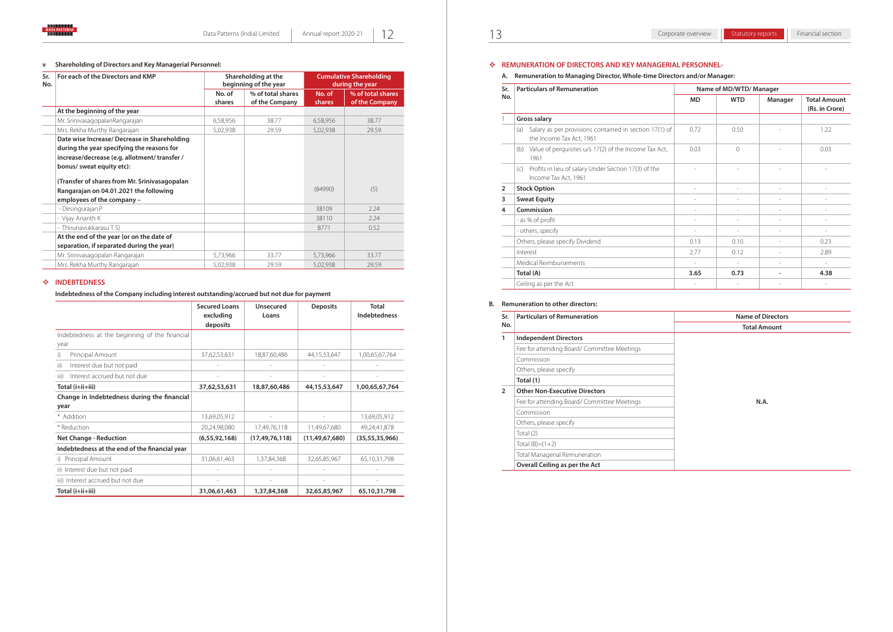| Name of MD/WTD/ Manager |            |         |                                       |  |  |  |  |  |  |  |
|-------------------------|------------|---------|---------------------------------------|--|--|--|--|--|--|--|
| <b>MD</b>               | <b>WTD</b> | Manager | <b>Total Amount</b><br>(Rs. in Crore) |  |  |  |  |  |  |  |
|                         |            |         |                                       |  |  |  |  |  |  |  |
| 0.72                    | 0.50       |         | 1.22                                  |  |  |  |  |  |  |  |
| 0.03                    | 0          |         | 0.03                                  |  |  |  |  |  |  |  |
|                         |            |         |                                       |  |  |  |  |  |  |  |
|                         |            |         |                                       |  |  |  |  |  |  |  |
|                         |            |         |                                       |  |  |  |  |  |  |  |
|                         |            |         |                                       |  |  |  |  |  |  |  |
|                         |            |         |                                       |  |  |  |  |  |  |  |
|                         |            |         |                                       |  |  |  |  |  |  |  |
| 0.13                    | 0.10       |         | 0.23                                  |  |  |  |  |  |  |  |
| 2.77                    | 0.12       |         | 2.89                                  |  |  |  |  |  |  |  |
|                         |            |         |                                       |  |  |  |  |  |  |  |
| 3.65                    | 0.73       |         | 4.38                                  |  |  |  |  |  |  |  |
|                         |            |         |                                       |  |  |  |  |  |  |  |

# **B. Remuneration to other directors:**

| Name of Directors   |  |
|---------------------|--|
| <b>Total Amount</b> |  |
|                     |  |

| Sr.           | <b>Particulars of Remuneration</b>          | <b>Name of Directors</b> |
|---------------|---------------------------------------------|--------------------------|
| No.           |                                             | <b>Total Amount</b>      |
| 1             | <b>Independent Directors</b>                |                          |
|               | Fee for attending Board/ Committee Meetings |                          |
|               | Commission                                  |                          |
|               | Others, please specify                      |                          |
|               | Total (1)                                   |                          |
| $\mathcal{P}$ | <b>Other Non-Executive Directors</b>        |                          |
|               | Fee for attending Board/ Committee Meetings | <b>N.A.</b>              |
|               | Commission                                  |                          |
|               | Others, please specify                      |                          |
|               | Total (2)                                   |                          |
|               | Total $(B)=(1+2)$                           |                          |
|               | <b>Total Managerial Remuneration</b>        |                          |
|               | Overall Ceiling as per the Act              |                          |

| Sr.<br>No. | For each of the Directors and KMP                                                                                                                                                                                                                                                                |                  | Shareholding at the<br>beginning of the year | <b>Cumulative Shareholding</b><br>during the year |                                     |
|------------|--------------------------------------------------------------------------------------------------------------------------------------------------------------------------------------------------------------------------------------------------------------------------------------------------|------------------|----------------------------------------------|---------------------------------------------------|-------------------------------------|
|            |                                                                                                                                                                                                                                                                                                  | No. of<br>shares | % of total shares<br>of the Company          | No. of<br>shares                                  | % of total shares<br>of the Company |
|            | At the beginning of the year                                                                                                                                                                                                                                                                     |                  |                                              |                                                   |                                     |
|            | Mr. SrinivasagopalanRangarajan                                                                                                                                                                                                                                                                   | 6,58,956         | 38.77                                        | 6,58,956                                          | 38.77                               |
|            | Mrs. Rekha Murthy Rangarajan                                                                                                                                                                                                                                                                     | 5,02,938         | 29.59                                        | 5,02,938                                          | 29.59                               |
|            | Date wise Increase/ Decrease in Shareholding<br>during the year specifying the reasons for<br>increase/decrease (e.g. allotment/transfer/<br>bonus/ sweat equity etc):<br>(Transfer of shares from Mr. Srinivasagopalan)<br>Rangarajan on 04.01.2021 the following<br>employees of the company - |                  |                                              | (84990)                                           | (5)                                 |
|            | - Desingurajan.P                                                                                                                                                                                                                                                                                 |                  |                                              | 38109                                             | 2.24                                |
|            | - Vijay Ananth K                                                                                                                                                                                                                                                                                 |                  |                                              | 38110                                             | 2.24                                |
|            | - Thirunavukkarasu TS)                                                                                                                                                                                                                                                                           |                  |                                              | 8771                                              | 0.52                                |
|            | At the end of the year (or on the date of<br>separation, if separated during the year)                                                                                                                                                                                                           |                  |                                              |                                                   |                                     |
|            | Mr. Srinivasagopalan Rangarajan                                                                                                                                                                                                                                                                  | 5,73,966         | 33.77                                        | 5,73,966                                          | 33.77                               |
|            | Mrs. Rekha Murthy Rangarajan                                                                                                                                                                                                                                                                     | 5,02,938         | 29.59                                        | 5,02,938                                          | 29.59                               |

# v **INDEBTEDNESS**

**Indebtedness of the Company including interest outstanding/accrued but not due for payment**

|                                                        | <b>Secured Loans</b>  | Unsecured         | <b>Deposits</b>   | <b>Total</b>        |
|--------------------------------------------------------|-----------------------|-------------------|-------------------|---------------------|
|                                                        | excluding<br>deposits | Loans             |                   | <b>Indebtedness</b> |
| Indebtedness at the beginning of the financial<br>year |                       |                   |                   |                     |
| Principal Amount<br>i)                                 | 37,62,53,631          | 18,87,60,486      | 44,15,53,647      | 1,00,65,67,764      |
| Interest due but not paid<br>ii)                       |                       |                   |                   |                     |
| Interest accrued but not due<br>iii)                   |                       |                   |                   |                     |
| Total $(i+i+i)$                                        | 37,62,53,631          | 18,87,60,486      | 44,15,53,647      | 1,00,65,67,764      |
| Change in Indebtedness during the financial            |                       |                   |                   |                     |
| year                                                   |                       |                   |                   |                     |
| * Addition                                             | 13,69,05,912          |                   |                   | 13,69,05,912        |
| * Reduction                                            | 20,24,98,080          | 17,49,76,118      | 11,49,67,680      | 49,24,41,878        |
| <b>Net Change - Reduction</b>                          | (6, 55, 92, 168)      | (17, 49, 76, 118) | (11, 49, 67, 680) | (35, 55, 35, 966)   |
| Indebtedness at the end of the financial year          |                       |                   |                   |                     |
| i) Principal Amount                                    | 31,06,61,463          | 1,37,84,368       | 32,65,85,967      | 65,10,31,798        |
| ii) Interest due but not paid                          |                       |                   |                   |                     |
| iii) Interest accrued but not due                      |                       |                   |                   |                     |
| Total (i+ii+iii)                                       | 31,06,61,463          | 1,37,84,368       | 32,65,85,967      | 65,10,31,798        |

| Sr.            | <b>Particulars of Remuneration</b>                                                        |                | Name of MD/WTD/ Manager |         |                              |
|----------------|-------------------------------------------------------------------------------------------|----------------|-------------------------|---------|------------------------------|
| No.            |                                                                                           | <b>MD</b>      | <b>WTD</b>              | Manager | <b>Total Am</b><br>(Rs. in C |
|                | <b>Gross salary</b>                                                                       |                |                         |         |                              |
|                | Salary as per provisions contained in section 17(1) of<br>(a)<br>the Income Tax Act, 1961 | 0.72           | 0.50                    |         | 1.22                         |
|                | Value of perquisites u/s 17(2) of the Income Tax Act,<br>(b)<br>1961                      | 0.03           | $\Omega$                |         | 0.03                         |
|                | Profits in lieu of salary Under Section 17(3) of the<br>(C)<br>Income Tax Act, 1961       |                |                         |         |                              |
| $\overline{2}$ | <b>Stock Option</b>                                                                       | ٠              | ٠                       |         |                              |
| 3              | <b>Sweat Equity</b>                                                                       |                |                         |         |                              |
| 4              | Commission                                                                                |                |                         |         |                              |
|                | - as % of profit                                                                          | ٠              | $\sim$                  |         |                              |
|                | - others, specify                                                                         |                |                         |         |                              |
|                | Others, please specify Dividend                                                           | 0.13           | 0.10                    |         | 0.23                         |
|                | Interest                                                                                  | 2.77           | 0.12                    |         | 2.89                         |
|                | Medical Reimbursements                                                                    |                |                         |         |                              |
|                | Total (A)                                                                                 | 3.65           | 0.73                    |         | 4.38                         |
|                | Ceiling as per the Act                                                                    | $\overline{a}$ |                         |         |                              |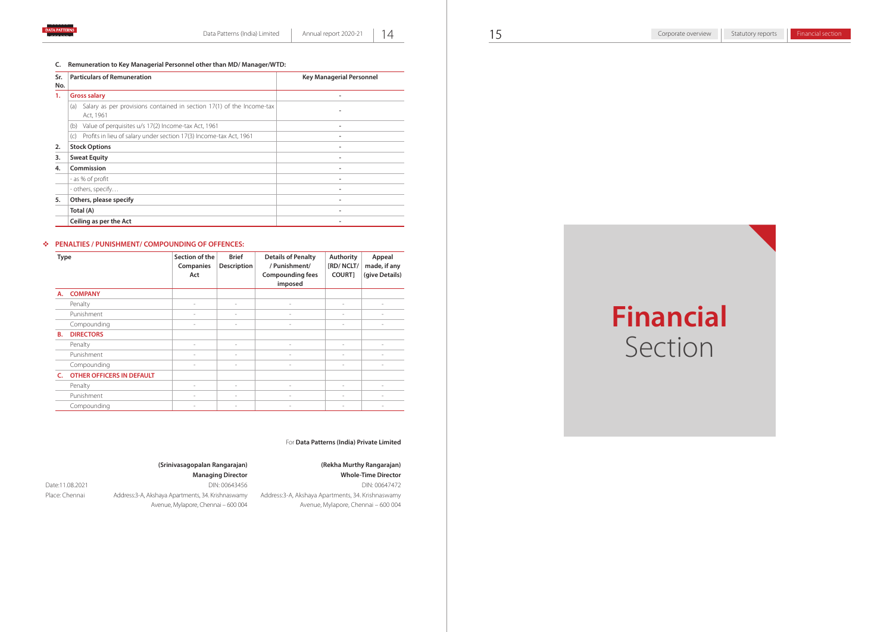| Sr.<br>No. | <b>Particulars of Remuneration</b>                                                        | <b>Key Managerial Personnel</b> |
|------------|-------------------------------------------------------------------------------------------|---------------------------------|
| 1.         | <b>Gross salary</b>                                                                       | -                               |
|            | Salary as per provisions contained in section 17(1) of the Income-tax<br>(a)<br>Act, 1961 |                                 |
|            | Value of perquisites u/s 17(2) Income-tax Act, 1961<br>(b)                                | -                               |
|            | Profits in lieu of salary under section 17(3) Income-tax Act, 1961<br>(c)                 |                                 |
| 2.         | <b>Stock Options</b>                                                                      |                                 |
| 3.         | <b>Sweat Equity</b>                                                                       |                                 |
| 4.         | Commission                                                                                |                                 |
|            | - as % of profit                                                                          |                                 |
|            | - others, specify                                                                         |                                 |
| 5.         | Others, please specify                                                                    |                                 |
|            | Total (A)                                                                                 |                                 |
|            | Ceiling as per the Act                                                                    |                                 |

# v **PENALTIES / PUNISHMENT/ COMPOUNDING OF OFFENCES:**

Date:11.08.2021 Quicket DIN: 00643456 DIN: 00643456 DIN: 00647472 DIN: 00647472 Place: Chennai Address:3-A, Akshaya Apartments, 34. Krishnaswamy Avenue, Mylapore, Chennai – 600 004

| <b>Type</b> |                                  | Section of the<br>Companies<br>Act | <b>Brief</b><br>Description | <b>Details of Penalty</b><br>/ Punishment/<br><b>Compounding fees</b><br>imposed | <b>Authority</b><br>[RD/NCLT/<br><b>COURT</b> | Appeal<br>made, if any<br>(give Details) |
|-------------|----------------------------------|------------------------------------|-----------------------------|----------------------------------------------------------------------------------|-----------------------------------------------|------------------------------------------|
| А.          | <b>COMPANY</b>                   |                                    |                             |                                                                                  |                                               |                                          |
|             | Penalty                          |                                    | $\overline{\phantom{a}}$    | $\overline{\phantom{a}}$                                                         | ۳                                             |                                          |
|             | Punishment                       |                                    |                             |                                                                                  | ۳                                             |                                          |
|             | Compounding                      |                                    | $\overline{\phantom{a}}$    | Ξ.                                                                               | ۳                                             | ۳                                        |
| <b>B.</b>   | <b>DIRECTORS</b>                 |                                    |                             |                                                                                  |                                               |                                          |
|             | Penalty                          | $\overline{\phantom{a}}$           | $\overline{\phantom{a}}$    | $\overline{\phantom{0}}$                                                         | ۰                                             | $\overline{\phantom{0}}$                 |
|             | Punishment                       | $\overline{\phantom{a}}$           | $\overline{\phantom{a}}$    | Ξ.                                                                               | ۰                                             | $\equiv$                                 |
|             | Compounding                      |                                    | $\overline{\phantom{a}}$    | Ξ.                                                                               | ۰                                             | -                                        |
| C.          | <b>OTHER OFFICERS IN DEFAULT</b> |                                    |                             |                                                                                  |                                               |                                          |
|             | Penalty                          | $\overline{\phantom{0}}$           | $\qquad \qquad -$           | $\overline{\phantom{0}}$                                                         | ۰                                             | ۰                                        |
|             | Punishment                       |                                    | $\overline{\phantom{a}}$    |                                                                                  |                                               |                                          |
|             | Compounding                      | $\overline{\phantom{a}}$           | $\overline{\phantom{a}}$    | -                                                                                | $\overline{\phantom{0}}$                      | $\overline{\phantom{a}}$                 |

For **Data Patterns (India) Private Limited**

# **(Srinivasagopalan Rangarajan) (Rekha Murthy Rangarajan)**

# **Managing Director Whole-Time Director**

Address:3-A, Akshaya Apartments, 34. Krishnaswamy Avenue, Mylapore, Chennai – 600 004

# **Financial** Section

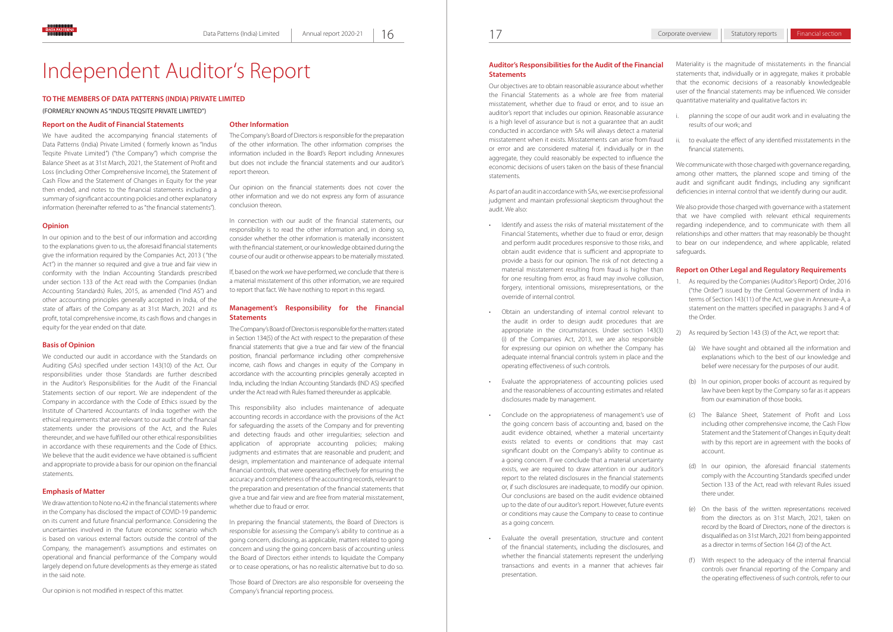# Independent Auditor's Report

# **Report on the Audit of Financial Statements**

We have audited the accompanying financial statements of Data Patterns (India) Private Limited ( formerly known as "Indus Teasite Private Limited") ("the Company") which comprise the Balance Sheet as at 31st March, 2021, the Statement of Profit and Loss (including Other Comprehensive Income), the Statement of Cash Flow and the Statement of Changes in Equity for the year then ended, and notes to the financial statements including a summary of significant accounting policies and other explanatory information (hereinafter referred to as "the financial statements").

# **Opinion**

In our opinion and to the best of our information and according to the explanations given to us, the aforesaid financial statements give the information required by the Companies Act, 2013 ( "the Act") in the manner so required and give a true and fair view in conformity with the Indian Accounting Standards prescribed under section 133 of the Act read with the Companies (Indian Accounting Standards) Rules, 2015, as amended ("Ind AS") and other accounting principles generally accepted in India, of the state of affairs of the Company as at 31st March, 2021 and its profit, total comprehensive income, its cash flows and changes in equity for the year ended on that date.

# **Basis of Opinion**

We conducted our audit in accordance with the Standards on Auditing (SAs) specified under section 143(10) of the Act. Our responsibilities under those Standards are further described in the Auditor's Responsibilities for the Audit of the Financial Statements section of our report. We are independent of the Company in accordance with the Code of Ethics issued by the Institute of Chartered Accountants of India together with the ethical requirements that are relevant to our audit of the financial statements under the provisions of the Act, and the Rules thereunder, and we have fulfilled our other ethical responsibilities in accordance with these requirements and the Code of Ethics. We believe that the audit evidence we have obtained is sufficient and appropriate to provide a basis for our opinion on the financial statements.

# **Emphasis of Matter**

We draw attention to Note no.42 in the financial statements where in the Company has disclosed the impact of COVID-19 pandemic on its current and future financial performance. Considering the uncertainties involved in the future economic scenario which is based on various external factors outside the control of the Company, the management's assumptions and estimates on operational and financial performance of the Company would largely depend on future developments as they emerge as stated in the said note.

Our opinion is not modified in respect of this matter.

# **Other Information**

The Company's Board of Directors is responsible for the preparation of the other information. The other information comprises the information included in the Board's Report including Annexures but does not include the financial statements and our auditor's report thereon.

Our opinion on the financial statements does not cover the other information and we do not express any form of assurance conclusion thereon.

In connection with our audit of the financial statements, our responsibility is to read the other information and, in doing so, consider whether the other information is materially inconsistent with the financial statement, or our knowledge obtained during the course of our audit or otherwise appears to be materially misstated.

If, based on the work we have performed, we conclude that there is a material misstatement of this other information, we are required to report that fact. We have nothing to report in this regard.

# **Management's Responsibility for the Financial Statements**

The Company's Board of Directors is responsible for the matters stated in Section 134(5) of the Act with respect to the preparation of these financial statements that give a true and fair view of the financial position, financial performance including other comprehensive income, cash flows and changes in equity of the Company in accordance with the accounting principles generally accepted in India, including the Indian Accounting Standards (IND AS) specified under the Act read with Rules framed thereunder as applicable.

This responsibility also includes maintenance of adequate accounting records in accordance with the provisions of the Act for safeguarding the assets of the Company and for preventing and detecting frauds and other irregularities; selection and application of appropriate accounting policies; making judgments and estimates that are reasonable and prudent; and design, implementation and maintenance of adequate internal financial controls, that were operating effectively for ensuring the accuracy and completeness of the accounting records, relevant to the preparation and presentation of the financial statements that give a true and fair view and are free from material misstatement, whether due to fraud or error.

In preparing the financial statements, the Board of Directors is responsible for assessing the Company's ability to continue as a going concern, disclosing, as applicable, matters related to going concern and using the going concern basis of accounting unless the Board of Directors either intends to liquidate the Company or to cease operations, or has no realistic alternative but to do so.

Those Board of Directors are also responsible for overseeing the Company's financial reporting process.

# **TO THE MEMBERS OF DATA PATTERNS (INDIA) PRIVATE LIMITED**

(FORMERLY KNOWN AS "INDUS TEQSITE PRIVATE LIMITED")

# **Auditor's Responsibilities for the Audit of the Financial Statements**

Our objectives are to obtain reasonable assurance about whether the Financial Statements as a whole are free from material misstatement, whether due to fraud or error, and to issue an auditor's report that includes our opinion. Reasonable assurance is a high level of assurance but is not a guarantee that an audit conducted in accordance with SAs will always detect a material misstatement when it exists. Misstatements can arise from fraud or error and are considered material if, individually or in the aggregate, they could reasonably be expected to influence the economic decisions of users taken on the basis of these financial statements.

As part of an audit in accordance with SAs, we exercise professional judgment and maintain professional skepticism throughout the audit. We also:

- Identify and assess the risks of material misstatement of the Financial Statements, whether due to fraud or error, design and perform audit procedures responsive to those risks, and obtain audit evidence that is sufficient and appropriate to provide a basis for our opinion. The risk of not detecting a material misstatement resulting from fraud is higher than for one resulting from error, as fraud may involve collusion, forgery, intentional omissions, misrepresentations, or the override of internal control.
- Obtain an understanding of internal control relevant to the audit in order to design audit procedures that are appropriate in the circumstances. Under section 143(3) (i) of the Companies Act, 2013, we are also responsible for expressing our opinion on whether the Company has adequate internal financial controls system in place and the operating effectiveness of such controls.
- Evaluate the appropriateness of accounting policies used and the reasonableness of accounting estimates and related disclosures made by management.
- Conclude on the appropriateness of management's use of the going concern basis of accounting and, based on the audit evidence obtained, whether a material uncertainty exists related to events or conditions that may cast significant doubt on the Company's ability to continue as a going concern. If we conclude that a material uncertainty exists, we are required to draw attention in our auditor's report to the related disclosures in the financial statements or, if such disclosures are inadequate, to modify our opinion. Our conclusions are based on the audit evidence obtained up to the date of our auditor's report. However, future events or conditions may cause the Company to cease to continue as a going concern.
- Evaluate the overall presentation, structure and content of the financial statements, including the disclosures, and whether the financial statements represent the underlying transactions and events in a manner that achieves fair presentation.

Materiality is the magnitude of misstatements in the financial statements that, individually or in aggregate, makes it probable that the economic decisions of a reasonably knowledgeable user of the financial statements may be influenced. We consider quantitative materiality and qualitative factors in:

- i. planning the scope of our audit work and in evaluating the results of our work; and
- ii. to evaluate the effect of any identified misstatements in the financial statements.

We communicate with those charged with governance regarding, among other matters, the planned scope and timing of the audit and significant audit findings, including any significant deficiencies in internal control that we identify during our audit.

We also provide those charged with governance with a statement that we have complied with relevant ethical requirements regarding independence, and to communicate with them all relationships and other matters that may reasonably be thought to bear on our independence, and where applicable, related safeguards.

# **Report on Other Legal and Regulatory Requirements**

- 1. As required by the Companies (Auditor's Report) Order, 2016 ("the Order") issued by the Central Government of India in terms of Section 143(11) of the Act, we give in Annexure-A, a statement on the matters specified in paragraphs 3 and 4 of the Order.
- 2) As required by Section 143 (3) of the Act, we report that:
	- (a) We have sought and obtained all the information and explanations which to the best of our knowledge and belief were necessary for the purposes of our audit.
	- (b) In our opinion, proper books of account as required by law have been kept by the Company so far as it appears from our examination of those books.
	- (c) The Balance Sheet, Statement of Profit and Loss including other comprehensive income, the Cash Flow Statement and the Statement of Changes in Equity dealt with by this report are in agreement with the books of account.
	- (d) In our opinion, the aforesaid financial statements comply with the Accounting Standards specified under Section 133 of the Act, read with relevant Rules issued there under.
	- (e) On the basis of the written representations received from the directors as on 31st March, 2021, taken on record by the Board of Directors, none of the directors is disqualified as on 31st March, 2021 from being appointed as a director in terms of Section 164 (2) of the Act.
	- (f) With respect to the adequacy of the internal financial controls over financial reporting of the Company and the operating effectiveness of such controls, refer to our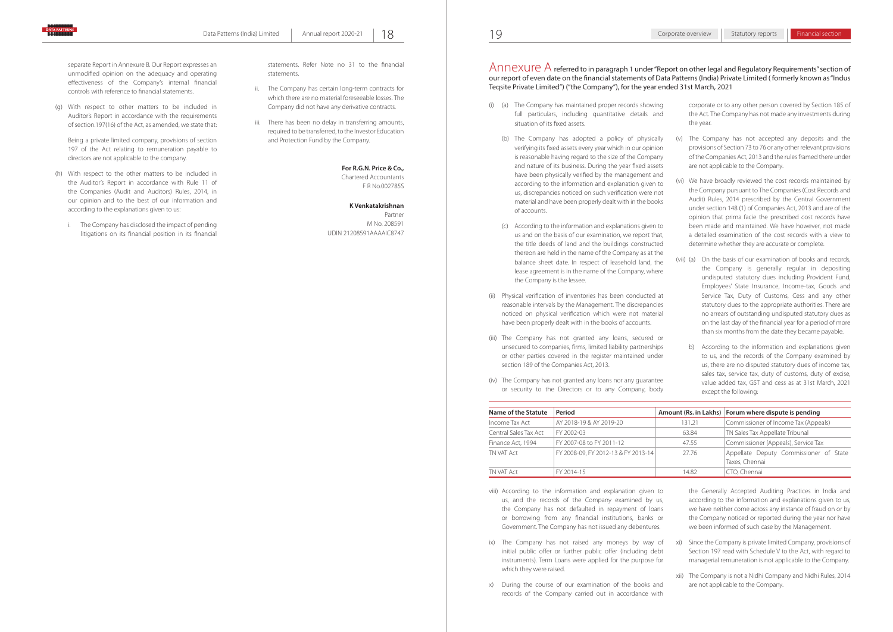separate Report in Annexure B. Our Report expresses an unmodified opinion on the adequacy and operating effectiveness of the Company's internal financial controls with reference to financial statements.

(g) With respect to other matters to be included in Auditor's Report in accordance with the requirements of section.197(16) of the Act, as amended, we state that:

Being a private limited company, provisions of section 197 of the Act relating to remuneration payable to directors are not applicable to the company.

- (h) With respect to the other matters to be included in the Auditor's Report in accordance with Rule 11 of the Companies (Audit and Auditors) Rules, 2014, in our opinion and to the best of our information and according to the explanations given to us:
	- i. The Company has disclosed the impact of pending litigations on its financial position in its financial

# ANNEXUITE A referred to in paragraph 1 under "Report on other legal and Regulatory Requirements" section of our report of even date on the financial statements of Data Patterns (India) Private Limited ( formerly known as "Indus Teqsite Private Limited") ("the Company"), for the year ended 31st March, 2021

statements. Refer Note no 31 to the financial statements.

- ii. The Company has certain long-term contracts for which there are no material foreseeable losses. The Company did not have any derivative contracts.
- iii. There has been no delay in transferring amounts, required to be transferred, to the Investor Education and Protection Fund by the Company.

# **For R.G.N. Price & Co.,**

 Chartered Accountants F R No.002785S

# **K Venkatakrishnan**

 Partner M No. 208591 UDIN 21208591AAAAIC8747

- (i) (a) The Company has maintained proper records showing full particulars, including quantitative details and situation of its fixed assets.
	- (b) The Company has adopted a policy of physically verifying its fixed assets every year which in our opinion is reasonable having regard to the size of the Company and nature of its business. During the year fixed assets have been physically verified by the management and according to the information and explanation given to us, discrepancies noticed on such verification were not material and have been properly dealt with in the books of accounts.
	- (c) According to the information and explanations given to us and on the basis of our examination, we report that, the title deeds of land and the buildings constructed thereon are held in the name of the Company as at the balance sheet date. In respect of leasehold land, the lease agreement is in the name of the Company, where the Company is the lessee.
- (ii) Physical verification of inventories has been conducted at reasonable intervals by the Management. The discrepancies noticed on physical verification which were not material have been properly dealt with in the books of accounts.
- (iii) The Company has not granted any loans, secured or unsecured to companies, firms, limited liability partnerships or other parties covered in the register maintained under section 189 of the Companies Act, 2013.
- (iv) The Company has not granted any loans nor any guarantee or security to the Directors or to any Company, body

corporate or to any other person covered by Section 185 of the Act. The Company has not made any investments during the year.

- (v) The Company has not accepted any deposits and the provisions of Section 73 to 76 or any other relevant provisions of the Companies Act, 2013 and the rules framed there under are not applicable to the Company.
- (vi) We have broadly reviewed the cost records maintained by the Company pursuant to The Companies (Cost Records and Audit) Rules, 2014 prescribed by the Central Government under section 148 (1) of Companies Act, 2013 and are of the opinion that prima facie the prescribed cost records have been made and maintained. We have however, not made a detailed examination of the cost records with a view to determine whether they are accurate or complete.
- (vii) (a) On the basis of our examination of books and records, the Company is generally regular in depositing undisputed statutory dues including Provident Fund, Employees' State Insurance, Income-tax, Goods and Service Tax, Duty of Customs, Cess and any other statutory dues to the appropriate authorities. There are no arrears of outstanding undisputed statutory dues as on the last day of the financial year for a period of more than six months from the date they became payable.
	- b) According to the information and explanations given to us, and the records of the Company examined by us, there are no disputed statutory dues of income tax, sales tax, service tax, duty of customs, duty of excise, value added tax, GST and cess as at 31st March, 2021 except the following:

| Name of the Statute   | Period                              |        | Amount (Rs. in Lakhs)   Forum where dispute is pending   |
|-----------------------|-------------------------------------|--------|----------------------------------------------------------|
| Income Tax Act        | AY 2018-19 & AY 2019-20             | 131 21 | Commissioner of Income Tax (Appeals)                     |
| Central Sales Tax Act | FY 2002-03                          | 63.84  | TN Sales Tax Appellate Tribunal                          |
| Finance Act, 1994     | FY 2007-08 to FY 2011-12            | 47.55  | Commissioner (Appeals), Service Tax                      |
| TN VAT Act            | FY 2008-09, FY 2012-13 & FY 2013-14 | 2776   | Appellate Deputy Commissioner of State<br>Taxes, Chennai |
| TN VAT Act            | FY 2014-15                          | 14.82  | CTO. Chennai                                             |

- viii) According to the information and explanation given to us, and the records of the Company examined by us, the Company has not defaulted in repayment of loans or borrowing from any financial institutions, banks or Government. The Company has not issued any debentures.
- ix) The Company has not raised any moneys by way of initial public offer or further public offer (including debt instruments). Term Loans were applied for the purpose for which they were raised.
- x) During the course of our examination of the books and records of the Company carried out in accordance with

the Generally Accepted Auditing Practices in India and according to the information and explanations given to us, we have neither come across any instance of fraud on or by the Company noticed or reported during the year nor have we been informed of such case by the Management.

- xi) Since the Company is private limited Company, provisions of Section 197 read with Schedule V to the Act, with regard to managerial remuneration is not applicable to the Company.
- xii) The Company is not a Nidhi Company and Nidhi Rules, 2014 are not applicable to the Company.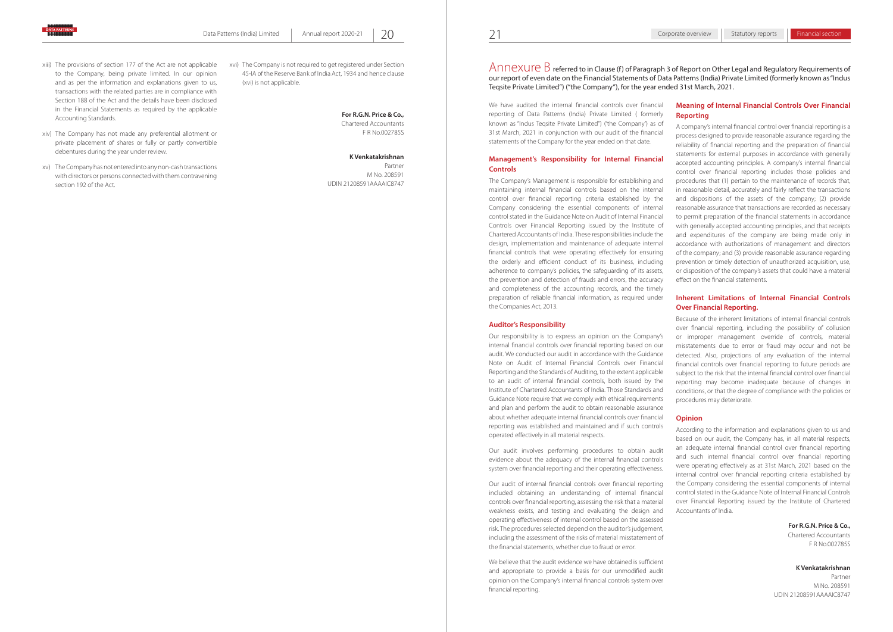- xiii) The provisions of section 177 of the Act are not applicable to the Company, being private limited. In our opinion and as per the information and explanations given to us, transactions with the related parties are in compliance with Section 188 of the Act and the details have been disclosed in the Financial Statements as required by the applicable Accounting Standards.
- xiv) The Company has not made any preferential allotment or private placement of shares or fully or partly convertible debentures during the year under review.
- xv) The Company has not entered into any non-cash transactions with directors or persons connected with them contravening section 192 of the Act.

# Annexure B referred to in Clause (f) of Paragraph 3 of Report on Other Legal and Regulatory Requirements of our report of even date on the Financial Statements of Data Patterns (India) Private Limited (formerly known as "Indus Teqsite Private Limited") ("the Company"), for the year ended 31st March, 2021.

xvi) The Company is not required to get registered under Section 45-IA of the Reserve Bank of India Act, 1934 and hence clause (xvi) is not applicable.

> We have audited the internal financial controls over financial reporting of Data Patterns (India) Private Limited ( formerly known as "Indus Teqsite Private Limited") ('the Company') as of 31st March, 2021 in conjunction with our audit of the financial statements of the Company for the year ended on that date.

**For R.G.N. Price & Co.,** Chartered Accountants F R No.002785S

 **K Venkatakrishnan**

 Partner M No. 208591 UDIN 21208591AAAAIC8747

# **Management's Responsibility for Internal Financial Controls**

The Company's Management is responsible for establishing and maintaining internal financial controls based on the internal control over financial reporting criteria established by the Company considering the essential components of internal control stated in the Guidance Note on Audit of Internal Financial Controls over Financial Reporting issued by the Institute of Chartered Accountants of India. These responsibilities include the design, implementation and maintenance of adequate internal financial controls that were operating effectively for ensuring the orderly and efficient conduct of its business, including adherence to company's policies, the safeguarding of its assets, the prevention and detection of frauds and errors, the accuracy and completeness of the accounting records, and the timely preparation of reliable financial information, as required under the Companies Act, 2013.

# **Auditor's Responsibility**

Our responsibility is to express an opinion on the Company's internal financial controls over financial reporting based on our audit. We conducted our audit in accordance with the Guidance Note on Audit of Internal Financial Controls over Financial Reporting and the Standards of Auditing, to the extent applicable to an audit of internal financial controls, both issued by the Institute of Chartered Accountants of India. Those Standards and Guidance Note require that we comply with ethical requirements and plan and perform the audit to obtain reasonable assurance about whether adequate internal financial controls over financial reporting was established and maintained and if such controls operated effectively in all material respects.

Our audit involves performing procedures to obtain audit evidence about the adequacy of the internal financial controls system over financial reporting and their operating effectiveness.

Our audit of internal financial controls over financial reporting included obtaining an understanding of internal financial controls over financial reporting, assessing the risk that a material weakness exists, and testing and evaluating the design and operating effectiveness of internal control based on the assessed risk. The procedures selected depend on the auditor's judgement, including the assessment of the risks of material misstatement of the financial statements, whether due to fraud or error.

We believe that the audit evidence we have obtained is sufficient and appropriate to provide a basis for our unmodified audit opinion on the Company's internal financial controls system over financial reporting.

# **Meaning of Internal Financial Controls Over Financial Reporting**

A company's internal financial control over financial reporting is a process designed to provide reasonable assurance regarding the reliability of financial reporting and the preparation of financial statements for external purposes in accordance with generally accepted accounting principles. A company's internal financial control over financial reporting includes those policies and procedures that (1) pertain to the maintenance of records that, in reasonable detail, accurately and fairly reflect the transactions and dispositions of the assets of the company; (2) provide reasonable assurance that transactions are recorded as necessary to permit preparation of the financial statements in accordance with generally accepted accounting principles, and that receipts and expenditures of the company are being made only in accordance with authorizations of management and directors of the company; and (3) provide reasonable assurance regarding prevention or timely detection of unauthorized acquisition, use, or disposition of the company's assets that could have a material effect on the financial statements.

# **Inherent Limitations of Internal Financial Controls Over Financial Reporting.**

Because of the inherent limitations of internal financial controls over financial reporting, including the possibility of collusion or improper management override of controls, material misstatements due to error or fraud may occur and not be detected. Also, projections of any evaluation of the internal financial controls over financial reporting to future periods are subject to the risk that the internal financial control over financial reporting may become inadequate because of changes in conditions, or that the degree of compliance with the policies or procedures may deteriorate.

# **Opinion**

According to the information and explanations given to us and based on our audit, the Company has, in all material respects, an adequate internal financial control over financial reporting and such internal financial control over financial reporting were operating effectively as at 31st March, 2021 based on the internal control over financial reporting criteria established by the Company considering the essential components of internal control stated in the Guidance Note of Internal Financial Controls over Financial Reporting issued by the Institute of Chartered Accountants of India.

### **For R.G.N. Price & Co.,**

 Chartered Accountants F R No.002785S

# **K Venkatakrishnan**

 Partner M No. 208591 UDIN 21208591AAAAIC8747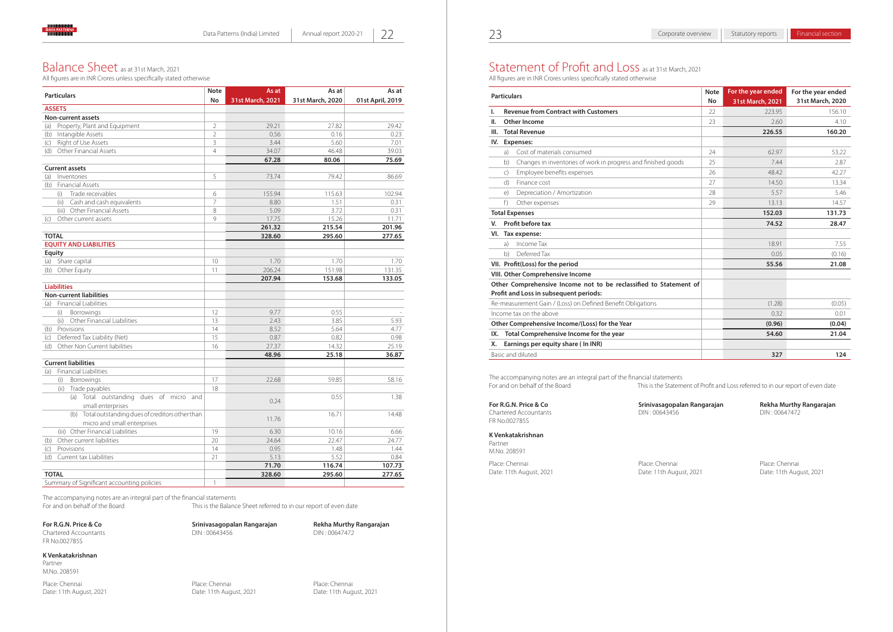**No**

(a) Property, Plant and Equipment 2 29.21 27.82 29.42 (b) Intangible Assets 2 0.56 0.16 0.23 (c) Right of Use Assets 3 3.44 5.60 7.01 (d) Other Financial Assets 39.03 4 34.07 46.48 39.03

**As at** 

**31st March, 2021**

**As at** 

**31st March, 2020** 

# Statement of Profit and Loss as at 31st Ma

**As at** 

**01st April, 2019** 

**ASSETS**

**Non-current assets**

**67.28 80.06 75.69** 

(a) Share capital 10 1.70 1.70 1.70 (b) Other Equity 131.35

(ii) Other Financial Liabilities 13 2.43 3.85 5.93 (b) Provisions 14 8.52 5.64 4.77 (c) Deferred Tax Liability (Net) 15 0.87 0.82 0.98<br>
(d) Other Non Current liabilities 16 2737 1432 2519 (d) Other Non Current liabilities 16 27.37 14.32 25.19<br>**48.96 25.18 36.87** 

**Current assets**

(i) Borrowings 58.16 59.85 58.16

(a) Total outstanding dues of micro and  $\begin{array}{|l|l|}\n\hline\n0.24\n\end{array}$  0.55 0.55 1.38

(a) Inventories 5 73.74 79.42 86.69

(b) Financial Assets

(ii) Cash and cash equivalents 7 8.80 1.51 0.31

(i) Borrowings 0.55 - 2012 0.55 - 2014 0.55 - 2014 0.55 - 2014 0.55 - 2014 0.55 - 2014 0.55 - 2014 0.55 - 2014 0.55 - 2014 0.55 - 2014 0.55 - 2014 0.55 - 2014 0.55 - 2014 0.55 - 2014 0.55 - 2014 0.55 - 2014 0.55 - 2014 0.5

(i) Trade receivables 6 155.94 115.63 102.94<br>
(ii) Cash and cash equivalents 7 8.80 1.51 0.31 0.31

(iii) Other Financial Assets 6 1.31 1.4 Set 1.4 Set 1.4 Set 1.5 Set 1.4 Set 1.5 Set 1.4 Set 1.5 Set 1.5 Set 1.5 Set 1.5 Set 1.5 Set 1.5 Set 1.5 Set 1.5 Set 1.5 Set 1.5 Set 1.5 Set 1.5 Set 1.5 Set 1.5 Set 1.5 Set 1.5 Set 1. (c) Other current assets  $\begin{array}{cccc} 9 & 17.75 & 15.26 \end{array}$  11.71

**261.32 215.54 201.96** 

**TOTAL 328.60 295.60 277.65** 

**EQUITY AND LIABILITIES**

**Equity**

**207.94 153.68 133.05** 

**25.18** 

(b) Total outstanding dues of creditors other than 11.76 11.76 16.71 14.48 16.71 14.48 16.71 14.48 (iii) Other Financial Liabilities 19 19 6.30 10.16 10.16 6.66 (b) Other current liabilities 20 20 24.64 22.47 24.77 (c) Provisions 1.44  $\vert$  14 0.95 1.48 1.44 1.44 (d) Current tax Liabilities 21 5.13 5.52 0.84

**Liabilities**

**Particulars Note** 

**Non-current liabilities** (a) Financial Liabilities

**Current liabilities** (a) Financial Liabilities

**71.70 116.74 107.73** 

| arch. |  |
|-------|--|
|       |  |

**TOTAL 328.60 295.60 277.65** 

Summary of Significant accounting policies 1

(ii) Trade payables 18

Balance Sheet as at 31st March, 2021

All figures are in INR Crores unless specifically stated otherwise

**For R.G.N. Price & Co Srinivasagopalan Rangarajan Rekha Murthy Rangarajan**

Chartered Accountants DIN : 00643456 DIN : 00647472

FR No.002785S

# **K Venkatakrishnan**

Partner M.No. 208591

Place: Chennai Place: Chennai Place: Chennai Date: 11th August, 2021 Date: 11th August, 2021 Date: 11th August, 2021

All figures are in INR Crores unless specifically stated otherwise

**For R.G.N. Price & Co Srinivasagopalan Rangarajan Rekha Murthy Rangarajan**

Place: Chennai Place: Chennai Place: Chennai Place: Chennai Place: Chennai Place: Chennai Place: Chennai Place: 11th August, 2021

Chartered Accountants DIN : 00643456 DIN : 00647472 FR No.002785S

# **K Venkatakrishnan**

Partner M.No. 208591

Date: 11th August, 2021

The accompanying notes are an integral part of the financial statements<br>For and on behalf of the Board This is the Balance This is the Balance Sheet referred to in our report of even date

|     | <b>Particulars</b>                                                                                          | <b>Note</b> | For the year ended | For the year ended |
|-----|-------------------------------------------------------------------------------------------------------------|-------------|--------------------|--------------------|
|     |                                                                                                             | <b>No</b>   | 31st March, 2021   | 31st March, 2020   |
| ı.  | <b>Revenue from Contract with Customers</b>                                                                 | 22          | 223.95             | 156.10             |
| Ш.  | Other Income                                                                                                | 23          | 2.60               | 4.10               |
| Ш.  | <b>Total Revenue</b>                                                                                        |             | 226.55             | 160.20             |
| IV. | <b>Expenses:</b>                                                                                            |             |                    |                    |
|     | Cost of materials consumed<br>a)                                                                            | 24          | 62.97              | 53.22              |
|     | Changes in inventories of work in progress and finished goods<br>b)                                         | 25          | 7.44               | 2.87               |
|     | Employee benefits expenses<br>C)                                                                            | 26          | 48.42              | 42.27              |
|     | Finance cost<br>d)                                                                                          | 27          | 14.50              | 13.34              |
|     | Depreciation / Amortization<br>$\Theta$                                                                     | 28          | 5.57               | 5.46               |
|     | $f$ )<br>Other expenses                                                                                     | 29          | 13.13              | 14.57              |
|     | <b>Total Expenses</b>                                                                                       |             | 152.03             | 131.73             |
| V.  | Profit before tax                                                                                           |             | 74.52              | 28.47              |
| VI. | Tax expense:                                                                                                |             |                    |                    |
|     | Income Tax<br>a)                                                                                            |             | 18.91              | 7.55               |
|     | Deferred Tax<br>b)                                                                                          |             | 0.05               | (0.16)             |
|     | VII. Profit(Loss) for the period                                                                            |             | 55.56              | 21.08              |
|     | VIII. Other Comprehensive Income                                                                            |             |                    |                    |
|     | Other Comprehensive Income not to be reclassified to Statement of<br>Profit and Loss in subsequent periods: |             |                    |                    |
|     | Re-measurement Gain / (Loss) on Defined Benefit Obligations                                                 |             | (1.28)             | (0.05)             |
|     | Income tax on the above                                                                                     |             | 0.32               | 0.01               |
|     | Other Comprehensive Income/(Loss) for the Year                                                              |             | (0.96)             | (0.04)             |
| IX. | Total Comprehensive Income for the year                                                                     |             | 54.60              | 21.04              |
| Х.  | Earnings per equity share (In INR)                                                                          |             |                    |                    |
|     | Basic and diluted                                                                                           |             | 327                | 124                |
|     |                                                                                                             |             |                    |                    |

The accompanying notes are an integral part of the financial statements<br>For and on behalf of the Board This is the Statements This is the Statement of Profit and Loss referred to in our report of even date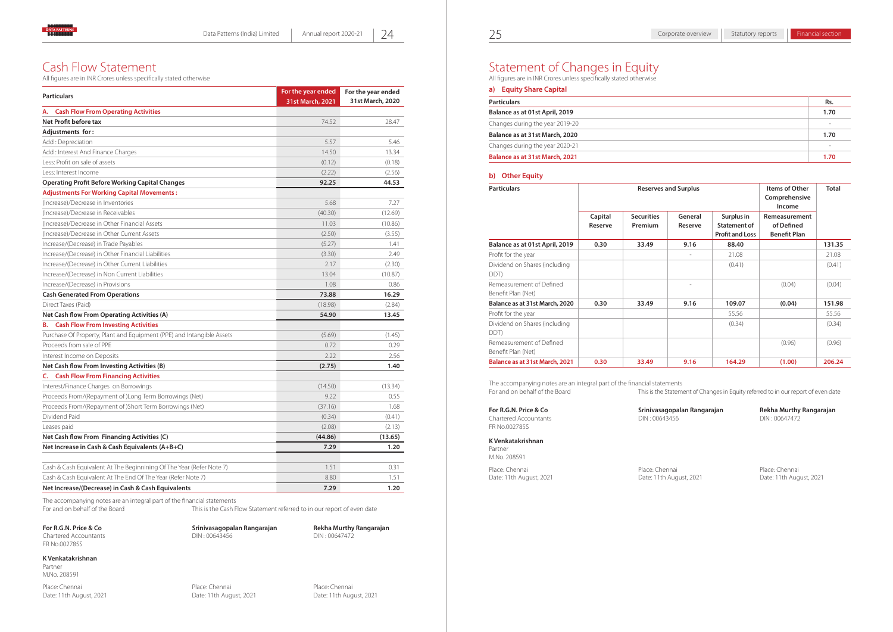All figures are in INR Crores unless specifically stated otherwise

| <b>Particulars</b>                                                    | For the year ended<br>31st March, 2021 | For the year ended<br>31st March, 2020 |
|-----------------------------------------------------------------------|----------------------------------------|----------------------------------------|
| <b>Cash Flow From Operating Activities</b><br>А.                      |                                        |                                        |
| Net Profit before tax                                                 | 74.52                                  | 28.47                                  |
| Adjustments for:                                                      |                                        |                                        |
| Add: Depreciation                                                     | 5.57                                   | 5.46                                   |
| Add: Interest And Finance Charges                                     | 14.50                                  | 13.34                                  |
| Less: Profit on sale of assets                                        | (0.12)                                 | (0.18)                                 |
| Less: Interest Income                                                 | (2.22)                                 | (2.56)                                 |
| <b>Operating Profit Before Working Capital Changes</b>                | 92.25                                  | 44.53                                  |
| <b>Adjustments For Working Capital Movements:</b>                     |                                        |                                        |
| (Increase)/Decrease in Inventories                                    | 5.68                                   | 7.27                                   |
| (Increase)/Decrease in Receivables                                    | (40.30)                                | (12.69)                                |
| (Increase)/Decrease in Other Financial Assets                         | 11.03                                  | (10.86)                                |
| (Increase)/Decrease in Other Current Assets                           | (2.50)                                 | (3.55)                                 |
| Increase/(Decrease) in Trade Payables                                 | (5.27)                                 | 1.41                                   |
| Increase/(Decrease) in Other Financial Liabilities                    | (3.30)                                 | 2.49                                   |
| Increase/(Decrease) in Other Current Liabilities                      | 2.17                                   | (2.30)                                 |
| Increase/(Decrease) in Non Current Liabilities                        | 13.04                                  | (10.87)                                |
| Increase/(Decrease) in Provisions                                     | 1.08                                   | 0.86                                   |
| <b>Cash Generated From Operations</b>                                 | 73.88                                  | 16.29                                  |
| Direct Taxes (Paid)                                                   | (18.98)                                | (2.84)                                 |
| Net Cash flow From Operating Activities (A)                           | 54.90                                  | 13.45                                  |
| <b>Cash Flow From Investing Activities</b><br>В.                      |                                        |                                        |
| Purchase Of Property, Plant and Equipment (PPE) and Intangible Assets | (5.69)                                 | (1.45)                                 |
| Proceeds from sale of PPE                                             | 0.72                                   | 0.29                                   |
| Interest Income on Deposits                                           | 2.22                                   | 2.56                                   |
| Net Cash flow From Investing Activities (B)                           | (2.75)                                 | 1.40                                   |
| <b>Cash Flow From Financing Activities</b><br>C.                      |                                        |                                        |
| Interest/Finance Charges on Borrowings                                | (14.50)                                | (13.34)                                |
| Proceeds From/(Repayment of )Long Term Borrowings (Net)               | 9.22                                   | 0.55                                   |
| Proceeds From/(Repayment of )Short Term Borrowings (Net)              | (37.16)                                | 1.68                                   |
| Dividend Paid                                                         | (0.34)                                 | (0.41)                                 |
| Leases paid                                                           | (2.08)                                 | (2.13)                                 |
| Net Cash flow From Financing Activities (C)                           | (44.86)                                | (13.65)                                |
| Net Increase in Cash & Cash Equivalents (A+B+C)                       | 7.29                                   | 1.20                                   |
| Cash & Cash Equivalent At The Beginnining Of The Year (Refer Note 7)  | 1.51                                   | 0.31                                   |
| Cash & Cash Equivalent At The End Of The Year (Refer Note 7)          | 8.80                                   | 1.51                                   |
| Net Increase/(Decrease) in Cash & Cash Equivalents                    | 7.29                                   | 1.20                                   |

The accompanying notes are an integral part of the financial statements<br>For and on behalf of the Board This is the Cash Fl

This is the Cash Flow Statement referred to in our report of even date

**For R.G.N. Price & Co Srinivasagopalan Rangarajan Rekha Murthy Rangarajan**

Chartered Accountants DIN : 00643456 DIN : 00647472

FR No.002785S

# **K Venkatakrishnan**

Partner M.No. 208591

Place: Chennai Place: Chennai Place: Chennai Place: Chennai Place: Chennai Place: Chennai Place: Chennai Place: Chennai Place: 11th August, 2021 Date: 11th August, 2021 Date: 11th August, 2021

# Statement of Changes in Equity

All figures are in INR Crores unless specifically stated otherwise **a) Equity Share Capital**

| <b>Particulars</b>                    | Rs.                      |
|---------------------------------------|--------------------------|
| Balance as at 01st April, 2019        | 1.70                     |
| Changes during the year 2019-20       | $\overline{\phantom{0}}$ |
| Balance as at 31st March, 2020        | 1.70                     |
| Changes during the year 2020-21       | $\overline{\phantom{0}}$ |
| <b>Balance as at 31st March, 2021</b> | 1.70                     |

# **b) Other Equity**

| <b>Particulars</b>                             |                    | <b>Reserves and Surplus</b>  | Items of Other<br>Comprehensive<br>Income | <b>Total</b>                                                |                                                    |        |
|------------------------------------------------|--------------------|------------------------------|-------------------------------------------|-------------------------------------------------------------|----------------------------------------------------|--------|
|                                                | Capital<br>Reserve | <b>Securities</b><br>Premium | General<br>Reserve                        | Surplus in<br><b>Statement of</b><br><b>Profit and Loss</b> | Remeasurement<br>of Defined<br><b>Benefit Plan</b> |        |
| Balance as at 01st April, 2019                 | 0.30               | 33.49                        | 9.16                                      | 88.40                                                       |                                                    | 131.35 |
| Profit for the year                            |                    |                              | $\overline{a}$                            | 21.08                                                       |                                                    | 21.08  |
| Dividend on Shares (including<br>DDT)          |                    |                              |                                           | (0.41)                                                      |                                                    | (0.41) |
| Remeasurement of Defined<br>Benefit Plan (Net) |                    |                              |                                           |                                                             | (0.04)                                             | (0.04) |
| Balance as at 31st March, 2020                 | 0.30               | 33.49                        | 9.16                                      | 109.07                                                      | (0.04)                                             | 151.98 |
| Profit for the year                            |                    |                              |                                           | 55.56                                                       |                                                    | 55.56  |
| Dividend on Shares (including<br>DDT)          |                    |                              |                                           | (0.34)                                                      |                                                    | (0.34) |
| Remeasurement of Defined<br>Benefit Plan (Net) |                    |                              |                                           |                                                             | (0.96)                                             | (0.96) |
| Balance as at 31st March, 2021                 | 0.30               | 33.49                        | 9.16                                      | 164.29                                                      | (1.00)                                             | 206.24 |

The accompanying notes are an integral part of the financial statements<br>For and on behalf of the Board This is the Statements This is the Statement of Changes in Equity referred to in our report of even date

Chartered Accountants DIN : 00643456

**For R.G.N. Price & Co Srinivasagopalan Rangarajan Rekha Murthy Rangarajan**

FR No.002785S

**K Venkatakrishnan**

Partner M.No. 208591

Place: Chennai Place: Chennai Place: Chennai

Date: 11th August, 2021 Date: 11th August, 2021 Date: 11th August, 2021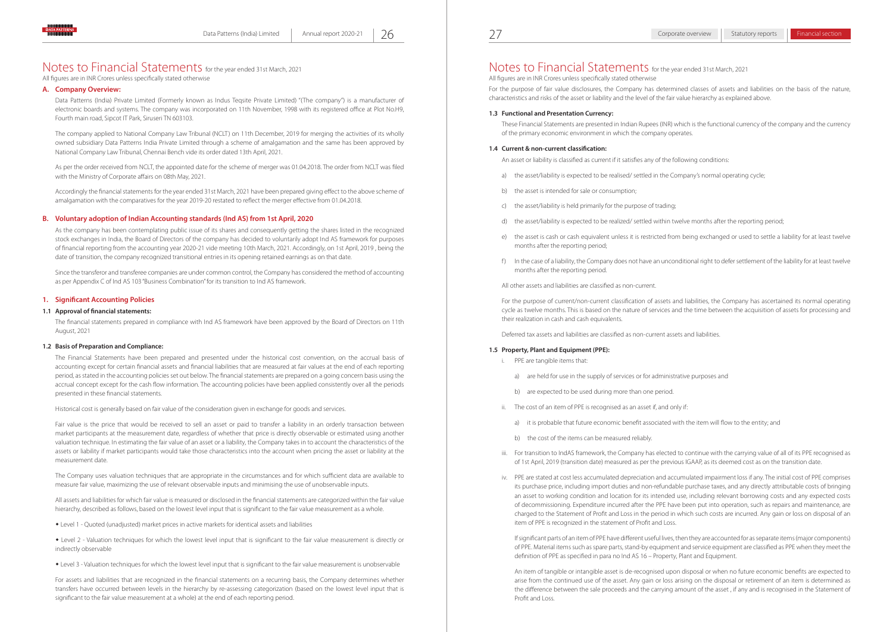

All figures are in INR Crores unless specifically stated otherwise

# **A. Company Overview:**

Data Patterns (India) Private Limited (Formerly known as Indus Teqsite Private Limited) "(The company") is a manufacturer of electronic boards and systems. The company was incorporated on 11th November, 1998 with its registered office at Plot No.H9, Fourth main road, Sipcot IT Park, Siruseri TN 603103.

The company applied to National Company Law Tribunal (NCLT) on 11th December, 2019 for merging the activities of its wholly owned subsidiary Data Patterns India Private Limited through a scheme of amalgamation and the same has been approved by National Company Law Tribunal, Chennai Bench vide its order dated 13th April, 2021.

As per the order received from NCLT, the appointed date for the scheme of merger was 01.04.2018. The order from NCLT was filed with the Ministry of Corporate affairs on 08th May, 2021.

Accordingly the financial statements for the year ended 31st March, 2021 have been prepared giving effect to the above scheme of amalgamation with the comparatives for the year 2019-20 restated to reflect the merger effective from 01.04.2018.

# **B. Voluntary adoption of Indian Accounting standards (Ind AS) from 1st April, 2020**

As the company has been contemplating public issue of its shares and consequently getting the shares listed in the recognized stock exchanges in India, the Board of Directors of the company has decided to voluntarily adopt Ind AS framework for purposes of financial reporting from the accounting year 2020-21 vide meeting 10th March, 2021. Accordingly, on 1st April, 2019 , being the date of transition, the company recognized transitional entries in its opening retained earnings as on that date.

Since the transferor and transferee companies are under common control, the Company has considered the method of accounting as per Appendix C of Ind AS 103 "Business Combination" for its transition to Ind AS framework.

# **1. Significant Accounting Policies**

# **1.1 Approval of financial statements:**

The financial statements prepared in compliance with Ind AS framework have been approved by the Board of Directors on 11th August, 2021

# **1.2 Basis of Preparation and Compliance:**

The Financial Statements have been prepared and presented under the historical cost convention, on the accrual basis of accounting except for certain financial assets and financial liabilities that are measured at fair values at the end of each reporting period, as stated in the accounting policies set out below. The financial statements are prepared on a going concern basis using the accrual concept except for the cash flow information. The accounting policies have been applied consistently over all the periods presented in these financial statements.

Historical cost is generally based on fair value of the consideration given in exchange for goods and services.

Fair value is the price that would be received to sell an asset or paid to transfer a liability in an orderly transaction between market participants at the measurement date, regardless of whether that price is directly observable or estimated using another valuation technique. In estimating the fair value of an asset or a liability, the Company takes in to account the characteristics of the assets or liability if market participants would take those characteristics into the account when pricing the asset or liability at the measurement date.

The Company uses valuation techniques that are appropriate in the circumstances and for which sufficient data are available to measure fair value, maximizing the use of relevant observable inputs and minimising the use of unobservable inputs.

All assets and liabilities for which fair value is measured or disclosed in the financial statements are categorized within the fair value hierarchy, described as follows, based on the lowest level input that is significant to the fair value measurement as a whole.

Level 1 - Quoted (unadjusted) market prices in active markets for identical assets and liabilities

 Level 2 - Valuation techniques for which the lowest level input that is significant to the fair value measurement is directly or indirectly observable

Level 3 - Valuation techniques for which the lowest level input that is significant to the fair value measurement is unobservable

For assets and liabilities that are recognized in the financial statements on a recurring basis, the Company determines whether transfers have occurred between levels in the hierarchy by re-assessing categorization (based on the lowest level input that is significant to the fair value measurement at a whole) at the end of each reporting period.

# Notes to Financial Statements for the year ended 31st March, 2021

All figures are in INR Crores unless specifically stated otherwise

For the purpose of fair value disclosures, the Company has determined classes of assets and liabilities on the basis of the nature, characteristics and risks of the asset or liability and the level of the fair value hierarchy as explained above.

# **1.3 Functional and Presentation Currency:**

These Financial Statements are presented in Indian Rupees (INR) which is the functional currency of the company and the currency of the primary economic environment in which the company operates.

# **1.4 Current & non-current classification:**

An asset or liability is classified as current if it satisfies any of the following conditions:

- a) the asset/liability is expected to be realised/ settled in the Company's normal operating cycle;
- b) the asset is intended for sale or consumption;
- c) the asset/liability is held primarily for the purpose of trading;
- d) the asset/liability is expected to be realized/ settled within twelve months after the reporting period;
- e) the asset is cash or cash equivalent unless it is restricted from being exchanged or used to settle a liability for at least twelve months after the reporting period;
- f) In the case of a liability, the Company does not have an unconditional right to defer settlement of the liability for at least twelve months after the reporting period.

All other assets and liabilities are classified as non-current.

For the purpose of current/non-current classification of assets and liabilities, the Company has ascertained its normal operating cycle as twelve months. This is based on the nature of services and the time between the acquisition of assets for processing and their realization in cash and cash equivalents.

Deferred tax assets and liabilities are classified as non-current assets and liabilities.

# **1.5 Property, Plant and Equipment (PPE):**

- i. PPE are tangible items that:
	- a) are held for use in the supply of services or for administrative purposes and
	- b) are expected to be used during more than one period.
- ii. The cost of an item of PPE is recognised as an asset if, and only if:
	- a) it is probable that future economic benefit associated with the item will flow to the entity; and
	- b) the cost of the items can be measured reliably.
- iii. For transition to IndAS framework, the Company has elected to continue with the carrying value of all of its PPE recognised as of 1st April, 2019 (transition date) measured as per the previous IGAAP, as its deemed cost as on the transition date.
- iv. PPE are stated at cost less accumulated depreciation and accumulated impairment loss if any. The initial cost of PPE comprises item of PPE is recognized in the statement of Profit and Loss.

its purchase price, including import duties and non-refundable purchase taxes, and any directly attributable costs of bringing an asset to working condition and location for its intended use, including relevant borrowing costs and any expected costs of decommissioning. Expenditure incurred after the PPE have been put into operation, such as repairs and maintenance, are charged to the Statement of Profit and Loss in the period in which such costs are incurred. Any gain or loss on disposal of an

If significant parts of an item of PPE have different useful lives, then they are accounted for as separate items (major components) of PPE. Material items such as spare parts, stand-by equipment and service equipment are classified as PPE when they meet the definition of PPE as specified in para no Ind AS 16 – Property, Plant and Equipment.

An item of tangible or intangible asset is de-recognised upon disposal or when no future economic benefits are expected to arise from the continued use of the asset. Any gain or loss arising on the disposal or retirement of an item is determined as the difference between the sale proceeds and the carrying amount of the asset , if any and is recognised in the Statement of Profit and Loss.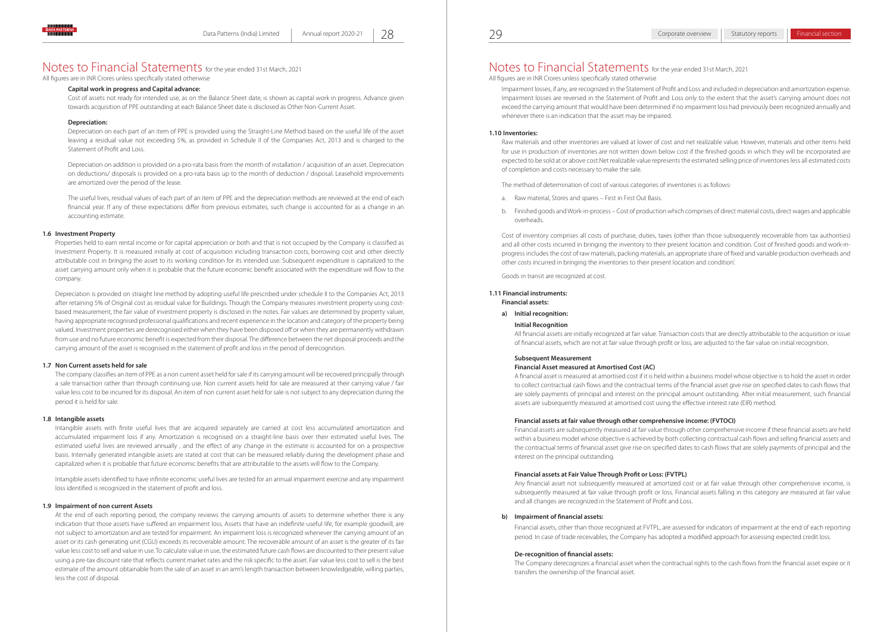

All figures are in INR Crores unless specifically stated otherwise

# **Capital work in progress and Capital advance:**

Cost of assets not ready for intended use, as on the Balance Sheet date, is shown as capital work in progress. Advance given towards acquisition of PPE outstanding at each Balance Sheet date is disclosed as Other Non-Current Asset.

# **Depreciation:**

Depreciation on each part of an item of PPE is provided using the Straight-Line Method based on the useful life of the asset leaving a residual value not exceeding 5%, as provided in Schedule II of the Companies Act, 2013 and is charged to the Statement of Profit and Loss.

Depreciation on addition is provided on a pro-rata basis from the month of installation / acquisition of an asset. Depreciation on deductions/ disposals is provided on a pro-rata basis up to the month of deduction / disposal. Leasehold improvements are amortized over the period of the lease.

The useful lives, residual values of each part of an item of PPE and the depreciation methods are reviewed at the end of each financial year. If any of these expectations differ from previous estimates, such change is accounted for as a change in an accounting estimate.

# **1.6 Investment Property**

Properties held to earn rental income or for capital appreciation or both and that is not occupied by the Company is classified as Investment Property. It is measured initially at cost of acquisition including transaction costs, borrowing cost and other directly attributable cost in bringing the asset to its working condition for its intended use. Subsequent expenditure is capitalized to the asset carrying amount only when it is probable that the future economic benefit associated with the expenditure will flow to the company.

Depreciation is provided on straight line method by adopting useful life prescribed under schedule II to the Companies Act, 2013 after retaining 5% of Original cost as residual value for Buildings. Though the Company measures investment property using costbased measurement, the fair value of investment property is disclosed in the notes. Fair values are determined by property valuer, having appropriate recognised professional qualifications and recent experience in the location and category of the property being valued. Investment properties are derecognised either when they have been disposed off or when they are permanently withdrawn from use and no future economic benefit is expected from their disposal. The difference between the net disposal proceeds and the carrying amount of the asset is recognised in the statement of profit and loss in the period of derecognition.

# **1.7 Non Current assets held for sale**

The company classifies an item of PPE as a non current asset held for sale if its carrying amount will be recovered principally through a sale transaction rather than through continuing use. Non current assets held for sale are measured at their carrying value / fair value less cost to be incurred for its disposal. An item of non current asset held for sale is not subject to any depreciation during the period it is held for sale.

# **1.8 Intangible assets**

Intangible assets with finite useful lives that are acquired separately are carried at cost less accumulated amortization and accumulated impairment loss if any. Amortization is recognised on a straight-line basis over their estimated useful lives. The estimated useful lives are reviewed annually , and the effect of any change in the estimate is accounted for on a prospective basis. Internally generated intangible assets are stated at cost that can be measured reliably during the development phase and capitalized when it is probable that future economic benefits that are attributable to the assets will flow to the Company.

Intangible assets identified to have infinite economic useful lives are tested for an annual impairment exercise and any impairment loss identified is recognized in the statement of profit and loss.

# **1.9 Impairment of non current Assets**

At the end of each reporting period, the company reviews the carrying amounts of assets to determine whether there is any indication that those assets have suffered an impairment loss. Assets that have an indefinite useful life, for example goodwill, are not subject to amortization and are tested for impairment. An impairment loss is recognized whenever the carrying amount of an asset or its cash generating unit (CGU) exceeds its recoverable amount. The recoverable amount of an asset is the greater of its fair value less cost to sell and value in use. To calculate value in use, the estimated future cash flows are discounted to their present value using a pre-tax discount rate that reflects current market rates and the risk specific to the asset. Fair value less cost to sell is the best estimate of the amount obtainable from the sale of an asset in an arm's length transaction between knowledgeable, willing parties, less the cost of disposal.

# Notes to Financial Statements for the year ended 31st March, 2021

All figures are in INR Crores unless specifically stated otherwise

Impairment losses, if any, are recognized in the Statement of Profit and Loss and included in depreciation and amortization expense. Impairment losses are reversed in the Statement of Profit and Loss only to the extent that the asset's carrying amount does not exceed the carrying amount that would have been determined if no impairment loss had previously been recognized annually and whenever there is an indication that the asset may be impaired.

# **1.10 Inventories:**

Raw materials and other inventories are valued at lower of cost and net realizable value. However, materials and other items held for use in production of inventories are not written down below cost if the finished goods in which they will be incorporated are expected to be sold at or above cost.Net realizable value represents the estimated selling price of inventories less all estimated costs of completion and costs necessary to make the sale.

The method of determination of cost of various categories of inventories is as follows:

- a. Raw material, Stores and spares First in First Out Basis.
- b. Finished goods and Work-in-process Cost of production which comprises of direct material costs, direct wages and applicable overheads.

Cost of inventory comprises all costs of purchase, duties, taxes (other than those subsequently recoverable from tax authorities) and all other costs incurred in bringing the inventory to their present location and condition. Cost of finished goods and work-inprogress includes the cost of raw materials, packing materials, an appropriate share of fixed and variable production overheads and other costs incurred in bringing the inventories to their present location and condition'.

Goods in transit are recognized at cost.

# **1.11 Financial instruments: Financial assets:**

# **a) Initial recognition:**

# **Initial Recognition**

All financial assets are initially recognized at fair value. Transaction costs that are directly attributable to the acquisition or issue of financial assets, which are not at fair value through profit or loss, are adjusted to the fair value on initial recognition.

# **Subsequent Measurement**

# **Financial Asset measured at Amortised Cost (AC)**

A financial asset is measured at amortised cost if it is held within a business model whose objective is to hold the asset in order to collect contractual cash flows and the contractual terms of the financial asset give rise on specified dates to cash flows that are solely payments of principal and interest on the principal amount outstanding. After initial measurement, such financial assets are subsequently measured at amortised cost using the effective interest rate (EIR) method.

# **Financial assets at fair value through other comprehensive income: (FVTOCI)**

Financial assets are subsequently measured at fair value through other comprehensive income if these financial assets are held within a business model whose objective is achieved by both collecting contractual cash flows and selling financial assets and the contractual terms of financial asset give rise on specified dates to cash flows that are solely payments of principal and the interest on the principal outstanding.

# **Financial assets at Fair Value Through Profit or Loss: (FVTPL)**

 Any financial asset not subsequently measured at amortized cost or at fair value through other comprehensive income, is subsequently measured at fair value through profit or loss. Financial assets falling in this category are measured at fair value and all changes are recognized in the Statement of Profit and Loss.

# **b) Impairment of financial assets:**

Financial assets, other than those recognized at FVTPL, are assessed for indicators of impairment at the end of each reporting period. In case of trade receivables, the Company has adopted a modified approach for assessing expected credit loss.

# **De-recognition of financial assets:**

The Company derecognizes a financial asset when the contractual rights to the cash flows from the financial asset expire or it transfers the ownership of the financial asset.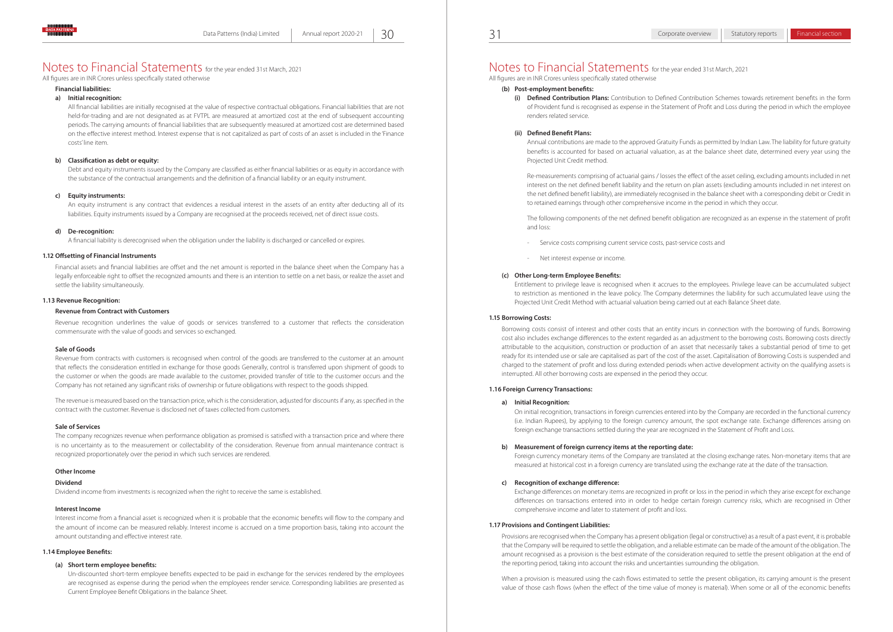

All figures are in INR Crores unless specifically stated otherwise

# **Financial liabilities:**

# **a) Initial recognition:**

All financial liabilities are initially recognised at the value of respective contractual obligations. Financial liabilities that are not held-for-trading and are not designated as at FVTPL are measured at amortized cost at the end of subsequent accounting periods. The carrying amounts of financial liabilities that are subsequently measured at amortized cost are determined based on the effective interest method. Interest expense that is not capitalized as part of costs of an asset is included in the 'Finance costs' line item.

Debt and equity instruments issued by the Company are classified as either financial liabilities or as equity in accordance with the substance of the contractual arrangements and the definition of a financial liability or an equity instrument.

# **b) Classification as debt or equity:**

# **c) Equity instruments:**

An equity instrument is any contract that evidences a residual interest in the assets of an entity after deducting all of its liabilities. Equity instruments issued by a Company are recognised at the proceeds received, net of direct issue costs.

# **d) De-recognition:**

A financial liability is derecognised when the obligation under the liability is discharged or cancelled or expires.

# **1.12 Offsetting of Financial Instruments**

Financial assets and financial liabilities are offset and the net amount is reported in the balance sheet when the Company has a legally enforceable right to offset the recognized amounts and there is an intention to settle on a net basis, or realize the asset and settle the liability simultaneously.

# **1.13 Revenue Recognition:**

# **Revenue from Contract with Customers**

Revenue recognition underlines the value of goods or services transferred to a customer that reflects the consideration commensurate with the value of goods and services so exchanged.

# **Sale of Goods**

Revenue from contracts with customers is recognised when control of the goods are transferred to the customer at an amount that reflects the consideration entitled in exchange for those goods Generally, control is transferred upon shipment of goods to the customer or when the goods are made available to the customer, provided transfer of title to the customer occurs and the Company has not retained any significant risks of ownership or future obligations with respect to the goods shipped.

The revenue is measured based on the transaction price, which is the consideration, adjusted for discounts if any, as specified in the contract with the customer. Revenue is disclosed net of taxes collected from customers.

# **Sale of Services**

The company recognizes revenue when performance obligation as promised is satisfied with a transaction price and where there is no uncertainty as to the measurement or collectability of the consideration. Revenue from annual maintenance contract is recognized proportionately over the period in which such services are rendered.

# **Other Income**

# **Dividend**

Dividend income from investments is recognized when the right to receive the same is established.

# **Interest Income**

Interest income from a financial asset is recognized when it is probable that the economic benefits will flow to the company and the amount of income can be measured reliably. Interest income is accrued on a time proportion basis, taking into account the amount outstanding and effective interest rate.

# **1.14 Employee Benefits:**

# **(a) Short term employee benefits:**

Un-discounted short-term employee benefits expected to be paid in exchange for the services rendered by the employees are recognised as expense during the period when the employees render service. Corresponding liabilities are presented as Current Employee Benefit Obligations in the balance Sheet.

# Notes to Financial Statements for the year ended 31st March, 2021

All figures are in INR Crores unless specifically stated otherwise

# **(b) Post-employment benefits:**

 **(i) Defined Contribution Plans:** Contribution to Defined Contribution Schemes towards retirement benefits in the form of Provident fund is recognised as expense in the Statement of Profit and Loss during the period in which the employee renders related service.

# **(ii) Defined Benefit Plans:**

Annual contributions are made to the approved Gratuity Funds as permitted by Indian Law. The liability for future gratuity benefits is accounted for based on actuarial valuation, as at the balance sheet date, determined every year using the Projected Unit Credit method.

Re-measurements comprising of actuarial gains / losses the effect of the asset ceiling, excluding amounts included in net interest on the net defined benefit liability and the return on plan assets (excluding amounts included in net interest on the net defined benefit liability), are immediately recognised in the balance sheet with a corresponding debit or Credit in to retained earnings through other comprehensive income in the period in which they occur.

 The following components of the net defined benefit obligation are recognized as an expense in the statement of profit and loss:

- Service costs comprising current service costs, past-service costs and
- Net interest expense or income.

# **(c) Other Long-term Employee Benefits:**

Entitlement to privilege leave is recognised when it accrues to the employees. Privilege leave can be accumulated subject to restriction as mentioned in the leave policy. The Company determines the liability for such accumulated leave using the Projected Unit Credit Method with actuarial valuation being carried out at each Balance Sheet date.

# **1.15 Borrowing Costs:**

Borrowing costs consist of interest and other costs that an entity incurs in connection with the borrowing of funds. Borrowing cost also includes exchange differences to the extent regarded as an adjustment to the borrowing costs. Borrowing costs directly attributable to the acquisition, construction or production of an asset that necessarily takes a substantial period of time to get ready for its intended use or sale are capitalised as part of the cost of the asset. Capitalisation of Borrowing Costs is suspended and charged to the statement of profit and loss during extended periods when active development activity on the qualifying assets is interrupted. All other borrowing costs are expensed in the period they occur.

# **1.16 Foreign Currency Transactions:**

# **a) Initial Recognition:**

On initial recognition, transactions in foreign currencies entered into by the Company are recorded in the functional currency (i.e. Indian Rupees), by applying to the foreign currency amount, the spot exchange rate. Exchange differences arising on foreign exchange transactions settled during the year are recognized in the Statement of Profit and Loss.

# **b) Measurement of foreign currency items at the reporting date:**

Foreign currency monetary items of the Company are translated at the closing exchange rates. Non-monetary items that are measured at historical cost in a foreign currency are translated using the exchange rate at the date of the transaction.

# **c) Recognition of exchange difference:**

Exchange differences on monetary items are recognized in profit or loss in the period in which they arise except for exchange differences on transactions entered into in order to hedge certain foreign currency risks, which are recognised in Other comprehensive income and later to statement of profit and loss.

# **1.17 Provisions and Contingent Liabilities:**

Provisions are recognised when the Company has a present obligation (legal or constructive) as a result of a past event, it is probable that the Company will be required to settle the obligation, and a reliable estimate can be made of the amount of the obligation. The amount recognised as a provision is the best estimate of the consideration required to settle the present obligation at the end of the reporting period, taking into account the risks and uncertainties surrounding the obligation.

When a provision is measured using the cash flows estimated to settle the present obligation, its carrying amount is the present value of those cash flows (when the effect of the time value of money is material). When some or all of the economic benefits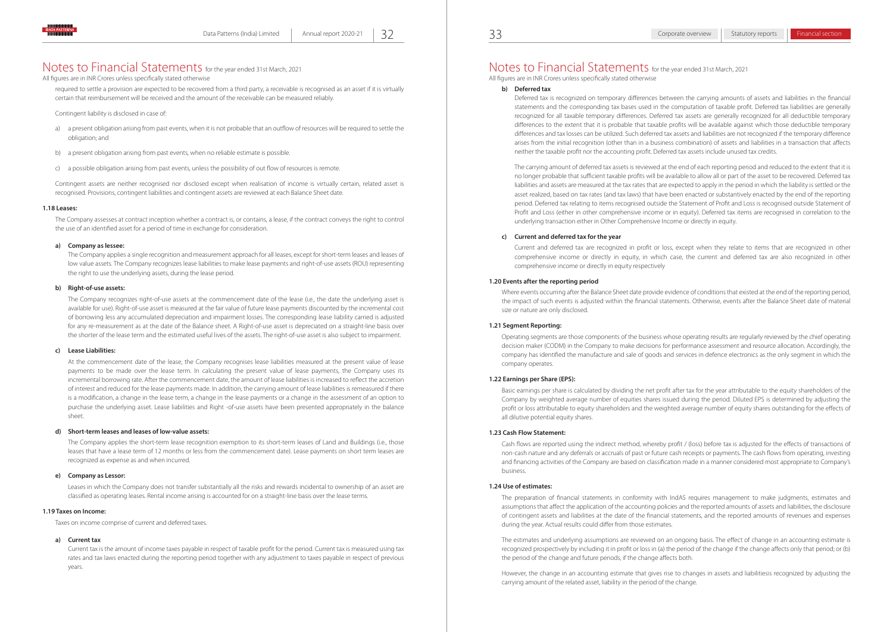All figures are in INR Crores unless specifically stated otherwise

required to settle a provision are expected to be recovered from a third party, a receivable is recognised as an asset if it is virtually certain that reimbursement will be received and the amount of the receivable can be measured reliably.

Contingent liability is disclosed in case of:

- a) a present obligation arising from past events, when it is not probable that an outflow of resources will be required to settle the obligation; and
- b) a present obligation arising from past events, when no reliable estimate is possible.
- c) a possible obligation arising from past events, unless the possibility of out flow of resources is remote.

 Contingent assets are neither recognised nor disclosed except when realisation of income is virtually certain, related asset is recognised. Provisions, contingent liabilities and contingent assets are reviewed at each Balance Sheet date.

# **1.18 Leases:**

The Company assesses at contract inception whether a contract is, or contains, a lease, if the contract conveys the right to control the use of an identified asset for a period of time in exchange for consideration.

# **a) Company as lessee:**

The Company applies a single recognition and measurement approach for all leases, except for short-term leases and leases of low value assets. The Company recognizes lease liabilities to make lease payments and right-of-use assets (ROU) representing the right to use the underlying assets, during the lease period.

# **b) Right-of-use assets:**

The Company recognizes right-of-use assets at the commencement date of the lease (i.e., the date the underlying asset is available for use). Right-of-use asset is measured at the fair value of future lease payments discounted by the incremental cost of borrowing less any accumulated depreciation and impairment losses. The corresponding lease liability carried is adjusted for any re-measurement as at the date of the Balance sheet. A Right-of-use asset is depreciated on a straight-line basis over the shorter of the lease term and the estimated useful lives of the assets. The right-of-use asset is also subject to impairment.

# **c) Lease Liabilities:**

At the commencement date of the lease, the Company recognises lease liabilities measured at the present value of lease payments to be made over the lease term. In calculating the present value of lease payments, the Company uses its incremental borrowing rate. After the commencement date, the amount of lease liabilities is increased to reflect the accretion of interest and reduced for the lease payments made. In addition, the carrying amount of lease liabilities is remeasured if there is a modification, a change in the lease term, a change in the lease payments or a change in the assessment of an option to purchase the underlying asset. Lease liabilities and Right -of-use assets have been presented appropriately in the balance sheet.

# **d) Short-term leases and leases of low-value assets:**

The Company applies the short-term lease recognition exemption to its short-term leases of Land and Buildings (i.e., those leases that have a lease term of 12 months or less from the commencement date). Lease payments on short term leases are recognized as expense as and when incurred.

# **e) Company as Lessor:**

Leases in which the Company does not transfer substantially all the risks and rewards incidental to ownership of an asset are classified as operating leases. Rental income arising is accounted for on a straight-line basis over the lease terms.

# **1.19 Taxes on Income:**

Taxes on income comprise of current and deferred taxes.

# **a) Current tax**

Current tax is the amount of income taxes payable in respect of taxable profit for the period. Current tax is measured using tax rates and tax laws enacted during the reporting period together with any adjustment to taxes payable in respect of previous years.

# Notes to Financial Statements for the year ended 31st March, 2021

All figures are in INR Crores unless specifically stated otherwise

# **b) Deferred tax**

Deferred tax is recognized on temporary differences between the carrying amounts of assets and liabilities in the financial statements and the corresponding tax bases used in the computation of taxable profit. Deferred tax liabilities are generally recognized for all taxable temporary differences. Deferred tax assets are generally recognized for all deductible temporary differences to the extent that it is probable that taxable profits will be available against which those deductible temporary differences and tax losses can be utilized. Such deferred tax assets and liabilities are not recognized if the temporary difference arises from the initial recognition (other than in a business combination) of assets and liabilities in a transaction that affects neither the taxable profit nor the accounting profit. Deferred tax assets include unused tax credits.

The carrying amount of deferred tax assets is reviewed at the end of each reporting period and reduced to the extent that it is no longer probable that sufficient taxable profits will be available to allow all or part of the asset to be recovered. Deferred tax liabilities and assets are measured at the tax rates that are expected to apply in the period in which the liability is settled or the asset realized, based on tax rates (and tax laws) that have been enacted or substantively enacted by the end of the reporting period. Deferred tax relating to items recognised outside the Statement of Profit and Loss is recognised outside Statement of Profit and Loss (either in other comprehensive income or in equity). Deferred tax items are recognised in correlation to the underlying transaction either in Other Comprehensive Income or directly in equity.

# **c) Current and deferred tax for the year**

Current and deferred tax are recognized in profit or loss, except when they relate to items that are recognized in other comprehensive income or directly in equity, in which case, the current and deferred tax are also recognized in other comprehensive income or directly in equity respectively

# **1.20 Events after the reporting period**

Where events occurring after the Balance Sheet date provide evidence of conditions that existed at the end of the reporting period, the impact of such events is adjusted within the financial statements. Otherwise, events after the Balance Sheet date of material size or nature are only disclosed.

# **1.21 Segment Reporting:**

Operating segments are those components of the business whose operating results are regularly reviewed by the chief operating decision maker (CODM) in the Company to make decisions for performance assessment and resource allocation. Accordingly, the company has identified the manufacture and sale of goods and services in defence electronics as the only segment in which the company operates.

# **1.22 Earnings per Share (EPS):**

Basic earnings per share is calculated by dividing the net profit after tax for the year attributable to the equity shareholders of the Company by weighted average number of equities shares issued during the period. Diluted EPS is determined by adjusting the profit or loss attributable to equity shareholders and the weighted average number of equity shares outstanding for the effects of all dilutive potential equity shares.

# **1.23 Cash Flow Statement:**

Cash flows are reported using the indirect method, whereby profit / (loss) before tax is adjusted for the effects of transactions of non-cash nature and any deferrals or accruals of past or future cash receipts or payments. The cash flows from operating, investing and financing activities of the Company are based on classification made in a manner considered most appropriate to Company's business.

# **1.24 Use of estimates:**

The preparation of financial statements in conformity with IndAS requires management to make judgments, estimates and assumptions that affect the application of the accounting policies and the reported amounts of assets and liabilities, the disclosure of contingent assets and liabilities at the date of the financial statements, and the reported amounts of revenues and expenses during the year. Actual results could differ from those estimates.

The estimates and underlying assumptions are reviewed on an ongoing basis. The effect of change in an accounting estimate is recognized prospectively by including it in profit or loss in (a) the period of the change if the change affects only that period; or (b) the period of the change and future periods, if the change affects both.

However, the change in an accounting estimate that gives rise to changes in assets and liabilitiesis recognized by adjusting the carrying amount of the related asset, liability in the period of the change.

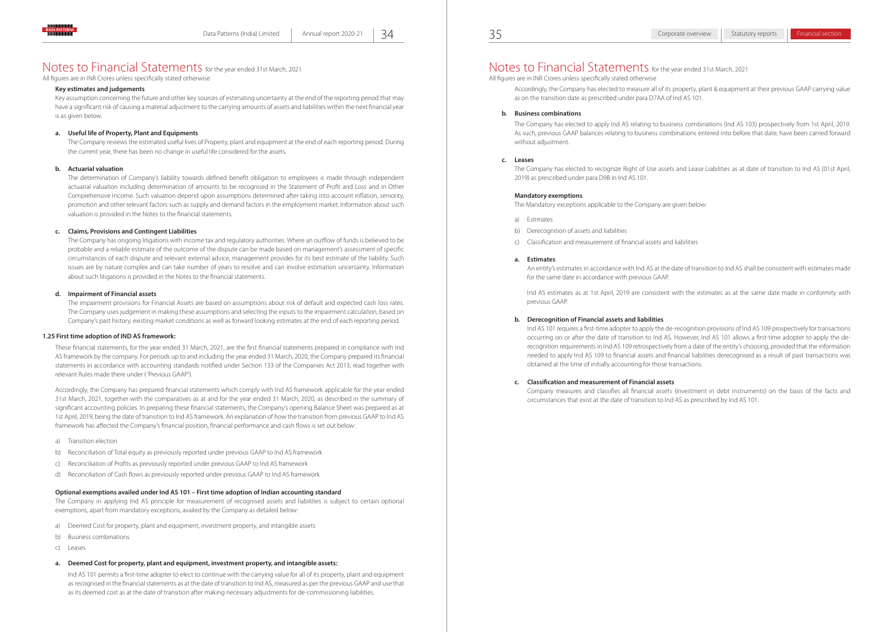

All figures are in INR Crores unless specifically stated otherwise

# **Key estimates and judgements**

Key assumption concerning the future and other key sources of estimating uncertainty at the end of the reporting period that may have a significant risk of causing a material adjustment to the carrying amounts of assets and liabilities within the next financial year is as given below.

# **a. Useful life of Property, Plant and Equipments**

The Company reviews the estimated useful lives of Property, plant and equipment at the end of each reporting period. During the current year, there has been no change in useful life considered for the assets.

# **b. Actuarial valuation**

The determination of Company's liability towards defined benefit obligation to employees is made through independent actuarial valuation including determination of amounts to be recognised in the Statement of Profit and Loss and in Other Comprehensive Income. Such valuation depend upon assumptions determined after taking into account inflation, seniority, promotion and other relevant factors such as supply and demand factors in the employment market. Information about such valuation is provided in the Notes to the financial statements.

# **c. Claims, Provisions and Contingent Liabilities**

The Company has ongoing litigations with income tax and regulatory authorities. Where an outflow of funds is believed to be probable and a reliable estimate of the outcome of the dispute can be made based on management's assessment of specific circumstances of each dispute and relevant external advice, management provides for its best estimate of the liability. Such issues are by nature complex and can take number of years to resolve and can involve estimation uncertainty. Information about such litigations is provided in the Notes to the financial statements.

# **d. Impairment of Financial assets**

The impairment provisions for Financial Assets are based on assumptions about risk of default and expected cash loss rates. The Company uses judgement in making these assumptions and selecting the inputs to the impairment calculation, based on Company's past history, existing market conditions as well as forward looking estimates at the end of each reporting period.

# **1.25 First time adoption of IND AS framework:**

The Company has elected to apply Ind AS relating to business combinations (Ind AS 103) prospectively from 1st April, 2019. As such, previous GAAP balances relating to business combinations entered into before that date, have been carried forward without adjustment.

These financial statements, for the year ended 31 March, 2021, are the first financial statements prepared in compliance with Ind AS framework by the company. For periods up to and including the year ended 31 March, 2020, the Company prepared its financial statements in accordance with accounting standards notified under Section 133 of the Companies Act 2013, read together with relevant Rules made there under ( 'Previous GAAP').

Accordingly, the Company has prepared financial statements which comply with Ind AS framework applicable for the year ended 31st March, 2021, together with the comparatives as at and for the year ended 31 March, 2020, as described in the summary of significant accounting policies. In preparing these financial statements, the Company's opening Balance Sheet was prepared as at 1st April, 2019, being the date of transition to Ind AS framework. An explanation of how the transition from previous GAAP to Ind AS framework has affected the Company's financial position, financial performance and cash flows is set out below:

- a) Transition election
- b) Reconciliation of Total equity as previously reported under previous GAAP to Ind AS framework
- c) Reconciliation of Profits as previously reported under previous GAAP to Ind AS framework
- d) Reconciliation of Cash flows as previously reported under previous GAAP to Ind AS framework

# **Optional exemptions availed under Ind AS 101 – First time adoption of Indian accounting standard**

 The Company in applying Ind AS principle for measurement of recognised assets and liabilities is subject to certain optional exemptions, apart from mandatory exceptions, availed by the Company as detailed below:

- a) Deemed Cost for property, plant and equipment, investment property, and intangible assets
- b) Business combinations
- c) Leases
- **a. Deemed Cost for property, plant and equipment, investment property, and intangible assets:**

Ind AS 101 permits a first-time adopter to elect to continue with the carrying value for all of its property, plant and equipment as recognised in the financial statements as at the date of transition to Ind AS, measured as per the previous GAAP and use that as its deemed cost as at the date of transition after making necessary adjustments for de-commissioning liabilities.

# Notes to Financial Statements for the year ended 31st March, 2021

All figures are in INR Crores unless specifically stated otherwise

Accordingly, the Company has elected to measure all of its property, plant & equipment at their previous GAAP carrying value as on the transition date as prescribed under para D7AA of Ind AS 101.

# **b. Business combinations**

# **c. Leases**

The Company has elected to recognize Right of Use assets and Lease Liabilities as at date of transition to Ind AS (01st April, 2019) as prescribed under para D9B in Ind AS 101.

### **Mandatory exemptions**

The Mandatory exceptions applicable to the Company are given below:

- a) Estimates
- b) Derecognition of assets and liabilities
- c) Classification and measurement of financial assets and liabilities
- **a. Estimates**

An entity's estimates in accordance with Ind AS at the date of transition to Ind AS shall be consistent with estimates made for the same date in accordance with previous GAAP.

 Ind AS estimates as at 1st April, 2019 are consistent with the estimates as at the same date made in conformity with previous GAAP.

# **b. Derecognition of Financial assets and liabilities**

Ind AS 101 requires a first-time adopter to apply the de-recognition provisions of Ind AS 109 prospectively for transactions occurring on or after the date of transition to Ind AS. However, Ind AS 101 allows a first-time adopter to apply the derecognition requirements in Ind AS 109 retrospectively from a date of the entity's choosing, provided that the information needed to apply Ind AS 109 to financial assets and financial liabilities derecognised as a result of past transactions was obtained at the time of initially accounting for those transactions.

Company measures and classifies all financial assets (investment in debt instruments) on the basis of the facts and

# **c. Classification and measurement of Financial assets** circumstances that exist at the date of transition to Ind AS as prescribed by Ind AS 101.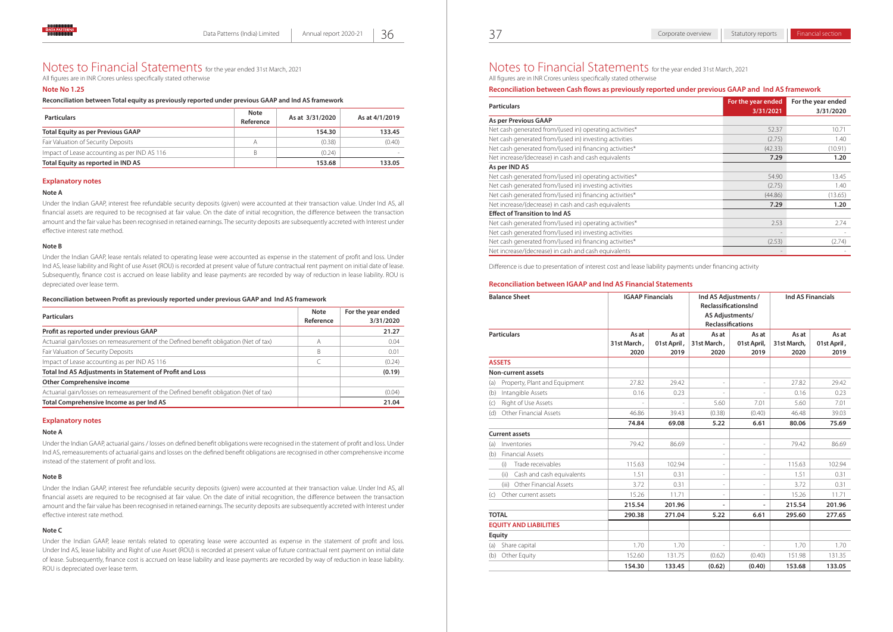All figures are in INR Crores unless specifically stated otherwise

# **Note No 1.25**

# **Reconciliation between Total equity as previously reported under previous GAAP and Ind AS framework**

| <b>Particulars</b>                           | Note<br>Reference | As at 3/31/2020 | As at 4/1/2019 |
|----------------------------------------------|-------------------|-----------------|----------------|
| <b>Total Equity as per Previous GAAP</b>     |                   | 154.30          | 133.45         |
| Fair Valuation of Security Deposits          | А                 | (0.38)          | (0.40)         |
| Impact of Lease accounting as per IND AS 116 | R                 | (0.24)          |                |
| Total Equity as reported in IND AS           |                   | 153.68          | 133.05         |

# **Explanatory notes**

# **Note A**

Under the Indian GAAP, interest free refundable security deposits (given) were accounted at their transaction value. Under Ind AS, all financial assets are required to be recognised at fair value. On the date of initial recognition, the difference between the transaction amount and the fair value has been recognised in retained earnings. The security deposits are subsequently accreted with Interest under effective interest rate method.

# **Note B**

Under the Indian GAAP, lease rentals related to operating lease were accounted as expense in the statement of profit and loss. Under Ind AS, lease liability and Right of use Asset (ROU) is recorded at present value of future contractual rent payment on initial date of lease. Subsequently, finance cost is accrued on lease liability and lease payments are recorded by way of reduction in lease liability. ROU is depreciated over lease term.

# **Reconciliation between Profit as previously reported under previous GAAP and Ind AS framework**

| <b>Particulars</b>                                                                    |           | For the year ended |
|---------------------------------------------------------------------------------------|-----------|--------------------|
|                                                                                       | Reference | 3/31/2020          |
| Profit as reported under previous GAAP                                                |           | 21.27              |
| Actuarial gain/losses on remeasurement of the Defined benefit obligation (Net of tax) | А         | 0.04               |
| Fair Valuation of Security Deposits                                                   | B         | 0.01               |
| Impact of Lease accounting as per IND AS 116                                          | $\subset$ | (0.24)             |
| Total Ind AS Adjustments in Statement of Profit and Loss                              |           | (0.19)             |
| <b>Other Comprehensive income</b>                                                     |           |                    |
| Actuarial gain/losses on remeasurement of the Defined benefit obligation (Net of tax) |           | (0.04)             |
| Total Comprehensive Income as per Ind AS                                              |           | 21.04              |

# **Explanatory notes**

# **Note A**

Under the Indian GAAP, actuarial gains / losses on defined benefit obligations were recognised in the statement of profit and loss. Under Ind AS, remeasurements of actuarial gains and losses on the defined benefit obligations are recognised in other comprehensive income instead of the statement of profit and loss.

# **Note B**

Under the Indian GAAP, interest free refundable security deposits (given) were accounted at their transaction value. Under Ind AS, all financial assets are required to be recognised at fair value. On the date of initial recognition, the difference between the transaction amount and the fair value has been recognised in retained earnings. The security deposits are subsequently accreted with Interest under effective interest rate method.

# **Note C**

Under the Indian GAAP, lease rentals related to operating lease were accounted as expense in the statement of profit and loss. Under Ind AS, lease liability and Right of use Asset (ROU) is recorded at present value of future contractual rent payment on initial date of lease. Subsequently, finance cost is accrued on lease liability and lease payments are recorded by way of reduction in lease liability. ROU is depreciated over lease term.

# Notes to Financial Statements for the year ended 31st March, 2021

All figures are in INR Crores unless specifically stated otherwise

# **Reconciliation between Cash flows as previously reported under previous GAAP and Ind AS framework**

| <b>Particulars</b>                                      | For the year ended<br>3/31/2021 | For the year ended<br>3/31/2020 |
|---------------------------------------------------------|---------------------------------|---------------------------------|
| As per Previous GAAP                                    |                                 |                                 |
| Net cash generated from/(used in) operating activities* | 52.37                           | 10.71                           |
| Net cash generated from/(used in) investing activities  | (2.75)                          | 1.40                            |
| Net cash generated from/(used in) financing activities* | (42.33)                         | (10.91)                         |
| Net increase/(decrease) in cash and cash equivalents    | 7.29                            | 1.20                            |
| As per IND AS                                           |                                 |                                 |
| Net cash generated from/(used in) operating activities* | 54.90                           | 13.45                           |
| Net cash generated from/(used in) investing activities  | (2.75)                          | 1.40                            |
| Net cash generated from/(used in) financing activities* | (44.86)                         | (13.65)                         |
| Net increase/(decrease) in cash and cash equivalents    | 7.29                            | 1.20                            |
| <b>Effect of Transition to Ind AS</b>                   |                                 |                                 |
| Net cash generated from/(used in) operating activities* | 2.53                            | 2.74                            |
| Net cash generated from/(used in) investing activities  |                                 |                                 |
| Net cash generated from/(used in) financing activities* | (2.53)                          | (2.74)                          |
| Net increase/(decrease) in cash and cash equivalents    |                                 |                                 |

Difference is due to presentation of interest cost and lease liability payments under financing activity

# **Reconciliation between IGAAP and Ind AS Financial Statements**

| <b>Balance Sheet</b>                 | <b>IGAAP Financials</b><br>Ind AS Adjustments /<br>ReclassificationsInd<br>AS Adjustments/<br><b>Reclassifications</b> |                              |                              | <b>Ind AS Financials</b>     |                              |                              |
|--------------------------------------|------------------------------------------------------------------------------------------------------------------------|------------------------------|------------------------------|------------------------------|------------------------------|------------------------------|
| <b>Particulars</b>                   | As at<br>31st March,<br>2020                                                                                           | As at<br>01st April,<br>2019 | As at<br>31st March,<br>2020 | As at<br>01st April,<br>2019 | As at<br>31st March,<br>2020 | As at<br>01st April,<br>2019 |
| <b>ASSETS</b>                        |                                                                                                                        |                              |                              |                              |                              |                              |
| <b>Non-current assets</b>            |                                                                                                                        |                              |                              |                              |                              |                              |
| Property, Plant and Equipment<br>(a) | 27.82                                                                                                                  | 29.42                        | $\overline{\phantom{a}}$     | $\overline{a}$               | 27.82                        | 29.42                        |
| Intangible Assets<br>(b)             | 0.16                                                                                                                   | 0.23                         |                              |                              | 0.16                         | 0.23                         |
| Right of Use Assets<br>(c)           |                                                                                                                        | $\overline{\phantom{a}}$     | 5.60                         | 7.01                         | 5.60                         | 7.01                         |
| Other Financial Assets<br>(d)        | 46.86                                                                                                                  | 39.43                        | (0.38)                       | (0.40)                       | 46.48                        | 39.03                        |
|                                      | 74.84                                                                                                                  | 69.08                        | 5.22                         | 6.61                         | 80.06                        | 75.69                        |
| <b>Current assets</b>                |                                                                                                                        |                              |                              |                              |                              |                              |
| Inventories<br>(a)                   | 79.42                                                                                                                  | 86.69                        | $\overline{a}$               |                              | 79.42                        | 86.69                        |
| <b>Financial Assets</b><br>(b)       |                                                                                                                        |                              |                              |                              |                              |                              |
| Trade receivables<br>(i)             | 115.63                                                                                                                 | 102.94                       |                              |                              | 115.63                       | 102.94                       |
| Cash and cash equivalents<br>(ii)    | 1.51                                                                                                                   | 0.31                         | $\overline{a}$               |                              | 1.51                         | 0.31                         |
| Other Financial Assets<br>(iii)      | 3.72                                                                                                                   | 0.31                         |                              |                              | 3.72                         | 0.31                         |
| Other current assets<br>(C)          | 15.26                                                                                                                  | 11.71                        |                              |                              | 15.26                        | 11.71                        |
|                                      | 215.54                                                                                                                 | 201.96                       | $\overline{\phantom{a}}$     |                              | 215.54                       | 201.96                       |
| <b>TOTAL</b>                         | 290.38                                                                                                                 | 271.04                       | 5.22                         | 6.61                         | 295.60                       | 277.65                       |
| <b>EQUITY AND LIABILITIES</b>        |                                                                                                                        |                              |                              |                              |                              |                              |
| <b>Equity</b>                        |                                                                                                                        |                              |                              |                              |                              |                              |
| Share capital<br>(a)                 | 1.70                                                                                                                   | 1.70                         |                              |                              | 1.70                         | 1.70                         |
| Other Equity<br>(b)                  | 152.60                                                                                                                 | 131.75                       | (0.62)                       | (0.40)                       | 151.98                       | 131.35                       |
|                                      | 154.30                                                                                                                 | 133.45                       | (0.62)                       | (0.40)                       | 153.68                       | 133.05                       |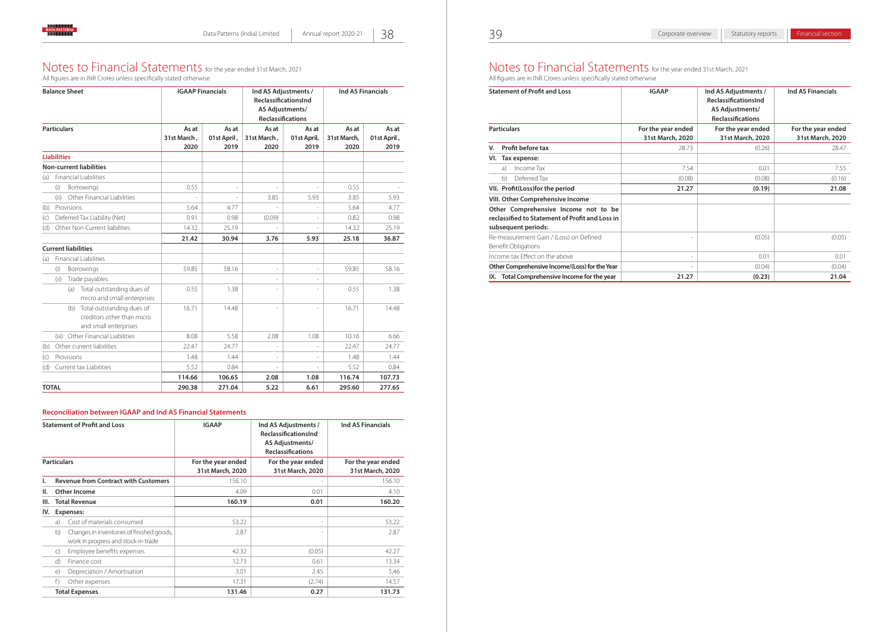|  |  | Notes to Financial Statements for the year ended 31st March, 2021 |
|--|--|-------------------------------------------------------------------|
|  |  |                                                                   |

All figures are in INR Crores unless specifically stated otherwise

| <b>Balance Sheet</b>                                                                    | <b>IGAAP Financials</b>      |                              | Ind AS Adjustments /<br>ReclassificationsInd<br>AS Adjustments/<br><b>Reclassifications</b> |                              |                              | <b>Ind AS Financials</b>     |  |
|-----------------------------------------------------------------------------------------|------------------------------|------------------------------|---------------------------------------------------------------------------------------------|------------------------------|------------------------------|------------------------------|--|
| <b>Particulars</b>                                                                      | As at<br>31st March,<br>2020 | As at<br>01st April,<br>2019 | As at<br>31st March,<br>2020                                                                | As at<br>01st April,<br>2019 | As at<br>31st March,<br>2020 | As at<br>01st April,<br>2019 |  |
| <b>Liabilities</b>                                                                      |                              |                              |                                                                                             |                              |                              |                              |  |
| <b>Non-current liabilities</b>                                                          |                              |                              |                                                                                             |                              |                              |                              |  |
| <b>Financial Liabilities</b><br>(a)                                                     |                              |                              |                                                                                             |                              |                              |                              |  |
| (i)<br><b>Borrowings</b>                                                                | 0.55                         |                              |                                                                                             |                              | 0.55                         |                              |  |
| Other Financial Liabilities<br>(ii)                                                     |                              |                              | 3.85                                                                                        | 5.93                         | 3.85                         | 5.93                         |  |
| (b)<br>Provisions                                                                       | 5.64                         | 4.77                         |                                                                                             |                              | 5.64                         | 4.77                         |  |
| Deferred Tax Liability (Net)<br>(c)                                                     | 0.91                         | 0.98                         | (0.09)                                                                                      | ÷                            | 0.82                         | 0.98                         |  |
| Other Non Current liabilities<br>(d)                                                    | 14.32                        | 25.19                        |                                                                                             |                              | 14.32                        | 25.19                        |  |
|                                                                                         | 21.42                        | 30.94                        | 3.76                                                                                        | 5.93                         | 25.18                        | 36.87                        |  |
| <b>Current liabilities</b>                                                              |                              |                              |                                                                                             |                              |                              |                              |  |
| <b>Financial Liabilities</b><br>(a)                                                     |                              |                              |                                                                                             |                              |                              |                              |  |
| (i)<br><b>Borrowings</b>                                                                | 59.85                        | 58.16                        | $\frac{1}{2}$                                                                               | $\equiv$                     | 59.85                        | 58.16                        |  |
| Trade payables<br>(ii)                                                                  |                              |                              |                                                                                             |                              |                              |                              |  |
| Total outstanding dues of<br>(a)<br>micro and small enterprises                         | 0.55                         | 1.38                         |                                                                                             | $\overline{a}$               | 0.55                         | 1.38                         |  |
| Total outstanding dues of<br>(b)<br>creditors other than micro<br>and small enterprises | 16.71                        | 14.48                        | $\overline{a}$                                                                              | $\bar{a}$                    | 16.71                        | 14.48                        |  |
| Other Financial Liabilities<br>(iii)                                                    | 8.08                         | 5.58                         | 2.08                                                                                        | 1.08                         | 10.16                        | 6.66                         |  |
| Other current liabilities<br>(b)                                                        | 22.47                        | 24.77                        |                                                                                             |                              | 22.47                        | 24.77                        |  |
| Provisions<br>(c)                                                                       | 1.48                         | 1.44                         | $\overline{\phantom{0}}$                                                                    | $\overline{\phantom{a}}$     | 1.48                         | 1.44                         |  |
| Current tax Liabilities<br>(d)                                                          | 5.52                         | 0.84                         |                                                                                             | $\overline{a}$               | 5.52                         | 0.84                         |  |
|                                                                                         | 114.66                       | 106.65                       | 2.08                                                                                        | 1.08                         | 116.74                       | 107.73                       |  |
| <b>TOTAL</b>                                                                            | 290.38                       | 271.04                       | 5.22                                                                                        | 6.61                         | 295.60                       | 277.65                       |  |

# **Reconciliation between IGAAP and Ind AS Financial Statements**

| <b>Statement of Profit and Loss</b> |                    |                                             | <b>IGAAP</b>       | Ind AS Adjustments /<br><b>ReclassificationsInd</b><br>AS Adjustments/<br><b>Reclassifications</b> | <b>Ind AS Financials</b> |
|-------------------------------------|--------------------|---------------------------------------------|--------------------|----------------------------------------------------------------------------------------------------|--------------------------|
|                                     | <b>Particulars</b> |                                             | For the year ended | For the year ended                                                                                 | For the year ended       |
|                                     |                    |                                             | 31st March, 2020   | 31st March, 2020                                                                                   | 31st March, 2020         |
| ı.                                  |                    | <b>Revenue from Contract with Customers</b> | 156.10             |                                                                                                    | 156.10                   |
| Ш.                                  |                    | <b>Other Income</b>                         | 4.09               | 0.01                                                                                               | 4.10                     |
| Ш.                                  |                    | <b>Total Revenue</b>                        | 160.19             | 0.01                                                                                               | 160.20                   |
| IV.                                 |                    | Expenses:                                   |                    |                                                                                                    |                          |
|                                     | a)                 | Cost of materials consumed                  | 53.22              | $\overline{\phantom{0}}$                                                                           | 53.22                    |
|                                     | b)                 | Changes in inventories of finished goods,   | 2.87               | $\overline{\phantom{0}}$                                                                           | 2.87                     |
|                                     |                    | work in progress and stock-in-trade         |                    |                                                                                                    |                          |
|                                     | C)                 | Employee benefits expenses                  | 42.32              | (0.05)                                                                                             | 42.27                    |
|                                     | d)                 | Finance cost                                | 12.73              | 0.61                                                                                               | 13.34                    |
|                                     | $\epsilon$         | Depreciation / Amortisation                 | 3.01               | 2.45                                                                                               | 5.46                     |
|                                     | f)                 | Other expenses                              | 17.31              | (2.74)                                                                                             | 14.57                    |
|                                     |                    | <b>Total Expenses</b>                       | 131.46             | 0.27                                                                                               | 131.73                   |

All figures are in INR Crores unless specifically stated otherwise

| <b>Statement of Profit and Loss</b>                                                                            | <b>IGAAP</b>             | Ind AS Adjustments /<br>ReclassificationsInd<br>AS Adjustments/<br><b>Reclassifications</b> | Ind AS Financials  |
|----------------------------------------------------------------------------------------------------------------|--------------------------|---------------------------------------------------------------------------------------------|--------------------|
| <b>Particulars</b>                                                                                             | For the year ended       | For the year ended                                                                          | For the year ended |
|                                                                                                                | 31st March, 2020         | 31st March, 2020                                                                            | 31st March, 2020   |
| Profit before tax<br>V.                                                                                        | 28.73                    | (0.26)                                                                                      | 28.47              |
| Tax expense:<br>VI.                                                                                            |                          |                                                                                             |                    |
| Income Tax<br>a)                                                                                               | 7.54                     | 0.01                                                                                        | 7.55               |
| Deferred Tax<br>b)                                                                                             | (0.08)                   | (0.08)                                                                                      | (0.16)             |
| VII. Profit(Loss)for the period                                                                                | 21.27                    | (0.19)                                                                                      | 21.08              |
| VIII. Other Comprehensive Income                                                                               |                          |                                                                                             |                    |
| Other Comprehensive Income not to be<br>reclassified to Statement of Profit and Loss in<br>subsequent periods: |                          |                                                                                             |                    |
| Re-measurement Gain / (Loss) on Defined<br><b>Benefit Obligations</b>                                          | $\qquad \qquad -$        | (0.05)                                                                                      | (0.05)             |
| Income tax Effect on the above                                                                                 | $\overline{\phantom{a}}$ | 0.01                                                                                        | 0.01               |
| Other Comprehensive Income/(Loss) for the Year                                                                 | $\overline{\phantom{a}}$ | (0.04)                                                                                      | (0.04)             |
| Total Comprehensive Income for the year<br>IX.                                                                 | 21.27                    | (0.23)                                                                                      | 21.04              |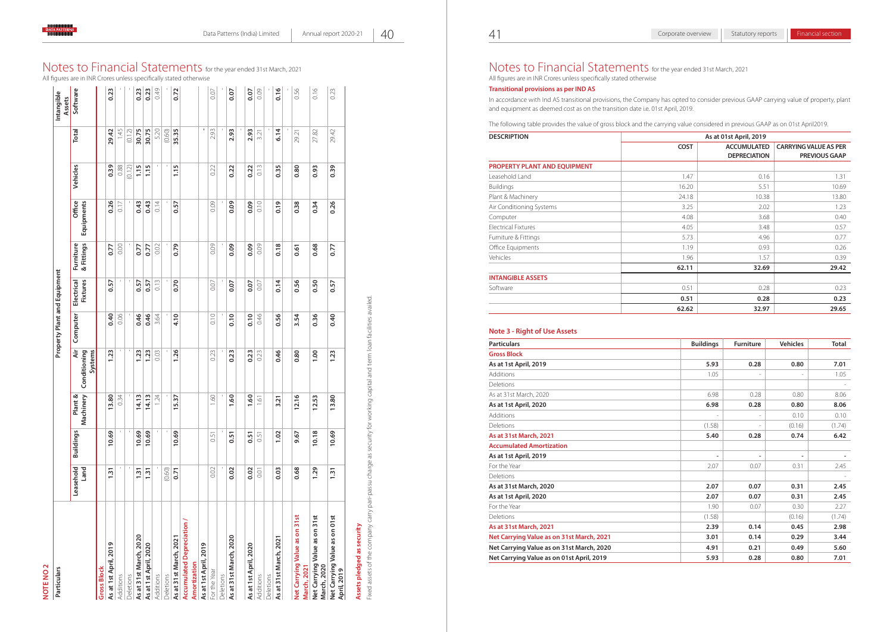All figures are in INR Crores unless specifically stated otherwise

| <b>NOTE NO 2</b>                             |                   |                  |                      |                                |                              |                        |                         |                      |              |                      |                      |
|----------------------------------------------|-------------------|------------------|----------------------|--------------------------------|------------------------------|------------------------|-------------------------|----------------------|--------------|----------------------|----------------------|
| Particulars                                  |                   |                  |                      |                                | Property Plant and Equipment |                        |                         |                      |              |                      | Intangible<br>Assets |
|                                              | Leasehold<br>Land | <b>Buildings</b> | Machinery<br>Plant & | Äir<br>Systems<br>Conditioning | Computer                     | Fixtures<br>Electrical | & Fittings<br>Furniture | Office<br>Equipments | Vehicles     | <b>Total</b>         | Software             |
| Gross Block                                  |                   |                  |                      |                                |                              |                        |                         |                      |              |                      |                      |
| As at 1st April, 2019                        | 131               | 10.69            | 13.80                | 1.23                           | 0.40                         | 0.57                   | 0.77                    | 0.26                 | 0.39         | 29.42                | 0.23                 |
| Additions                                    | $\mathbf I$       | $\mathbf I$      | 0.34                 | $\mathbf I$                    | 0.06                         |                        | 0.00                    | 0.17                 | 0.88         | 1.45                 |                      |
| Deletions                                    | $\mathsf I$       | $\mathsf I$      | 1                    | $\,$ I                         | $\mathsf I$                  |                        |                         | 1                    | (0.12)       | (0.12)               |                      |
| As at 31st March, 2020                       | 1.31              | 10.69            | 14.13                | 23                             | 0.46                         | 0.57                   | 0.77                    | 0.43                 | 1.15         | 30.75                | 0.23                 |
| As at 1st April, 2020                        | 1.31              | 10.69            | 14.13                | 1.23                           | 0.46                         | 0.57                   | 0.77                    | 0.43                 | 1.15         | 30.75                | 0.23                 |
| Additions                                    | $\mathbf{I}$      | $\mathsf I$      | 24                   | 0.03                           | $\mathcal{R}$<br>ന്          | 0.13                   | 0.02                    | 0.14                 | $\mathbf{I}$ | 5.20                 | 0.49                 |
| <b>Deletions</b>                             | (0.60)            | $\mathsf I$      |                      | $\mathbf{I}$                   | $\mathbf{I}$                 |                        |                         |                      |              | (0.60)               |                      |
| As at 31st March, 2021                       | 0.71              | 10.69            | 5.37                 | 1.26                           | 4.10                         | 0.70                   | 0.79                    | 0.57                 | 1.15         | 35.35                | 0.72                 |
| <b>Accumulated Depreciation</b>              |                   |                  |                      |                                |                              |                        |                         |                      |              |                      |                      |
| Amortization                                 |                   |                  |                      |                                |                              |                        |                         |                      |              |                      |                      |
| As at 1st April, 2019                        |                   |                  |                      |                                |                              |                        |                         |                      |              | I.                   |                      |
| For the Year                                 | 0.02              | 0.51             | 1.60                 | 0.23                           | 0.10                         | 0.07                   | 0.09                    | 0.09                 | 0.22         | 2.93                 | 0.07                 |
| Deletions                                    |                   | $\mathbf{I}$     |                      |                                |                              |                        |                         |                      |              |                      |                      |
| As at 31st March, 2020                       | 0.02              | 0.51             | 1.60                 | 0.23                           | 0.10                         | 0.07                   | 0.09                    | 0.09                 | 0.22         | 2.93                 | 0.07                 |
| As at 1st April, 2020                        | 0.02              | 0.51             | 1.60                 | 0.23                           | 0.10                         | 0.07                   | 0.09                    | 0.09                 | 0.22         | 93<br>$\overline{N}$ | 0.07                 |
| Additions                                    | 0.01              | 0.51             | $\rm \tilde{\odot}$  | 0.23                           | 0.46                         | 0.07                   | 0.09                    | 0.10                 | 0.13         | Ñ<br>ന്              | 0.09                 |
| beletions                                    |                   |                  |                      |                                |                              |                        |                         |                      |              |                      |                      |
| As at 31st March, 2021                       | 0.03              | 1.02             | 3.21                 | 0.46                           | 0.56                         | 0.14                   | 0.18                    | 0.19                 | 0.35         | 6.14                 | 0.16                 |
| Net Carrying Value as on 31st<br>March, 2021 | 0.68              | 9.67             | 12.16                | 0.80                           | 3.54                         | 0.56                   | 0.61                    | 0.38                 | 0.80         | 29.21                | 0.56                 |
| Net Carrying Value as on 31st<br>March, 2020 | 1.29              | 10.18            | 12.53                | 0.00                           | 0.36                         | 0.50                   | 0.68                    | 0.34                 | 0.93         | 27.82                | 0.16                 |
| Net Carrying Value as on 01st<br>April, 2019 | 1.31              | 10.69            | 13.80                | 1.23                           | 0.40                         | 0.57                   | 0.77                    | 0.26                 | 0.39         | 29.42                | 0.23                 |

Notes to Financial Statements for the year ended 31st March, 2021 All figures are in INR Crores unless specifically stated otherwise

# **Assets pledged as security**

security for working capital and term loan facilities availed. Fixed assets of the company carry pari-passu charge as security for working capital and term loan facilities availed. **Assets pledged as security**<br>Fixed assets of the company carry pari-passu charge as s

# **Transitional provisions as per IND AS**

In accordance with Ind AS transitional provisions, the Company has opted to consider previous GAAP carrying value of property, plant and equipment as deemed cost as on the transition date i.e. 01st April, 2019.

The following table provides the value of gross block and the carrying value considered in previous GAAP as on 01st April2019.

| <b>DESCRIPTION</b>           |             | As at 01st April, 2019 |                              |
|------------------------------|-------------|------------------------|------------------------------|
|                              | <b>COST</b> | <b>ACCUMULATED</b>     | <b>CARRYING VALUE AS PER</b> |
|                              |             | <b>DEPRECIATION</b>    | <b>PREVIOUS GAAP</b>         |
| PROPERTY PLANT AND EQUIPMENT |             |                        |                              |
| Leasehold Land               | 1.47        | 0.16                   | 1.31                         |
| <b>Buildings</b>             | 16.20       | 5.51                   | 10.69                        |
| Plant & Machinery            | 24.18       | 10.38                  | 13.80                        |
| Air Conditioning Systems     | 3.25        | 2.02                   | 1.23                         |
| Computer                     | 4.08        | 3.68                   | 0.40                         |
| <b>Electrical Fixtures</b>   | 4.05        | 3.48                   | 0.57                         |
| Furniture & Fittings         | 5.73        | 4.96                   | 0.77                         |
| Office Equipments            | 1.19        | 0.93                   | 0.26                         |
| Vehicles                     | 1.96        | 1.57                   | 0.39                         |
|                              | 62.11       | 32.69                  | 29.42                        |
| <b>INTANGIBLE ASSETS</b>     |             |                        |                              |
| Software                     | 0.51        | 0.28                   | 0.23                         |
|                              | 0.51        | 0.28                   | 0.23                         |
|                              | 62.62       | 32.97                  | 29.65                        |

# **Note 3 - Right of Use Assets**

| <b>Particulars</b>                        | <b>Buildings</b>         | <b>Furniture</b> | <b>Vehicles</b> | <b>Total</b> |  |
|-------------------------------------------|--------------------------|------------------|-----------------|--------------|--|
| <b>Gross Block</b>                        |                          |                  |                 |              |  |
| As at 1st April, 2019                     | 5.93                     | 0.28             | 0.80            | 7.01         |  |
| Additions                                 | 1.05                     |                  |                 | 1.05         |  |
| Deletions                                 |                          |                  |                 |              |  |
| As at 31st March, 2020                    | 6.98                     | 0.28             | 0.80            | 8.06         |  |
| As at 1st April, 2020                     | 6.98                     | 0.28             | 0.80            | 8.06         |  |
| Additions                                 |                          |                  | 0.10            | 0.10         |  |
| Deletions                                 | (1.58)                   |                  | (0.16)          | (1.74)       |  |
| As at 31st March, 2021                    | 5.40                     | 0.28             | 0.74            | 6.42         |  |
| <b>Accumulated Amortization</b>           |                          |                  |                 |              |  |
| As at 1st April, 2019                     | $\overline{\phantom{a}}$ | ٠                |                 |              |  |
| For the Year                              | 2.07                     | 0.07             | 0.31            | 2.45         |  |
| Deletions                                 |                          |                  |                 |              |  |
| As at 31st March, 2020                    | 2.07                     | 0.07             | 0.31            | 2.45         |  |
| As at 1st April, 2020                     | 2.07                     | 0.07             | 0.31            | 2.45         |  |
| For the Year                              | 1.90                     | 0.07             | 0.30            | 2.27         |  |
| Deletions                                 | (1.58)                   |                  | (0.16)          | (1.74)       |  |
| As at 31st March, 2021                    | 2.39                     | 0.14             | 0.45            | 2.98         |  |
| Net Carrying Value as on 31st March, 2021 | 3.01                     | 0.14             | 0.29            | 3.44         |  |
| Net Carrying Value as on 31st March, 2020 | 4.91                     | 0.21             | 0.49            | 5.60         |  |
|                                           |                          |                  |                 |              |  |

**Net Carrying Value as on 01st April, 2019 5.93 0.28 0.80 7.01**

| <b>Buildings</b> | <b>Furniture</b> | <b>Vehicles</b> | <b>Total</b> |
|------------------|------------------|-----------------|--------------|
|                  |                  |                 |              |
| 5.93             | 0.28             | 0.80            | 7.01         |
| 1.05             | -                | $\overline{a}$  | 1.05         |
|                  |                  |                 |              |
| 6.98             | 0.28             | 0.80            | 8.06         |
| 6.98             | 0.28             | 0.80            | 8.06         |
|                  |                  | 0.10            | 0.10         |
| (1.58)           |                  | (0.16)          | (1.74)       |
| 5.40             | 0.28             | 0.74            | 6.42         |
|                  |                  |                 |              |
|                  |                  |                 |              |
| 2.07             | 0.07             | 0.31            | 2.45         |
|                  |                  |                 |              |
| 2.07             | 0.07             | 0.31            | 2.45         |
| 2.07             | 0.07             | 0.31            | 2.45         |
| 1.90             | 0.07             | 0.30            | 2.27         |
| (1.58)           |                  | (0.16)          | (1.74)       |
| 2.39             | 0.14             | 0.45            | 2.98         |
| 3.01             | 0.14             | 0.29            | 3.44         |
| 4.91             | 0.21             | 0.49            | 5.60         |
| 5.93             | 0.28             | 0.80            | 7.01         |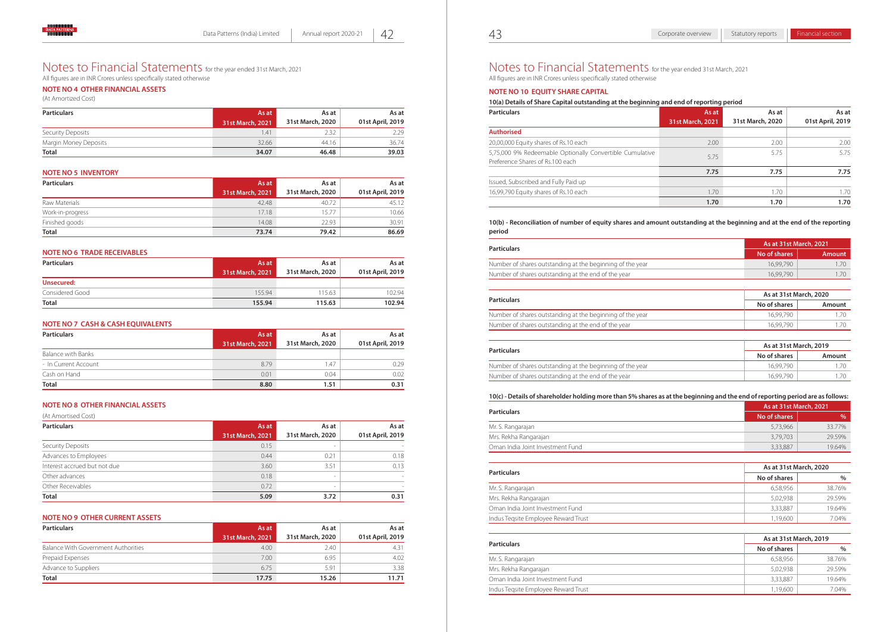All figures are in INR Crores unless specifically stated otherwise

# **NOTE NO 4 OTHER FINANCIAL ASSETS**

(At Amortized Cost)

| <b>Particulars</b><br>As at |                  | As at            | As at            |
|-----------------------------|------------------|------------------|------------------|
|                             | 31st March, 2021 | 31st March, 2020 | 01st April, 2019 |
| Security Deposits           | 1.41             | 2.32             | 2.29             |
| Margin Money Deposits       | 32.66            | 44.16            | 36.74            |
| <b>Total</b>                | 34.07            | 46.48            | 39.03            |

# **NOTE NO 5 INVENTORY**

| <b>Particulars</b> | As at            | As at            | As at            |
|--------------------|------------------|------------------|------------------|
|                    | 31st March, 2021 | 31st March, 2020 | 01st April, 2019 |
| Raw Materials      | 42.48            | 40.72            | 45.12            |
| Work-in-progress   | 17.18            | 15.77            | 10.66            |
| Finished goods     | 14.08            | 22.93            | 30.91            |
| <b>Total</b>       | 73.74            | 79.42            | 86.69            |

# **NOTE NO 6 TRADE RECEIVABLES**

| <b>Particulars</b> | As at            | As at            | As at            |
|--------------------|------------------|------------------|------------------|
|                    | 31st March, 2021 | 31st March, 2020 | 01st April, 2019 |
| Unsecured:         |                  |                  |                  |
| Considered Good    | 155.94           | 115.63           | 102.94           |
| <b>Total</b>       | 155.94           | 115.63           | 102.94           |

# **NOTE NO 7 CASH & CASH EQUIVALENTS**

| <b>Particulars</b>   | As at            | As at            | As at            |
|----------------------|------------------|------------------|------------------|
|                      | 31st March, 2021 | 31st March, 2020 | 01st April, 2019 |
| Balance with Banks   |                  |                  |                  |
| - In Current Account | 8.79             | .47              | 0.29             |
| Cash on Hand         | 0.01             | 0.04             | 0.02             |
| Total                | 8.80             | 1.51             | 0.31             |

# **NOTE NO 8 OTHER FINANCIAL ASSETS**

(At Amortised Cost)

| <b>Particulars</b>           | As at            | As at            | As at            |
|------------------------------|------------------|------------------|------------------|
|                              | 31st March, 2021 | 31st March, 2020 | 01st April, 2019 |
| Security Deposits            | 0.15             |                  |                  |
| Advances to Employees        | 0.44             | 0.21             | 0.18             |
| Interest accrued but not due | 3.60             | 3.51             | 0.13             |
| Other advances               | 0.18             |                  |                  |
| Other Receivables            | 0.72             |                  |                  |
| Total                        | 5.09             | 3.72             | 0.31             |

# **NOTE NO 9 OTHER CURRENT ASSETS**

| <b>Particulars</b>                         | As at            | As at            | As at            |
|--------------------------------------------|------------------|------------------|------------------|
|                                            | 31st March, 2021 | 31st March, 2020 | 01st April, 2019 |
| <b>Balance With Government Authorities</b> | 4.00             | 2.40             | 4.31             |
| Prepaid Expenses                           | 7.00             | 6.95             | 4.02             |
| Advance to Suppliers                       | 6.75             | 5.91             | 3.38             |
| <b>Total</b>                               | 17.75            | 15.26            | 11.71            |

# Notes to Financial Statements for the year ended 31st March, 2021

All figures are in INR Crores unless specifically stated otherwise

# **NOTE NO 10 EQUITY SHARE CAPITAL**

| 10(a) Details of Share Capital outstanding at the beginning and end of reporting period |                  |                  |                  |
|-----------------------------------------------------------------------------------------|------------------|------------------|------------------|
| <b>Particulars</b>                                                                      | As at            | As at            | As at            |
|                                                                                         | 31st March, 2021 | 31st March, 2020 | 01st April, 2019 |
| <b>Authorised</b>                                                                       |                  |                  |                  |
| 20,00,000 Equity shares of Rs.10 each                                                   | 2.00             | 2.00             | 2.00             |
| 5,75,000 9% Redeemable Optionally Convertible Cumulative                                | 5.75             | 5.75             | 5.75             |
| Preference Shares of Rs.100 each                                                        |                  |                  |                  |
|                                                                                         | 7.75             | 7.75             | 7.75             |
| Issued, Subscribed and Fully Paid up                                                    |                  |                  |                  |
| 16,99,790 Equity shares of Rs.10 each                                                   | 1.70             | 1.70             | 1.70             |
|                                                                                         | 1.70             | 1.70             | 1.70             |

**10(b) - Reconciliation of number of equity shares and amount outstanding at the beginning and at the end of the reporting period**

|                                                           | <b>As at 31st March, 2021</b> |        |  |
|-----------------------------------------------------------|-------------------------------|--------|--|
| <b>Particulars</b>                                        | No of shares                  | Amount |  |
| Number of shares outstanding at the beginning of the year | 16.99.790                     | 1 70   |  |
| Number of shares outstanding at the end of the year       | 16.99.790                     | 1 70   |  |

|                                                           | As at 31st March, 2020 |        |  |
|-----------------------------------------------------------|------------------------|--------|--|
| <b>Particulars</b>                                        | No of shares           | Amount |  |
| Number of shares outstanding at the beginning of the year | 16.99.790              | 1 70 I |  |
| Number of shares outstanding at the end of the year       | 16.99.790              | 1 70 I |  |

| <b>Particulars</b>                                        | As at 31st March, 2019 |        |  |
|-----------------------------------------------------------|------------------------|--------|--|
|                                                           | No of shares           | Amount |  |
| Number of shares outstanding at the beginning of the year | 16.99.790              | - 70   |  |
| Number of shares outstanding at the end of the year       | 16.99.790              | ' 70 - |  |

# **10(c) - Details of shareholder holding more than 5% shares as at the beginning and the end of reporting period are as follows:**

|                                  | <b>As at 31st March, 2021</b> |        |  |
|----------------------------------|-------------------------------|--------|--|
| <b>Particulars</b>               | No of shares                  | $\%$   |  |
| Mr. S. Rangarajan                | 5,73,966                      | 33.77% |  |
| Mrs. Rekha Rangarajan            | 3.79.703                      | 29.59% |  |
| Oman India Joint Investment Fund | 3,33,887                      | 19.64% |  |

|                                     |              | As at 31st March, 2020 |  |  |
|-------------------------------------|--------------|------------------------|--|--|
| <b>Particulars</b>                  | No of shares | $\%$                   |  |  |
| Mr. S. Rangarajan                   | 6,58,956     | 38.76%                 |  |  |
| Mrs. Rekha Rangarajan               | 5,02,938     | 29.59%                 |  |  |
| Oman India Joint Investment Fund    | 3,33,887     | 19.64%                 |  |  |
| Indus Tegsite Employee Reward Trust | 1.19.600     | 7.04%                  |  |  |

| Mr. S. Rangarajan                   | 6.58.956 | 38.76% |
|-------------------------------------|----------|--------|
| Mrs. Rekha Rangarajan               | 5.02.938 | 29.59% |
| Oman India Joint Investment Fund    | 3.33.887 | 19.64% |
| Indus Tegsite Employee Reward Trust | 1.19.600 | 7.04%  |

|                                     | As at 31st March, 2019 |        |  |
|-------------------------------------|------------------------|--------|--|
| <b>Particulars</b>                  | No of shares           | $\%$   |  |
| Mr. S. Rangarajan                   | 6,58,956               | 38.76% |  |
| Mrs. Rekha Rangarajan               | 5,02,938               | 29.59% |  |
| Oman India Joint Investment Fund    | 3,33,887               | 19.64% |  |
| Indus Tegsite Employee Reward Trust | 1.19.600               | 7.04%  |  |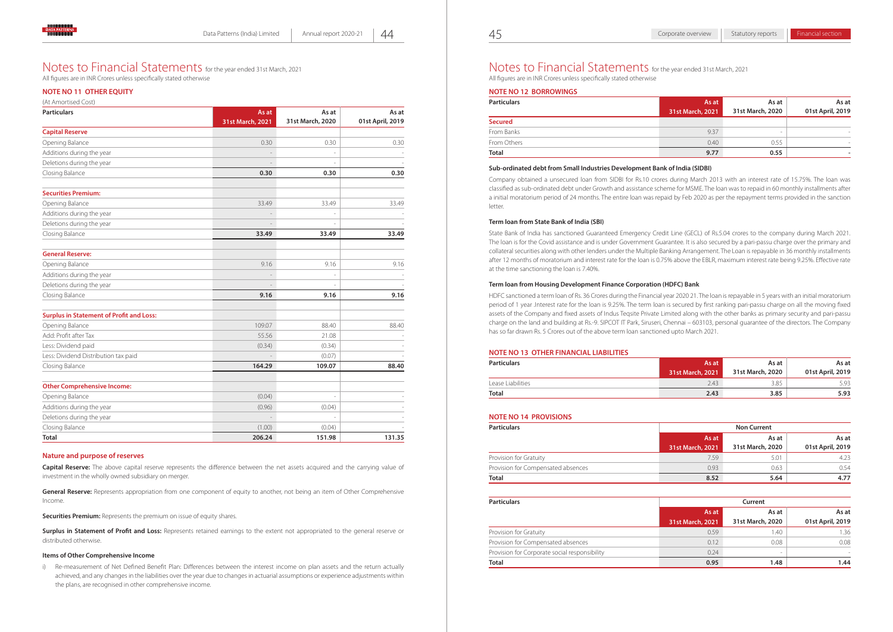All figures are in INR Crores unless specifically stated otherwise

**NOTE NO 11 OTHER EQUITY**

(At Amortised Cost)

**As at** 

| <b>Particulars</b>                              | As at<br>31st March, 2021 | As at<br>31st March, 2020 | As at<br>01st April, 2019 |  |
|-------------------------------------------------|---------------------------|---------------------------|---------------------------|--|
| <b>Capital Reserve</b>                          |                           |                           |                           |  |
| Opening Balance                                 | 0.30                      | 0.30                      | 0.30                      |  |
| Additions during the year                       |                           |                           |                           |  |
| Deletions during the year                       |                           |                           |                           |  |
| Closing Balance                                 | 0.30                      | 0.30                      | 0.30                      |  |
| <b>Securities Premium:</b>                      |                           |                           |                           |  |
| Opening Balance                                 | 33.49                     | 33.49                     | 33.49                     |  |
| Additions during the year                       |                           | $\overline{a}$            |                           |  |
| Deletions during the year                       |                           |                           |                           |  |
| Closing Balance                                 | 33.49                     | 33.49                     | 33.49                     |  |
| <b>General Reserve:</b>                         |                           |                           |                           |  |
| Opening Balance                                 | 9.16                      | 9.16                      | 9.16                      |  |
| Additions during the year                       | $\overline{\phantom{a}}$  | $\overline{\phantom{a}}$  |                           |  |
| Deletions during the year                       |                           |                           |                           |  |
| Closing Balance                                 | 9.16                      | 9.16                      | 9.16                      |  |
| <b>Surplus in Statement of Profit and Loss:</b> |                           |                           |                           |  |
| Opening Balance                                 | 109.07                    | 88.40                     | 88.40                     |  |
| Add: Profit after Tax                           | 55.56                     | 21.08                     |                           |  |
| Less: Dividend paid                             | (0.34)                    | (0.34)                    |                           |  |
| Less: Dividend Distribution tax paid            |                           | (0.07)                    |                           |  |
| Closing Balance                                 | 164.29                    | 109.07                    | 88.40                     |  |
| <b>Other Comprehensive Income:</b>              |                           |                           |                           |  |
| Opening Balance                                 | (0.04)                    |                           |                           |  |
| Additions during the year                       | (0.96)                    | (0.04)                    |                           |  |
| Deletions during the year                       |                           |                           |                           |  |
| Closing Balance                                 | (1.00)                    | (0.04)                    |                           |  |
| <b>Total</b>                                    | 206.24                    | 151.98                    | 131.35                    |  |

# **Nature and purpose of reserves**

**Capital Reserve:** The above capital reserve represents the difference between the net assets acquired and the carrying value of investment in the wholly owned subsidiary on merger.

**General Reserve:** Represents appropriation from one component of equity to another, not being an item of Other Comprehensive Income.

**Securities Premium:** Represents the premium on issue of equity shares.

**Surplus in Statement of Profit and Loss:** Represents retained earnings to the extent not appropriated to the general reserve or distributed otherwise.

# **Items of Other Comprehensive Income**

i) Re-measurement of Net Defined Benefit Plan: Differences between the interest income on plan assets and the return actually achieved, and any changes in the liabilities over the year due to changes in actuarial assumptions or experience adjustments within the plans, are recognised in other comprehensive income.

# Notes to Financial Statements for the year ended 31st March, 2021

All figures are in INR Crores unless specifically stated otherwise

| <b>NOTE NO 14 PROVISIONS</b>       |                    |                  |                  |
|------------------------------------|--------------------|------------------|------------------|
| <b>Particulars</b>                 | <b>Non Current</b> |                  |                  |
|                                    | As at              | As at            | As at            |
|                                    | 31st March, 2021   | 31st March, 2020 | 01st April, 2019 |
| Provision for Gratuity             | 7.59               | 5.01             | 4.23             |
| Provision for Compensated absences | 0.93               | 0.63             | 0.54             |
| <b>Total</b>                       | 8.52               | 5.64             | 4.77             |
|                                    |                    |                  |                  |
| <b>Particulars</b>                 |                    | Current          |                  |
|                                    | As at              | As at            | As at            |
|                                    | 31st March, 2021   | 31st March, 2020 | 01st April, 2019 |
| Provision for Gratuity             | 0.59               | 1.40             | 1.36             |
| Provision for Compensated absences | 0.12               | 0.08             |                  |

| As at            | As at            | As at            |
|------------------|------------------|------------------|
| 01st April, 2019 | 31st March, 2020 | 31st March, 2021 |
|                  |                  |                  |
|                  | -                | 937              |
|                  | 0.55             | 0.40             |
|                  | 0.55             | 9.77             |

# **NOTE NO 12 BORROWINGS Particulars Secured** From Banks 9.37 - - From Others **6.40 - Example 2.40** - Change 2.40 - Change 2.40 - Change 2.40 - Change 2.40 - Change 2.40 - Change 2.40 - Change 2.40 - Change 2.40 - Change 2.40 - Change 2.40 - Change 2.40 - Change 2.40 - Change 2.40 - Chan **Total 9.77 0.55 -**

# **Sub-ordinated debt from Small Industries Development Bank of India (SIDBI)**

ompany obtained a unsecured loan from SIDBI for Rs.10 crores during March 2013 with an interest rate of 15.75%. The loan was assified as sub-ordinated debt under Growth and assistance scheme for MSME. The loan was to repaid in 60 monthly installments after initial moratorium period of 24 months. The entire loan was repaid by Feb 2020 as per the repayment terms provided in the sanction tter.

# **Term loan from State Bank of India (SBI)**

ate Bank of India has sanctioned Guaranteed Emergency Credit Line (GECL) of Rs.5.04 crores to the company during March 2021. he loan is for the Covid assistance and is under Government Guarantee. It is also secured by a pari-passu charge over the primary and collateral securities along with other lenders under the Multiple Banking Arrangement. The Loan is repayable in 36 monthly installments fter 12 months of moratorium and interest rate for the loan is 0.75% above the EBLR, maximum interest rate being 9.25%. Effective rate the time sanctioning the loan is 7.40%.

# **Term loan from Housing Development Finance Corporation (HDFC) Bank**

DFC sanctioned a term loan of Rs. 36 Crores during the Financial year 2020 21. The loan is repayable in 5 years with an initial moratorium eriod of 1 year .Interest rate for the loan is 9.25%. The term loan is secured by first ranking pari-passu charge on all the moving fixed isets of the Company and fixed assets of Indus Tegsite Private Limited along with the other banks as primary security and pari-passu narge on the land and building at Rs.-9. SIPCOT IT Park, Siruseri, Chennai – 603103, personal guarantee of the directors. The Company as so far drawn Rs. 5 Crores out of the above term loan sanctioned upto March 2021.

# **NOTE NO 13 OTHER FINANCIAL LIABILITIES**

| <b>Particulars</b> | As at            | As at            | As at            |
|--------------------|------------------|------------------|------------------|
|                    | 31st March, 2021 | 31st March, 2020 | 01st April, 2019 |
| Lease Liabilities  | 2.43             | 3.85             | 5.93             |
| <b>Total</b>       | 2.43             | 3.85             | 5.93             |

| <b>Non Current</b>        |                           |                           |  |
|---------------------------|---------------------------|---------------------------|--|
| As at<br>31st March, 2021 | As at<br>31st March, 2020 | As at<br>01st April, 2019 |  |
| 7.59                      | 5.01                      | 423                       |  |
| 0.93                      | 0.63                      | 0.54                      |  |
| 8.52                      | 5.64                      | 4.77                      |  |

| <b>Particulars</b>                            |                  | Current          |                  |  |  |
|-----------------------------------------------|------------------|------------------|------------------|--|--|
|                                               | As at            | As at            | As at            |  |  |
|                                               | 31st March, 2021 | 31st March, 2020 | 01st April, 2019 |  |  |
| Provision for Gratuity                        | 0.59             | l.40             | 1.36             |  |  |
| Provision for Compensated absences            | 0.12             | 0.08             | 0.08             |  |  |
| Provision for Corporate social responsibility | 0.24             | -                |                  |  |  |
| <b>Total</b>                                  | 0.95             | 1.48             | 1.44             |  |  |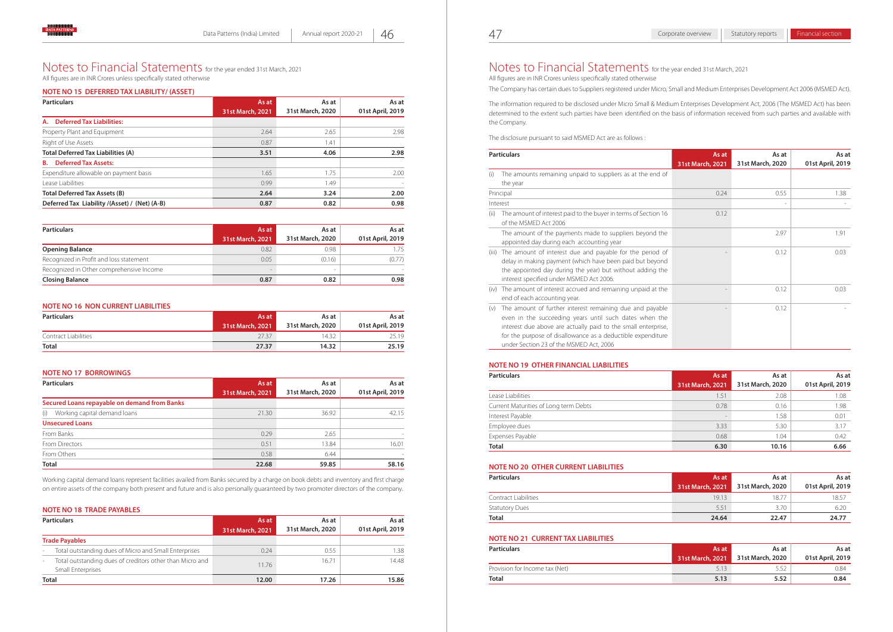# **NOTE NO 15 DEFERRED TAX LIABILITY/ (ASSET)**

| <b>Particulars</b>                            | As at            | As at            | As at            |
|-----------------------------------------------|------------------|------------------|------------------|
|                                               | 31st March, 2021 | 31st March, 2020 | 01st April, 2019 |
| <b>Deferred Tax Liabilities:</b><br>А.        |                  |                  |                  |
| Property Plant and Equipment                  | 2.64             | 2.65             | 2.98             |
| Right of Use Assets                           | 0.87             | 1.41             |                  |
| <b>Total Deferred Tax Liabilities (A)</b>     | 3.51             | 4.06             | 2.98             |
| <b>Deferred Tax Assets:</b><br>B.             |                  |                  |                  |
| Expenditure allowable on payment basis        | 1.65             | 1.75             | 2.00             |
| Lease Liabilities                             | 0.99             | 1.49             |                  |
| <b>Total Deferred Tax Assets (B)</b>          | 2.64             | 3.24             | 2.00             |
| Deferred Tax Liability /(Asset) / (Net) (A-B) | 0.87             | 0.82             | 0.98             |

| <b>Particulars</b>                       | As at                    | As at                    | As at            |
|------------------------------------------|--------------------------|--------------------------|------------------|
|                                          | 31st March, 2021         | 31st March, 2020         | 01st April, 2019 |
| <b>Opening Balance</b>                   | 0.82                     | 0.98                     | -75              |
| Recognized in Profit and loss statement  | 0.05                     | (0.16)                   | (0.77)           |
| Recognized in Other comprehensive Income | $\overline{\phantom{0}}$ | $\overline{\phantom{0}}$ |                  |
| <b>Closing Balance</b>                   | 0.87                     | 0.82                     | 0.98             |

# **NOTE NO 16 NON CURRENT LIABILITIES**

| <b>Particulars</b>          | As at            | As at            | As at            |
|-----------------------------|------------------|------------------|------------------|
|                             | 31st March, 2021 | 31st March, 2020 | 01st April, 2019 |
| <b>Contract Liabilities</b> | 27.37            | 14.32            | 25.19            |
| <b>Total</b>                | 27.37            | 14.32            | 25.19            |

# **NOTE NO 17 BORROWINGS**

| <b>Particulars</b>                           | As at            | As at            | As at            |
|----------------------------------------------|------------------|------------------|------------------|
|                                              | 31st March, 2021 | 31st March, 2020 | 01st April, 2019 |
| Secured Loans repayable on demand from Banks |                  |                  |                  |
| Working capital demand loans<br>(i)          | 21.30            | 36.92            | 42.15            |
| <b>Unsecured Loans</b>                       |                  |                  |                  |
| From Banks                                   | 0.29             | 2.65             |                  |
| From Directors                               | 0.51             | 13.84            | 16.01            |
| From Others                                  | 0.58             | 6.44             |                  |
| <b>Total</b>                                 | 22.68            | 59.85            | 58.16            |

Working capital demand loans represent facilities availed from Banks secured by a charge on book debts and inventory and first charge on entire assets of the company both present and future and is also personally guaranteed by two promoter directors of the company.

# **NOTE NO 18 TRADE PAYABLES**

| <b>Particulars</b>                                                                      | As at            | As at            | As at            |
|-----------------------------------------------------------------------------------------|------------------|------------------|------------------|
|                                                                                         | 31st March, 2021 | 31st March, 2020 | 01st April, 2019 |
| <b>Trade Payables</b>                                                                   |                  |                  |                  |
| Total outstanding dues of Micro and Small Enterprises<br>$\overline{\phantom{a}}$       | 0.24             | 0.55             | 1.38             |
| Total outstanding dues of creditors other than Micro and<br>$\sim$<br>Small Enterprises | 11.76            | 16.71            | 14.48            |
| <b>Total</b>                                                                            | 12.00            | 17.26            | 15.86            |

# Notes to Financial Statements for the year ended 31st March, 2021

All figures are in INR Crores unless specifically stated otherwise

# Notes to Financial Statements for the year ended 31st March, 2021

All figures are in INR Crores unless specifically stated otherwise The Company has certain dues to Suppliers registered under Micro, Small and Medium Enterprises Development Act 2006 (MSMED Act).

The information required to be disclosed under Micro Small & Medium Enterprises Development Act, 2006 (The MSMED Act) has been determined to the extent such parties have been identified on the basis of information received from such parties and available with the Company.

The disclosure pursuant to said MSMED Act are as follows :

|       | <b>Particulars</b>                                                                                                                                                                                                                                                                            | As at            | As at            | As at            |
|-------|-----------------------------------------------------------------------------------------------------------------------------------------------------------------------------------------------------------------------------------------------------------------------------------------------|------------------|------------------|------------------|
|       |                                                                                                                                                                                                                                                                                               | 31st March, 2021 | 31st March, 2020 | 01st April, 2019 |
| (i)   | The amounts remaining unpaid to suppliers as at the end of<br>the year                                                                                                                                                                                                                        |                  |                  |                  |
|       | Principal                                                                                                                                                                                                                                                                                     | 0.24             | 0.55             | 1.38             |
|       | Interest                                                                                                                                                                                                                                                                                      |                  |                  |                  |
| (ii)  | The amount of interest paid to the buyer in terms of Section 16<br>of the MSMED Act 2006                                                                                                                                                                                                      | 0.12             |                  |                  |
|       | The amount of the payments made to suppliers beyond the<br>appointed day during each accounting year                                                                                                                                                                                          |                  | 2.97             | 1.91             |
| (iii) | The amount of interest due and payable for the period of<br>delay in making payment (which have been paid but beyond<br>the appointed day during the year) but without adding the<br>interest specified under MSMED Act 2006.                                                                 |                  | 0.12             | 0.03             |
| (iv)  | The amount of interest accrued and remaining unpaid at the<br>end of each accounting year.                                                                                                                                                                                                    |                  | 0.12             | 0.03             |
| (v)   | The amount of further interest remaining due and payable<br>even in the succeeding years until such dates when the<br>interest due above are actually paid to the small enterprise,<br>for the purpose of disallowance as a deductible expenditure<br>under Section 23 of the MSMED Act, 2006 |                  | 0.12             |                  |

- 
- 
- 
- 
- under Section 23 of the MSMED Act, 2006

# **NOTE NO 19 OTHER FINANCIAL LIABILITIES**

| <b>Particulars</b>                    | As at             | As at            | As at            |
|---------------------------------------|-------------------|------------------|------------------|
|                                       | 31st March, 2021  | 31st March, 2020 | 01st April, 2019 |
| Lease Liabilities                     | 1.51              | 2.08             | 1.08             |
| Current Maturities of Long term Debts | 0.78              | 0.16             | 1.98             |
| Interest Payable                      | $\qquad \qquad -$ | 1.58             | 0.01             |
| Employee dues                         | 3.33              | 5.30             | 3.17             |
| Expenses Payable                      | 0.68              | 1.04             | 0.42             |
| <b>Total</b>                          | 6.30              | 10.16            | 6.66             |

# **NOTE NO 20 OTHER CURRENT LIABILITIES**

| <b>Particulars</b>    | As at            | As at            | As at            |
|-----------------------|------------------|------------------|------------------|
|                       | 31st March, 2021 | 31st March, 2020 | 01st April, 2019 |
| Contract Liabilities  | 19.13            | 18.77            | 18.57            |
| <b>Statutory Dues</b> | 5.51             | 3.70             | 6.20             |
| <b>Total</b>          | 24.64            | 22.47            | 24.77            |

# **NOTE NO 21 CURRENT TAX LIABILITIES**

**Particulars** 

| Provision for Income tax (Net) |  |
|--------------------------------|--|
| Total                          |  |

| <b>Particulars</b>             | As at            | As at            | As at            |
|--------------------------------|------------------|------------------|------------------|
|                                | 31st March, 2021 | 31st March, 2020 | 01st April, 2019 |
| Provision for Income tax (Net) | 5.13             |                  | 0.84             |
| <b>Total</b>                   | 5.13             | 5.52             | 0.84             |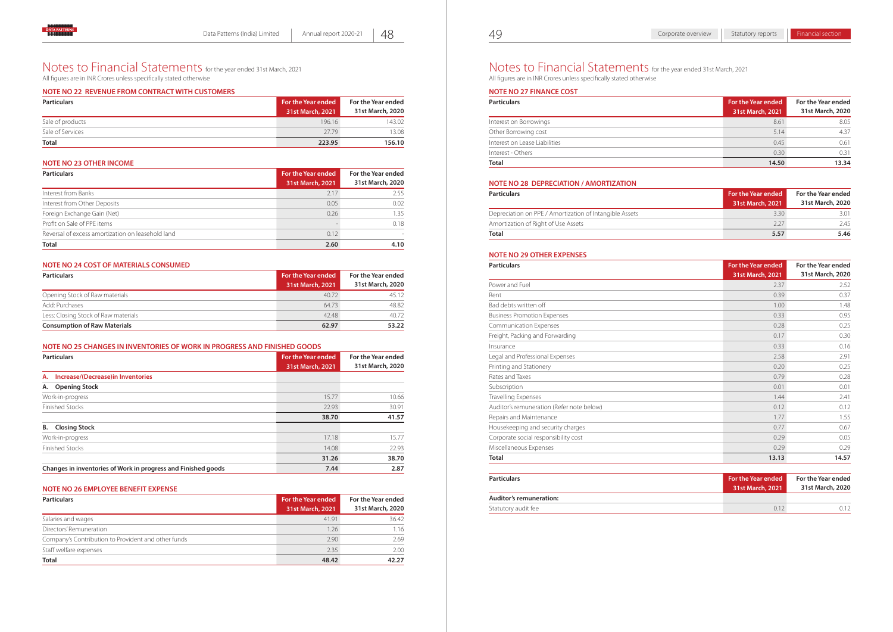**Particulars For the Year ended For the Year ended** 

**Particulars For the Year ended For the Year ended** 

Reversal of excess amortization on leasehold land 0.12 - 0.12 - 0.12 - 0.12 - 0.12 - 0.12 - 0.12 - 0.12 - 0.12

**Particulars For the Year ended For the Year ended** 

All figures are in INR Crores unless specifically stated otherwise

**NOTE NO 22 REVENUE FROM CONTRACT WITH CUSTOMERS**

Sale of products 143.02 Sale of Services 27.79 27.79 13.08 **Total 223.95 156.10** 

**Interest from Banks** 2.55 Interest from Other Deposits 0.02 Foreign Exchange Gain (Net) 1.35 Profit on Sale of PPE items 0.18

**31st March, 2021**

**For the Year ended 31st March, 2020** 

**NOTE NO 23 OTHER INCOME**

**31st March, 2021**

**For the Year ended 31st March, 2020** 

Opening Stock of Raw materials 45.12 Add: Purchases 48.82 Less: Closing Stock of Raw materials 42.48 40.72 **Consumption of Raw Materials 62.97 53.22** 

**NOTE NO 25 CHANGES IN INVENTORIES OF WORK IN PROGRESS AND FINISHED GOODS Particulars For the Year ended** 

Work-in-progress 15.77 10.66 Finished Stocks 22.93 30.91

work-in-progress 17.18 15.77 Finished Stocks 22.93

**Total 2.60 4.10** 

**NOTE NO 24 COST OF MATERIALS CONSUMED**

**31st March, 2021**

**For the Year ended 31st March, 2020** 

# **NOTE NO 28 DEPRECIATION / AMORTIZATION Particulars**

| โ∩tal                                                   |  |
|---------------------------------------------------------|--|
| Amortization of Right of Use Assets                     |  |
| Depreciation on PPE / Amortization of Intangible Assets |  |

**31st March, 2021**

**For the Year ended 31st March, 2020** 

**A. Increase/(Decrease)in Inventories**

**A. Opening Stock**

**38.70 41.57** 

**B. Closing Stock**

**31.26 38.70** 

**Changes in inventories of Work in progress and Finished goods 7.44 2.87** 

| NOTE NO 26 EMPLOYEE BENEFIT EXPENSE                 |                                          |  |
|-----------------------------------------------------|------------------------------------------|--|
| <b>Particulars</b>                                  | For the Year ended<br>For the Year ended |  |
|                                                     | 31st March, 2020<br>31st March, 2021     |  |
| Salaries and wages                                  | 36.42<br>41.91                           |  |
| Directors' Remuneration                             | 1.26<br>1.16                             |  |
| Company's Contribution to Provident and other funds | 2.69<br>2.90                             |  |
| Staff welfare expenses                              | 2.35<br>2.00                             |  |
| Total                                               | 48.42<br>42.27                           |  |

# Notes to Financial Statements for the year ended 31st March, 2021

All figures are in INR Crores unless specifically stated otherwise

| <b>NOTE NO 27 FINANCE COST</b> |  |
|--------------------------------|--|
| <b>Particulars</b>             |  |
|                                |  |

| <b>Particulars</b>            | For the Year ended | For the Year ended |
|-------------------------------|--------------------|--------------------|
|                               | 31st March, 2021   | 31st March, 2020   |
| Interest on Borrowings        | 8.61               | 8.05               |
| Other Borrowing cost          | 5.14               | 4.37               |
| Interest on Lease Liabilities | 0.45               | 0.61               |
| Interest - Others             | 0.30               | 0.31               |
| <b>Total</b>                  | 14.50              | 13.34              |

| <b>Particulars</b>                                      | <b>For the Year ended</b> | For the Year ended |
|---------------------------------------------------------|---------------------------|--------------------|
|                                                         | 31st March, 2021          | 31st March, 2020   |
| Depreciation on PPE / Amortization of Intangible Assets | 3.30                      | 3.01               |
| Amortization of Right of Use Assets                     | 2.27                      | 245                |
| <b>Total</b>                                            | 5.57                      | 5.46               |

# **NOTE NO 29 OTHER EXPENSES**

**Particulars** 

| <b>For the Year ended</b><br>31st March, 2021 | For the Year ended<br>31st March, 2020 |
|-----------------------------------------------|----------------------------------------|
| 2.37                                          | 2.52                                   |
| 0.39                                          | 0.37                                   |
| 1.00                                          | 1.48                                   |
| 0.33                                          | 0.95                                   |
| 0.28                                          | 0.25                                   |
| 0.17                                          | 0.30                                   |
| 0.33                                          | 0.16                                   |
| 2.58                                          | 2.91                                   |
| 0.20                                          | 0.25                                   |
| 0.79                                          | 0.28                                   |
| 0.01                                          | 0.01                                   |
| 1.44                                          | 2.41                                   |
| 0.12                                          | 0.12                                   |
| 1.77                                          | 1.55                                   |
| 0.77                                          | 0.67                                   |
| 0.29                                          | 0.05                                   |
| 0.29                                          | 0.29                                   |
| 13.13                                         | 14.57                                  |

| Total                                     | 13.13 | 14.57 |
|-------------------------------------------|-------|-------|
| Miscellaneous Expenses                    | 0.29  | 0.29  |
| Corporate social responsibility cost      | 0.29  | 0.05  |
| Housekeeping and security charges         | 0.77  | 0.67  |
| Repairs and Maintenance                   | 1.77  | 1.55  |
| Auditor's remuneration (Refer note below) | 0.12  | 0.12  |
| Travelling Expenses                       | 1.44  | 2.41  |
| Subscription                              | 0.01  | 0.01  |
| Rates and Taxes                           | 0.79  | 0.28  |
| Printing and Stationery                   | 0.20  | 0.25  |
| Legal and Professional Expenses           | 2.58  | 2.91  |
| Insurance                                 | 0.33  | 0.16  |
| Freight, Packing and Forwarding           | 0.17  | 0.30  |
| Communication Expenses                    | 0.28  | 0.25  |
| <b>Business Promotion Expenses</b>        | 0.33  | 0.95  |
| Bad debts written off                     | 1.00  | 1.48  |
| Rent                                      | 0.39  | 0.37  |
| Power and Fuel                            | 2.37  | 2.52  |

| <b>Particulars</b>      | <b>For the Year ended</b><br>31st March, 2021 | For the Year ended<br>31st March, 2020 |
|-------------------------|-----------------------------------------------|----------------------------------------|
| Auditor's remuneration: |                                               |                                        |
| Statutory audit fee     | 0.12                                          |                                        |

# **Auditor's remuneration:**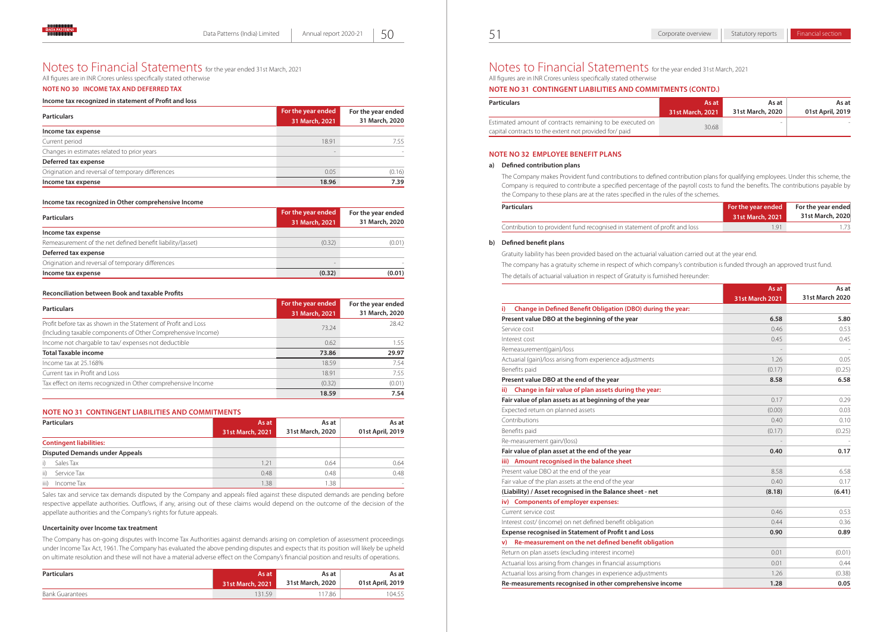All figures are in INR Crores unless specifically stated otherwise

# **NOTE NO 30 INCOME TAX AND DEFERRED TAX**

**Income tax recognized in statement of Profit and loss**

| <b>Particulars</b>                                | For the year ended<br>31 March, 2021 | For the year ended<br>31 March, 2020 |
|---------------------------------------------------|--------------------------------------|--------------------------------------|
| Income tax expense                                |                                      |                                      |
| Current period                                    | 18.91                                | 7.55                                 |
| Changes in estimates related to prior years       |                                      |                                      |
| Deferred tax expense                              |                                      |                                      |
| Origination and reversal of temporary differences | 0.05                                 | (0.16)                               |
| Income tax expense                                | 18.96                                | 7.39                                 |

# **Income tax recognized in Other comprehensive Income**

| <b>Particulars</b>                                         | For the year ended<br>31 March, 2021 | For the year ended<br>31 March, 2020 |
|------------------------------------------------------------|--------------------------------------|--------------------------------------|
| Income tax expense                                         |                                      |                                      |
| Remeasurement of the net defined benefit liability/(asset) | (0.32)                               | (0.01)                               |
| Deferred tax expense                                       |                                      |                                      |
| Origination and reversal of temporary differences          |                                      |                                      |
| Income tax expense                                         | (0.32)                               | (0.01)                               |

### **Reconciliation between Book and taxable Profits**

| <b>Particulars</b>                                                                                                             | For the year ended<br>31 March, 2021 | For the year ended<br>31 March, 2020 |
|--------------------------------------------------------------------------------------------------------------------------------|--------------------------------------|--------------------------------------|
| Profit before tax as shown in the Statement of Profit and Loss<br>(Including taxable components of Other Comprehensive Income) | 73.24                                | 28.42                                |
| Income not chargable to tax/expenses not deductible                                                                            | 0.62                                 | 1.55                                 |
| <b>Total Taxable income</b>                                                                                                    | 73.86                                | 29.97                                |
| Income tax at 25.168%                                                                                                          | 18.59                                | 7.54                                 |
| Current tax in Profit and Loss                                                                                                 | 18.91                                | 7.55                                 |
| Tax effect on items recognized in Other comprehensive Income                                                                   | (0.32)                               | (0.01)                               |
|                                                                                                                                | 18.59                                | 7.54                                 |

# **NOTE NO 31 CONTINGENT LIABILITIES AND COMMITMENTS**

|               | <b>Particulars</b>                    | As at            | As at            | As at            |
|---------------|---------------------------------------|------------------|------------------|------------------|
|               |                                       | 31st March, 2021 | 31st March, 2020 | 01st April, 2019 |
|               | <b>Contingent liabilities:</b>        |                  |                  |                  |
|               | <b>Disputed Demands under Appeals</b> |                  |                  |                  |
| i)            | Sales Tax                             | 1.21             | 0.64             | 0.64             |
| $\mathsf{ii}$ | Service Tax                           | 0.48             | 0.48             | 0.48             |
| iii)          | Income Tax                            | .38              | .38              |                  |

Sales tax and service tax demands disputed by the Company and appeals filed against these disputed demands are pending before respective appellate authorities. Outflows, if any, arising out of these claims would depend on the outcome of the decision of the appellate authorities and the Company's rights for future appeals.

# **Uncertainity over Income tax treatment**

The Company has on-going disputes with Income Tax Authorities against demands arising on completion of assessment proceedings under Income Tax Act, 1961. The Company has evaluated the above pending disputes and expects that its position will likely be upheld on ultimate resolution and these will not have a material adverse effect on the Company's financial position and results of operations.

| <b>Particulars</b>     | As at            | As at            | As at            |
|------------------------|------------------|------------------|------------------|
|                        | 31st March, 2021 | 31st March, 2020 | 01st April, 2019 |
| <b>Bank Guarantees</b> | 131.59           | 17.86            | 104.55           |

# Notes to Financial Statements for the year ended 31st March, 2021 All figures are in INR Crores unless specifically stated otherwise

| <u>NUTE NU 3T CUNTINGENT LIABILITIES AND CUMMITMENTS (CUNTD.)</u>                                                   |                  |                  |                  |  |  |
|---------------------------------------------------------------------------------------------------------------------|------------------|------------------|------------------|--|--|
| <b>Particulars</b>                                                                                                  | As at            | As at            | As at            |  |  |
|                                                                                                                     | 31st March, 2021 | 31st March, 2020 | 01st April, 2019 |  |  |
| Estimated amount of contracts remaining to be executed on<br>capital contracts to the extent not provided for/ paid | 30.68            |                  |                  |  |  |

# **NOTE NO 32 EMPLOYEE BENEFIT PLANS**

# **a) Defined contribution plans**

The Company makes Provident fund contributions to defined contribution plans for qualifying employees. Under this scheme, the Company is required to contribute a specified percentage of the payroll costs to fund the benefits. The contributions payable by the Company to these plans are at the rates specified in the rules of the schemes.

| <b>Particulars</b>                                                        | For the year ended<br>31st March, 2021 | For the year ended<br>31st March, 2020 |
|---------------------------------------------------------------------------|----------------------------------------|----------------------------------------|
| Contribution to provident fund recognised in statement of profit and loss | -91                                    | -73                                    |

# **b) Defined benefit plans**

Gratuity liability has been provided based on the actuarial valuation carried out at the year end. The company has a gratuity scheme in respect of which company's contribution is funded through an approved trust fund. The details of actuarial valuation in respect of Gratuity is furnished hereunder:

|                                                               | As at<br><b>31st March 2021</b> | As at<br>31st March 2020 |
|---------------------------------------------------------------|---------------------------------|--------------------------|
| Change in Defined Benefit Obligation (DBO) during the year:   |                                 |                          |
| Present value DBO at the beginning of the year                | 6.58                            | 5.80                     |
| Service cost                                                  | 0.46                            | 0.53                     |
| Interest cost                                                 | 0.45                            | 0.45                     |
| Remeasurement(gain)/loss                                      |                                 |                          |
| Actuarial (gain)/loss arising from experience adjustments     | 1.26                            | 0.05                     |
| Benefits paid                                                 | (0.17)                          | (0.25)                   |
| Present value DBO at the end of the year                      | 8.58                            | 6.58                     |
| Change in fair value of plan assets during the year:<br>ii)   |                                 |                          |
| Fair value of plan assets as at beginning of the year         | 0.17                            | 0.29                     |
| Expected return on planned assets                             | (0.00)                          | 0.03                     |
| Contributions                                                 | 0.40                            | 0.10                     |
| Benefits paid                                                 | (0.17)                          | (0.25)                   |
| Re-measurement gain/(loss)                                    |                                 |                          |
| Fair value of plan asset at the end of the year               | 0.40                            | 0.17                     |
| iii) Amount recognised in the balance sheet                   |                                 |                          |
| Present value DBO at the end of the year                      | 8.58                            | 6.58                     |
| Fair value of the plan assets at the end of the year          | 0.40                            | 0.17                     |
| (Liability) / Asset recognised in the Balance sheet - net     | (8.18)                          | (6.41)                   |
| iv) Components of employer expenses:                          |                                 |                          |
| Current service cost                                          | 0.46                            | 0.53                     |
| Interest cost/ (income) on net defined benefit obligation     | 0.44                            | 0.36                     |
| Expense recognised in Statement of Profit t and Loss          | 0.90                            | 0.89                     |
| Re-measurement on the net defined benefit obligation<br>v).   |                                 |                          |
| Return on plan assets (excluding interest income)             | 0.01                            | (0.01)                   |
| Actuarial loss arising from changes in financial assumptions  | 0.01                            | 0.44                     |
| Actuarial loss arising from changes in experience adjustments | 1.26                            | (0.38)                   |
| Re-measurements recognised in other comprehensive income      | 1.28                            | 0.05                     |

**NOTE NO 31 CONTINGENT LIABILITIES AND COMMITMENTS (CONTD.)**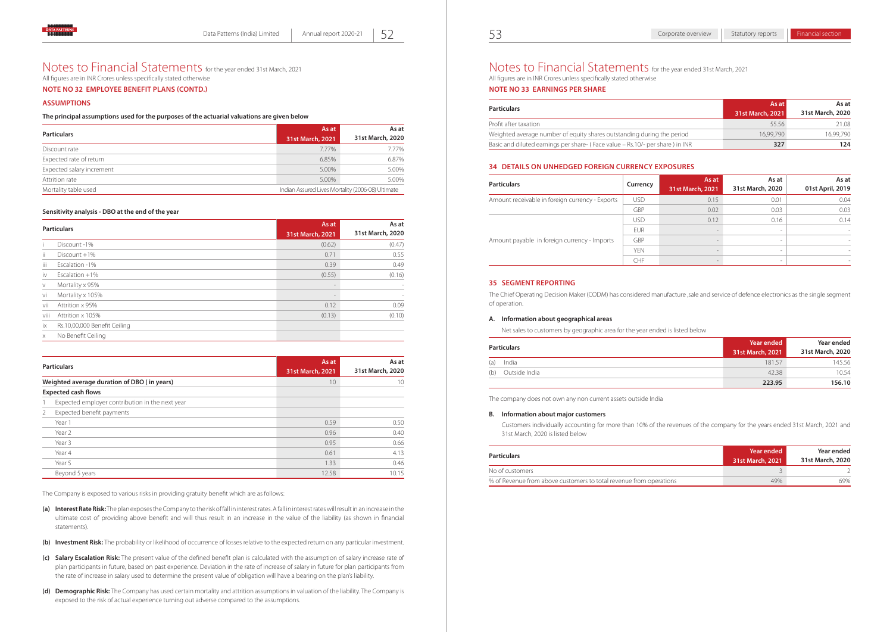# Notes to Financial Statements for the year ended 31st March, 2021 All figures are in INR Crores unless specifically stated otherwise

# **NOTE NO 32 EMPLOYEE BENEFIT PLANS (CONTD.)**

# **ASSUMPTIONS**

# **The principal assumptions used for the purposes of the actuarial valuations are given below**

|                           | As at                                             | As at            |
|---------------------------|---------------------------------------------------|------------------|
| <b>Particulars</b>        | 31st March, 2021                                  | 31st March, 2020 |
| Discount rate             | 7.77%                                             | 7.77%            |
| Expected rate of return   | 6.85%                                             | 6.87%            |
| Expected salary increment | 5.00%                                             | 5.00%            |
| Attrition rate            | $5.00\%$                                          | 5.00%            |
| Mortality table used      | Indian Assured Lives Mortality (2006-08) Ultimate |                  |

# **Sensitivity analysis - DBO at the end of the year**

|              | <b>Particulars</b>           | As at<br>31st March, 2021 | As at<br>31st March, 2020 |
|--------------|------------------------------|---------------------------|---------------------------|
|              | Discount-1%                  | (0.62)                    | (0.47)                    |
| $\mathbf{H}$ | Discount +1%                 | 0.71                      | 0.55                      |
| iii          | Escalation -1%               | 0.39                      | 0.49                      |
| iv           | Escalation $+1\%$            | (0.55)                    | (0.16)                    |
| $\vee$       | Mortality x 95%              | $\overline{\phantom{a}}$  | $\overline{\phantom{a}}$  |
| vi           | Mortality x 105%             | $\overline{\phantom{a}}$  |                           |
| vii          | Attrition x 95%              | 0.12                      | 0.09                      |
| viii         | Attrition x 105%             | (0.13)                    | (0.10)                    |
| ix           | Rs.10,00,000 Benefit Ceiling |                           |                           |
| $\times$     | No Benefit Ceiling           |                           |                           |

|   | <b>Particulars</b>                              | As at<br>31st March, 2021 | As at<br>31st March, 2020 |
|---|-------------------------------------------------|---------------------------|---------------------------|
|   | Weighted average duration of DBO (in years)     | 10                        | 10                        |
|   | <b>Expected cash flows</b>                      |                           |                           |
|   | Expected employer contribution in the next year |                           |                           |
| 2 | Expected benefit payments                       |                           |                           |
|   | Year 1                                          | 0.59                      | 0.50                      |
|   | Year 2                                          | 0.96                      | 0.40                      |
|   | Year 3                                          | 0.95                      | 0.66                      |
|   | Year 4                                          | 0.61                      | 4.13                      |
|   | Year 5                                          | 1.33                      | 0.46                      |
|   | Beyond 5 years                                  | 12.58                     | 10.15                     |

The Company is exposed to various risks in providing gratuity benefit which are as follows:

- **(a) Interest Rate Risk:** The plan exposes the Company to the risk of fall in interest rates. A fall in interest rates will result in an increase in the ultimate cost of providing above benefit and will thus result in an increase in the value of the liability (as shown in financial statements).
- **(b) Investment Risk:** The probability or likelihood of occurrence of losses relative to the expected return on any particular investment.
- **(c) Salary Escalation Risk:** The present value of the defined benefit plan is calculated with the assumption of salary increase rate of plan participants in future, based on past experience. Deviation in the rate of increase of salary in future for plan participants from the rate of increase in salary used to determine the present value of obligation will have a bearing on the plan's liability.
- **(d) Demographic Risk:** The Company has used certain mortality and attrition assumptions in valuation of the liability. The Company is exposed to the risk of actual experience turning out adverse compared to the assumptions.

# Notes to Financial Statements for the year ended 31st March, 2021

All figures are in INR Crores unless specifically stated otherwise **NOTE NO 33 EARNINGS PER SHARE**

# **Particulars**

# Profit after taxation

Weighted average number of equity shares outstanding during the period Basic and diluted earnings per share- (Face value – Rs.10/- per share)

|        | As at            | As at            |
|--------|------------------|------------------|
|        | 31st March, 2021 | 31st March, 2020 |
|        | 55.56            | 21.08            |
| eriod  | 16,99,790        | 16,99,790        |
| in INR | 327              | 124              |

# **34 DETAILS ON UNHEDGED FOREIGN CURRENCY EXPOSURES**

| <b>Particulars</b>                              | Currency   | As at<br>31st March, 2021 | As at<br>31st March, 2020 | As at<br>01st April, 2019 |
|-------------------------------------------------|------------|---------------------------|---------------------------|---------------------------|
| Amount receivable in foreign currency - Exports | <b>USD</b> | 0.15                      | 0.01                      | 0.04                      |
|                                                 | GBP        | 0.02                      | 0.03                      | 0.03                      |
| Amount payable in foreign currency - Imports    | <b>USD</b> | 0.12                      | 0.16                      | 0.14                      |
|                                                 | <b>EUR</b> | $\overline{\phantom{0}}$  | $\overline{\phantom{a}}$  |                           |
|                                                 | <b>GBP</b> | $\overline{\phantom{a}}$  | $\overline{\phantom{0}}$  |                           |
|                                                 | <b>YEN</b> |                           | -                         |                           |
|                                                 | <b>CHF</b> | $\qquad \qquad -$         | $\overline{\phantom{0}}$  |                           |

# **35 SEGMENT REPORTING**

The Chief Operating Decision Maker (CODM) has considered manufacture ,sale and service of defence electronics as the single segment of operation.

# **A. Information about geographical areas**

Net sales to customers by geographic area for the year ended is listed below

**Particulars**

| (b) Outside India | (a) | India |  |
|-------------------|-----|-------|--|
|                   |     |       |  |

|     | <b>Particulars</b> | <b>Year ended</b> | Year ended       |
|-----|--------------------|-------------------|------------------|
|     |                    | 31st March, 2021  | 31st March, 2020 |
| (a) | India              | 181.57            | 145.56           |
|     | (b) Outside India  | 42.38             | 10.54            |
|     |                    | 223.95            | 156.10           |

The company does not own any non current assets outside India

# **B. Information about major customers**

 Customers individually accounting for more than 10% of the revenues of the company for the years ended 31st March, 2021 and 31st March, 2020 is listed below

# **Particulars**

No of customers

% of Revenue from above customers to total revenue from operations

|   | Year ended<br>31st March, 2021 | Year ended<br>31st March, 2020 |
|---|--------------------------------|--------------------------------|
|   |                                |                                |
| S |                                |                                |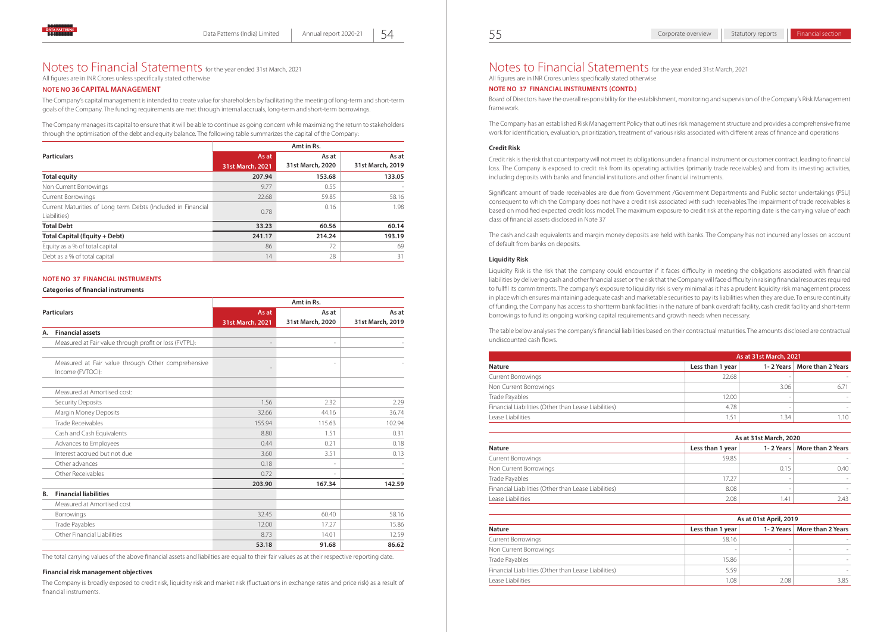

All figures are in INR Crores unless specifically stated otherwise

# Notes to Financial Statements for the year ended 31st March, 2021 All figures are in INR Crores unless specifically stated otherwise

# **NOTE NO 36 CAPITAL MANAGEMENT**

The Company's capital management is intended to create value for shareholders by facilitating the meeting of long-term and short-term goals of the Company. The funding requirements are met through internal accruals, long-term and short-term borrowings.

The Company manages its capital to ensure that it will be able to continue as going concern while maximizing the return to stakeholders through the optimisation of the debt and equity balance. The following table summarizes the capital of the Company:

|                                                              | Amt in Rs.<br>As at<br>As at<br>As at |                  |                  |
|--------------------------------------------------------------|---------------------------------------|------------------|------------------|
| <b>Particulars</b>                                           |                                       |                  |                  |
|                                                              | 31st March, 2021                      | 31st March, 2020 | 31st March, 2019 |
| <b>Total equity</b>                                          | 207.94                                | 153.68           | 133.05           |
| Non Current Borrowings                                       | 9.77                                  | 0.55             |                  |
| <b>Current Borrowings</b>                                    | 22.68                                 | 59.85            | 58.16            |
| Current Maturities of Long term Debts (Included in Financial | 0.78                                  | 0.16             | 1.98             |
| Liabilities)                                                 |                                       |                  |                  |
| <b>Total Debt</b>                                            | 33.23                                 | 60.56            | 60.14            |
| Total Capital (Equity + Debt)                                | 241.17                                | 214.24           | 193.19           |
| Equity as a % of total capital                               | 86                                    | 72               | 69               |
| Debt as a % of total capital                                 | 14                                    | 28               | 31               |

# **NOTE NO 37 FINANCIAL INSTRUMENTS**

# **Categories of financial instruments**

|                    |                                                                        | Amt in Rs.       |                          |                  |
|--------------------|------------------------------------------------------------------------|------------------|--------------------------|------------------|
| <b>Particulars</b> |                                                                        | As at            | As at                    | As at            |
|                    |                                                                        | 31st March, 2021 | 31st March, 2020         | 31st March, 2019 |
| Α.                 | <b>Financial assets</b>                                                |                  |                          |                  |
|                    | Measured at Fair value through profit or loss (FVTPL):                 |                  | $\overline{\phantom{a}}$ |                  |
|                    | Measured at Fair value through Other comprehensive<br>Income (FVTOCI): |                  |                          |                  |
|                    | Measured at Amortised cost:                                            |                  |                          |                  |
|                    | <b>Security Deposits</b>                                               | 1.56             | 2.32                     | 2.29             |
|                    | Margin Money Deposits                                                  | 32.66            | 44.16                    | 36.74            |
|                    | Trade Receivables                                                      | 155.94           | 115.63                   | 102.94           |
|                    | Cash and Cash Equivalents                                              | 8.80             | 1.51                     | 0.31             |
|                    | Advances to Employees                                                  | 0.44             | 0.21                     | 0.18             |
|                    | Interest accrued but not due                                           | 3.60             | 3.51                     | 0.13             |
|                    | Other advances                                                         | 0.18             |                          |                  |
|                    | Other Receivables                                                      | 0.72             |                          |                  |
|                    |                                                                        | 203.90           | 167.34                   | 142.59           |
| <b>B.</b>          | <b>Financial liabilities</b>                                           |                  |                          |                  |
|                    | Measured at Amortised cost                                             |                  |                          |                  |
|                    | <b>Borrowings</b>                                                      | 32.45            | 60.40                    | 58.16            |
|                    | Trade Payables                                                         | 12.00            | 17.27                    | 15.86            |
|                    | Other Financial Liabilities                                            | 8.73             | 14.01                    | 12.59            |
|                    |                                                                        | 53.18            | 91.68                    | 86.62            |

The total carrying values of the above financial assets and liabilties are equal to their fair values as at their respective reporting date.

# **Financial risk management objectives**

The Company is broadly exposed to credit risk, liquidity risk and market risk (fluctuations in exchange rates and price risk) as a result of financial instruments.

Board of Directors have the overall responsibility for the establishment, monitoring and supervision of the Company's Risk Management framework.

The Company has an established Risk Management Policy that outlines risk management structure and provides a comprehensive frame work for identification, evaluation, prioritization, treatment of various risks associated with different areas of finance and operations

# **Credit Risk**

Credit risk is the risk that counterparty will not meet its obligations under a financial instrument or customer contract, leading to financial loss. The Company is exposed to credit risk from its operating activities (primarily trade receivables) and from its investing activities, including deposits with banks and financial institutions and other financial instruments.

Significant amount of trade receivables are due from Government /Government Departments and Public sector undertakings (PSU) consequent to which the Company does not have a credit risk associated with such receivables.The impairment of trade receivables is based on modified expected credit loss model. The maximum exposure to credit risk at the reporting date is the carrying value of each class of financial assets disclosed in Note 37

The cash and cash equivalents and margin money deposits are held with banks. The Company has not incurred any losses on account of default from banks on deposits.

# **Liquidity Risk**

Liquidity Risk is the risk that the company could encounter if it faces difficulty in meeting the obligations associated with financial liabilities by delivering cash and other financial asset or the risk that the Company will face difficulty in raising financial resources required to fullfil its commitments. The company's exposure to liquidity risk is very minimal as it has a prudent liquidity risk management process in place which ensures maintaining adequate cash and marketable securities to pay its liabilities when they are due. To ensure continuity of funding, the Company has access to shortterm bank facilities in the nature of bank overdraft facility, cash credit facility and short-term borrowings to fund its ongoing working capital requirements and growth needs when necessary.

The table below analyses the company's financial liabilities based on their contractual maturities. The amounts disclosed are contractual undiscounted cash flows.

|                                                                      | <b>As at 31st March, 2021</b> |                        |                   |
|----------------------------------------------------------------------|-------------------------------|------------------------|-------------------|
| <b>Nature</b>                                                        | Less than 1 year              | 1-2 Years              | More than 2 Years |
| Current Borrowings                                                   | 22.68                         |                        |                   |
| Non Current Borrowings                                               |                               | 3.06                   | 6.71              |
| Trade Payables                                                       | 12.00                         |                        |                   |
| Financial Liabilities (Other than Lease Liabilities)                 | 4.78                          |                        |                   |
| Lease Liabilities                                                    | 1.51                          | 1.34                   | 1.10              |
|                                                                      |                               | As at 31st March, 2020 |                   |
|                                                                      |                               |                        |                   |
|                                                                      | Less than 1 year              | 1-2 Years              | More than 2 Years |
|                                                                      | 59.85                         |                        |                   |
| <b>Nature</b><br><b>Current Borrowings</b><br>Non Current Borrowings |                               | 0.15                   | 0.40              |
| Trade Payables                                                       | 17.27                         |                        |                   |
| Financial Liabilities (Other than Lease Liabilities)                 | 8.08                          |                        |                   |
| Lease Liabilities                                                    | 2.08                          | 1.41                   | 2.43              |

| Current Borrowings                                   |
|------------------------------------------------------|
| Non Current Borrowings                               |
| Trade Payables                                       |
| Financial Liabilities (Other than Lease Liabilities) |
| Lease Liabilities                                    |

|                                                      |                  | As at 01st April, 2019 |                               |  |  |
|------------------------------------------------------|------------------|------------------------|-------------------------------|--|--|
| <b>Nature</b>                                        | Less than 1 year |                        | 1-2 Years   More than 2 Years |  |  |
| Current Borrowings                                   | 58.16            |                        |                               |  |  |
| Non Current Borrowings                               |                  |                        |                               |  |  |
| Trade Payables                                       | 15.86            |                        |                               |  |  |
| Financial Liabilities (Other than Lease Liabilities) | 5.59             |                        |                               |  |  |
| Lease Liabilities                                    | 1.08             | 2.08                   | 3.85                          |  |  |

# **NOTE NO 37 FINANCIAL INSTRUMENTS (CONTD.)**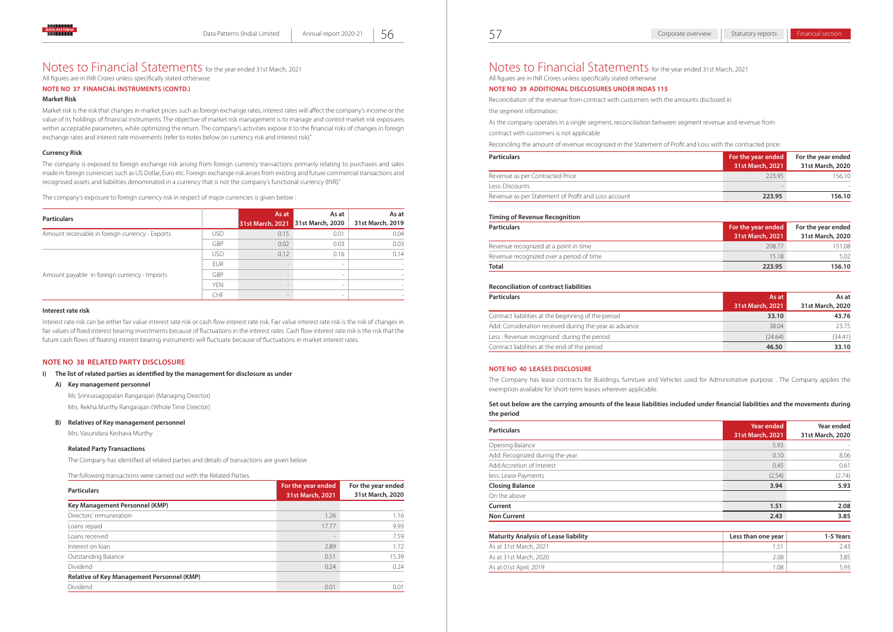

# Notes to Financial Statements for the year ended 31st March, 2021 All figures are in INR Crores unless specifically stated otherwise

# **Market Risk**

Market risk is the risk that changes in market prices such as foreign exchange rates, interest rates will affect the company's income or the value of its holdings of financial instruments. The objective of market risk management is to manage and control market risk exposures within acceptable parameters, while optimizing the return. The company's activities expose it to the financial risks of changes in foreign exchange rates and interest rate movements (refer to notes below on currency risk and interest risk)."

# **Currency Risk**

The company is exposed to foreign exchange risk arising from foreign currency transactions primarily relating to purchases and sales made in foreign currencies such as US Dollar, Euro etc. Foreign exchange risk arises from existing and future commercial transactions and recognised assets and liabilities denominated in a currency that is not the company's functional currency (INR)."

The company's exposure to foreign currency risk in respect of major currencies is given below :

| <b>Particulars</b>                              |            | As at<br>31st March, 2021 | As at<br>31st March, 2020 | As at<br>31st March, 2019 |
|-------------------------------------------------|------------|---------------------------|---------------------------|---------------------------|
| Amount receivable in foreign currency - Exports | <b>USD</b> | 0.15                      | 0.01                      | 0.04                      |
|                                                 | GBP        | 0.02                      | 0.03                      | 0.03                      |
|                                                 | <b>USD</b> | 0.12                      | 0.16                      | 0.14                      |
|                                                 | <b>EUR</b> | -                         | -                         |                           |
| Amount payable in foreign currency - Imports    | <b>GBP</b> | -                         | -                         |                           |
|                                                 | <b>YEN</b> |                           | -                         |                           |
|                                                 | <b>CHF</b> |                           | $-$                       |                           |

### **Interest rate risk**

Interest rate risk can be either fair value interest rate risk or cash flow interest rate risk. Fair value interest rate risk is the risk of changes in fair values of fixed interest bearing investments because of fluctuations in the interest rates. Cash flow interest rate risk is the risk that the future cash flows of floating interest bearing instruments will fluctuate because of fluctuations in market interest rates.

# **NOTE NO 38 RELATED PARTY DISCLOSURE**

# **i) The list of related parties as identified by the management for disclosure as under**

### **A) Key management personnel**

 Mr. Srinivasagopalan Rangarajan (Managing Director) Mrs. Rekha Murthy Rangarajan (Whole Time Director)

# **B) Relatives of Key management personnel**

Mrs. Vasundara Keshava Murthy

# **Related Party Transactions**

The Company has identified all related parties and details of transactions are given below

The following transactions were carried out with the Related Parties.

| <b>Particulars</b>                         | For the year ended<br>31st March, 2021 | For the year ended<br>31st March, 2020 |
|--------------------------------------------|----------------------------------------|----------------------------------------|
| Key Management Personnel (KMP)             |                                        |                                        |
| Directors' remuneration                    | 1.26                                   | 1.16                                   |
| Loans repaid                               | 17.77                                  | 9.93                                   |
| Loans received                             | $\overline{\phantom{a}}$               | 7.59                                   |
| Interest on loan                           | 2.89                                   | 1.72                                   |
| Outstanding Balance                        | 0.51                                   | 15.39                                  |
| Dividend                                   | 0.24                                   | 0.24                                   |
| Relative of Key Management Personnel (KMP) |                                        |                                        |
| Dividend                                   | 0.01                                   | 0.01                                   |

# Notes to Financial Statements for the year ended 31st March, 2021 All figures are in INR Crores unless specifically stated otherwise

# **NOTE NO 37 FINANCIAL INSTRUMENTS (CONTD.) NOTE NO 39 ADDITIONAL DISCLOSURES UNDER INDAS 115**

Reconciliation of the revenue from contract with customers with the amounts disclosed in the segment information:

As the company operates in a single segment, reconciliation between segment revenue and revenue from

contract with customers is not applicable

Reconciling the amount of revenue recognized in the Statement of Profit and Loss with the contracted price:

| <b>Particulars</b>                                  | For the year ended<br>31st March, 2021 | For the year ended<br>31st March, 2020 |
|-----------------------------------------------------|----------------------------------------|----------------------------------------|
| Revenue as per Contracted Price                     | 22395                                  | 156.10                                 |
| Less: Discounts                                     |                                        |                                        |
| Revenue as per Statement of Profit and Loss account | 223.95                                 | 156.10                                 |

# **Timing of Revenue Recognition**

| <b>Particulars</b>                       | For the year ended | For the year ended |
|------------------------------------------|--------------------|--------------------|
|                                          | 31st March, 2021   | 31st March, 2020   |
| Revenue recognized at a point in time    | 208.77             | 151.08             |
| Revenue recognized over a period of time | 15.18              | 5.02               |
| <b>Total</b>                             | 223.95             | 156.10             |

### **Reconciliation of contract liabilities**

| <b>Particulars</b>                                     | As at            | As at            |
|--------------------------------------------------------|------------------|------------------|
|                                                        | 31st March, 2021 | 31st March, 2020 |
| Contract liabilities at the beginning of the period    | 33.10            | 43.76            |
| Add: Consideration received during the year as advance | 38.04            | 23.75            |
| Less: Revenue recognised during the period             | (24.64)          | (34.41)          |
| Contract liabilities at the end of the period          | 46.50            | 33.10            |

### **NOTE NO 40 LEASES DISCLOSURE**

The Company has lease contracts for Buildings, furniture and Vehicles used for Administrative purpose. . The Company applies the exemption available for 'short-term leases wherever applicable.

# **Set out below are the carrying amounts of the lease liabilities included under financial liabilities and the movements during the period**

| <b>Particulars</b>                          | <b>Year ended</b><br>31st March, 2021 | Year ended<br>31st March, 2020 |
|---------------------------------------------|---------------------------------------|--------------------------------|
| Opening Balance                             | 5.93                                  |                                |
| Add: Recognized during the year             | 0.10                                  | 8.06                           |
| Add:Accretion of Interest                   | 0.45                                  | 0.61                           |
| less: Lease Payments                        | (2.54)                                | (2.74)                         |
| <b>Closing Balance</b>                      | 3.94                                  | 5.93                           |
| On the above                                |                                       |                                |
| Current                                     | 1.51                                  | 2.08                           |
| <b>Non Current</b>                          | 2.43                                  | 3.85                           |
| <b>Maturity Analysis of Lease liability</b> | Less than one year                    | 1-5 Years                      |
| As at 31st March, 2021                      | 1.51                                  | 2.43                           |
| As at 31st March, 2020                      | 2.08                                  | 3.85                           |

| As at 31st March, 2021 | , 51 | 2.43  |
|------------------------|------|-------|
| As at 31st March, 2020 | 2.08 | 3.85  |
| As at 01st April, 2019 | 1.08 | 5 Q Z |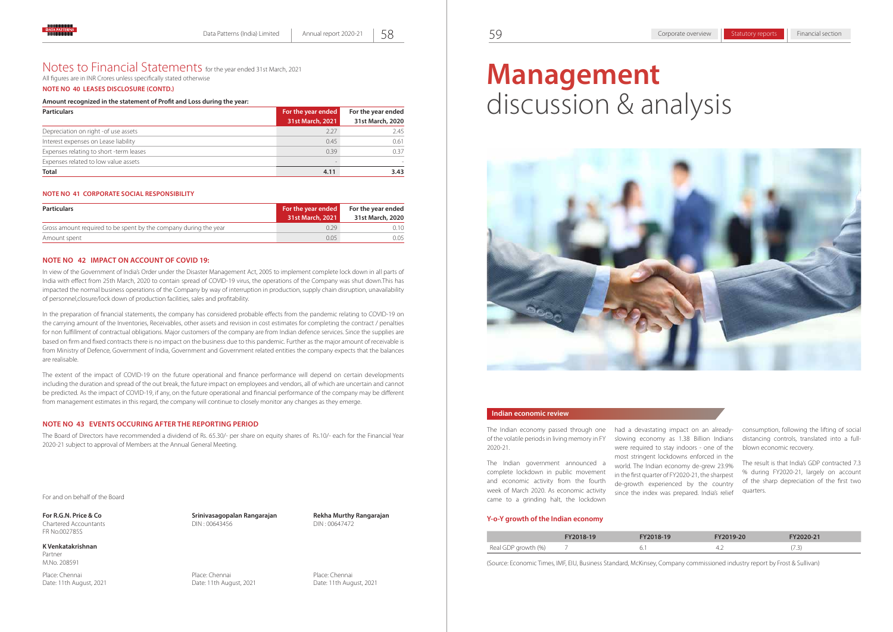# Notes to Financial Statements for the year ended 31st March, 2021 All figures are in INR Crores unless specifically stated otherwise

# **Amount recognized in the statement of Profit and Loss during the year:**

| <b>Particulars</b>                     | For the year ended<br>31st March, 2021 | For the year ended<br>31st March, 2020 |
|----------------------------------------|----------------------------------------|----------------------------------------|
| Depreciation on right -of use assets   | 2.27                                   | 2.45                                   |
| Interest expenses on Lease liability   | 0.45                                   | 0.61                                   |
| Expenses relating to short-term leases | 0.39                                   | 0.37                                   |
| Expenses related to low value assets   |                                        |                                        |
| <b>Total</b>                           | 4.11                                   | 3.43                                   |

# **NOTE NO 41 CORPORATE SOCIAL RESPONSIBILITY**

| <b>Particulars</b>                                               | <b>For the year ended</b><br>31st March, 2021 | For the year ended<br>31st March, 2020 |
|------------------------------------------------------------------|-----------------------------------------------|----------------------------------------|
| Gross amount required to be spent by the company during the year | 0.29                                          | O 10                                   |
| Amount spent                                                     | 0.05                                          |                                        |

# **NOTE NO 42 IMPACT ON ACCOUNT OF COVID 19:**

In view of the Government of India's Order under the Disaster Management Act, 2005 to implement complete lock down in all parts of India with effect from 25th March, 2020 to contain spread of COVID-19 virus, the operations of the Company was shut down.This has impacted the normal business operations of the Company by way of interruption in production, supply chain disruption, unavailability of personnel,closure/lock down of production facilities, sales and profitability.

Place: Chennai Place: Chennai Place: Chennai Place: Chennai Place: Chennai Place: Chennai Date: 11th August, 2021 Date: 11th August, 2021 Date: 11th August, 2021

In the preparation of financial statements, the company has considered probable effects from the pandemic relating to COVID-19 on the carrying amount of the Inventories, Receivables, other assets and revision in cost estimates for completing the contract / penalties for non fulfillment of contractual obligations. Major customers of the company are from Indian defence services. Since the supplies are based on firm and fixed contracts there is no impact on the business due to this pandemic. Further as the major amount of receivable is from Ministry of Defence, Government of India, Government and Government related entities the company expects that the balances are realisable.

The extent of the impact of COVID-19 on the future operational and finance performance will depend on certain developments including the duration and spread of the out break, the future impact on employees and vendors, all of which are uncertain and cannot be predicted. As the impact of COVID-19, if any, on the future operational and financial performance of the company may be different from management estimates in this regard, the company will continue to closely monitor any changes as they emerge.

# **NOTE NO 43 EVENTS OCCURING AFTER THE REPORTING PERIOD**

The Board of Directors have recommended a dividend of Rs. 65.30/- per share on equity shares of Rs.10/- each for the Financial Year 2020-21 subject to approval of Members at the Annual General Meeting.

# **NOTE NO 40 LEASES DISCLOSURE (CONTD.)**

For and on behalf of the Board

**For R.G.N. Price & Co Srinivasagopalan Rangarajan Rekha Murthy Rangarajan** Chartered Accountants DIN : 00643456 DIN : 00647472

FR No.002785S

**K Venkatakrishnan** Partner M.No. 208591

# **Indian economic review**

The Indian economy passed through one of the volatile periods in living memory in FY 2020-21.

The Indian government announced a complete lockdown in public movement and economic activity from the fourth week of March 2020. As economic activity came to a grinding halt, the lockdown

had a devastating impact on an alreadyslowing economy as 1.38 Billion Indians were required to stay indoors - one of the blown economic recovery. most stringent lockdowns enforced in the world. The Indian economy de-grew 23.9% in the first quarter of FY2020-21, the sharpest de-growth experienced by the country since the index was prepared. India's relief

consumption, following the lifting of social distancing controls, translated into a full-

The result is that India's GDP contracted 7.3 % during FY2020-21, largely on account of the sharp depreciation of the first two quarters.

# **Y-o-Y growth of the Indian economy**

|                     | FY2018-19 | <b>FY2018-19</b> | FY2019-20 | <b>FY2020-21</b> |
|---------------------|-----------|------------------|-----------|------------------|
| Real GDP growth (%) |           | U.               | 4         | ر ،              |

(Source: Economic Times, IMF, EIU, Business Standard, McKinsey, Company commissioned industry report by Frost & Sullivan)

# **Management**  discussion & analysis

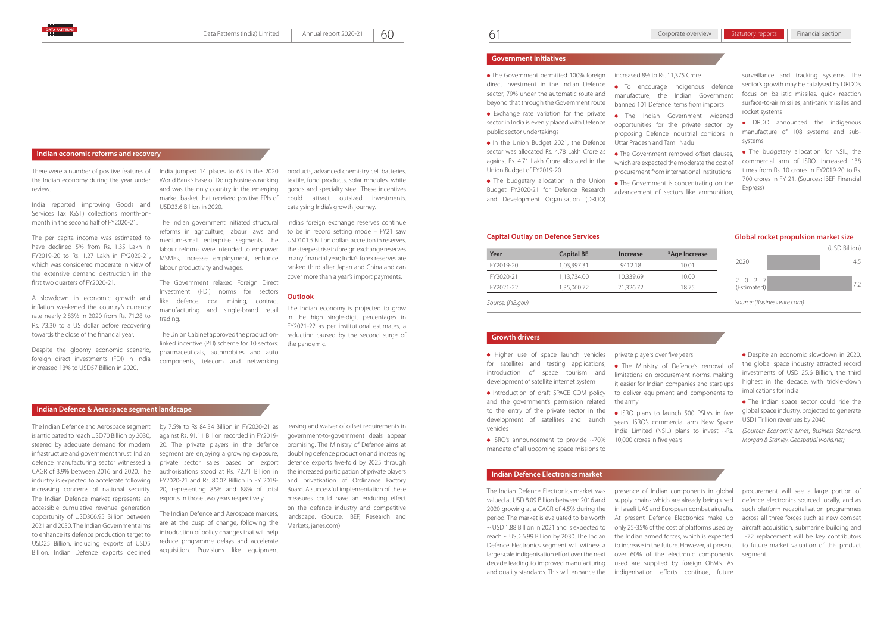# **Indian economic reforms and recovery**

# **Indian Defence & Aerospace segment landscape**

There were a number of positive features of the Indian economy during the year under review.

India reported improving Goods and Services Tax (GST) collections month-onmonth in the second half of FY2020-21.

The per capita income was estimated to have declined 5% from Rs. 1.35 Lakh in FY2019-20 to Rs. 1.27 Lakh in FY2020-21, which was considered moderate in view of the extensive demand destruction in the first two quarters of FY2020-21.

A slowdown in economic growth and inflation weakened the country's currency rate nearly 2.83% in 2020 from Rs. 71.28 to Rs. 73.30 to a US dollar before recovering towards the close of the financial year.

Despite the gloomy economic scenario, foreign direct investments (FDI) in India increased 13% to USD57 Billion in 2020.

India jumped 14 places to 63 in the 2020 World Bank's Ease of Doing Business ranking and was the only country in the emerging market basket that received positive FPIs of USD23.6 Billion in 2020.

The Indian government initiated structural reforms in agriculture, labour laws and medium-small enterprise segments. The labour reforms were intended to empower MSMEs, increase employment, enhance labour productivity and wages.

The Government relaxed Foreign Direct Investment (FDI) norms for sectors like defence, coal mining, contract manufacturing and single-brand retail trading.

The Union Cabinet approved the productionlinked incentive (PLI) scheme for 10 sectors: pharmaceuticals, automobiles and auto components, telecom and networking

products, advanced chemistry cell batteries, textile, food products, solar modules, white goods and specialty steel. These incentives could attract outsized investments, catalysing India's growth journey.

leasing and waiver of offset requirements in government-to-government deals appear promising. The Ministry of Defence aims at doubling defence production and increasing defence exports five-fold by 2025 through the increased participation of private players and privatisation of Ordinance Factory Board. A successful implementation of these measures could have an enduring effect on the defence industry and competitive landscape. (Source: IBEF, Research and Markets, janes.com)

India's foreign exchange reserves continue to be in record setting mode – FY21 saw USD101.5 Billion dollars accretion in reserves, the steepest rise in foreign exchange reserves in any financial year; India's forex reserves are ranked third after Japan and China and can cover more than a year's import payments.

• The Government permitted 100% foreign direct investment in the Indian Defence sector, 79% under the automatic route and beyond that through the Government route

### **Outlook**

The Indian economy is projected to grow in the high single-digit percentages in FY2021-22 as per institutional estimates, a reduction caused by the second surge of the pandemic.

• The budgetary allocation in the Union Budget FY2020-21 for Defence Research and Development Organisation (DRDO)

 $\bullet$  To encourage indigenous defence manufacture, the Indian Government banned 101 Defence items from imports

• The Indian Government widened opportunities for the private sector by proposing Defence industrial corridors in Uttar Pradesh and Tamil Nadu

• The Government removed offset clauses, which are expected the moderate the cost of procurement from international institutions

• The Government is concentrating on the advancement of sectors like ammunition,

is anticipated to reach USD70 Billion by 2030, steered by adequate demand for modern infrastructure and government thrust. Indian defence manufacturing sector witnessed a CAGR of 3.9% between 2016 and 2020. The industry is expected to accelerate following increasing concerns of national security. 20, representing 86% and 88% of total The Indian Defence market represents an accessible cumulative revenue generation opportunity of USD306.95 Billion between 2021 and 2030. The Indian Government aims to enhance its defence production target to USD25 Billion, including exports of USD5 Billion. Indian Defence exports declined

• DRDO announced the indigenous manufacture of 108 systems and subsystems

• The budgetary allocation for NSIL, the commercial arm of ISRO, increased 138 times from Rs. 10 crores in FY2019-20 to Rs. 700 crores in FY 21. (Sources: IBEF, Financial Express)

The Indian Defence and Aerospace segment by 7.5% to Rs 84.34 Billion in FY2020-21 as against Rs. 91.11 Billion recorded in FY2019- 20. The private players in the defence segment are enjoying a growing exposure; private sector sales based on export authorisations stood at Rs. 72.71 Billion in FY2020-21 and Rs. 80.07 Billion in FY 2019 exports in those two years respectively.

• Higher use of space launch vehicles for satellites and testing applications, introduction of space tourism and development of satellite internet system

**Introduction of draft SPACE COM policy** and the government's permission related to the entry of the private sector in the development of satellites and launch vehicles

 $\bullet$  ISRO's announcement to provide  $\sim$ 70% mandate of all upcoming space missions to

• The Ministry of Defence's removal of limitations on procurement norms, making it easier for Indian companies and start-ups to deliver equipment and components to

● ISRO plans to launch 500 PSLVs in five years. ISRO's commercial arm New Space India Limited (NSIL) plans to invest ~Rs. 10,000 crores in five years

• The Indian space sector could ride the global space industry, projected to generate USD1 Trillion revenues by 2040

The Indian Defence and Aerospace markets, are at the cusp of change, following the introduction of policy changes that will help reduce programme delays and accelerate acquisition. Provisions like equipment

procurement will see a large portion of defence electronics sourced locally, and as such platform recapitalisation programmes across all three forces such as new combat aircraft acquisition, submarine building and T-72 replacement will be key contributors to future market valuation of this product segment

# **Government initiatives**

Exchange rate variation for the private sector in India is evenly placed with Defence public sector undertakings

In the Union Budget 2021, the Defence sector was allocated Rs. 4.78 Lakh Crore as against Rs. 4.71 Lakh Crore allocated in the Union Budget of FY2019-20

### increased 8% to Rs. 11,375 Crore

surveillance and tracking systems. The sector's growth may be catalysed by DRDO's focus on ballistic missiles, quick reaction surface-to-air missiles, anti-tank missiles and rocket systems

### **Growth drivers**

### private players over five years

the army

 Despite an economic slowdown in 2020, the global space industry attracted record investments of USD 25.6 Billion, the third highest in the decade, with trickle-down implications for India

*(Sources: Economic times, Business Standard, Morgan & Stanley, Geospatial world.net)*

# **Indian Defence Electronics market**

The Indian Defence Electronics market was valued at USD 8.09 Billion between 2016 and 2020 growing at a CAGR of 4.5% during the period. The market is evaluated to be worth ~ USD 1.88 Billion in 2021 and is expected to reach ~ USD 6.99 Billion by 2030. The Indian large scale indigenisation effort over the next decade leading to improved manufacturing

Defence Electronics segment will witness a to increase in the future. However, at present and quality standards. This will enhance the indigenisation efforts continue, future presence of Indian components in global supply chains which are already being used in Israeli UAS and European combat aircrafts. At present Defence Electronics make up only 25-35% of the cost of platforms used by the Indian armed forces, which is expected over 60% of the electronic components used are supplied by foreign OEM's. As

**Capital Outlay on Defence Services** 

|                   |                   |           |               |                             | (USD Billion) |
|-------------------|-------------------|-----------|---------------|-----------------------------|---------------|
| Year              | <b>Capital BE</b> | Increase  | *Age Increase |                             |               |
| FY2019-20         | 1,03,397.31       | 9412.18   | 10.01         | 2020                        | 4.5           |
| FY2020-21         | 1,13,734.00       | 10,339.69 | 10.00         | 2027                        |               |
| FY2021-22         | 1,35,060.72       | 21,326.72 | 18.75         | (Estimated)                 | 7.2           |
| Source: (PIB.gov) |                   |           |               | Source: (Business wire.com) |               |

### **Global rocket propulsion market size**

(USD Billion)